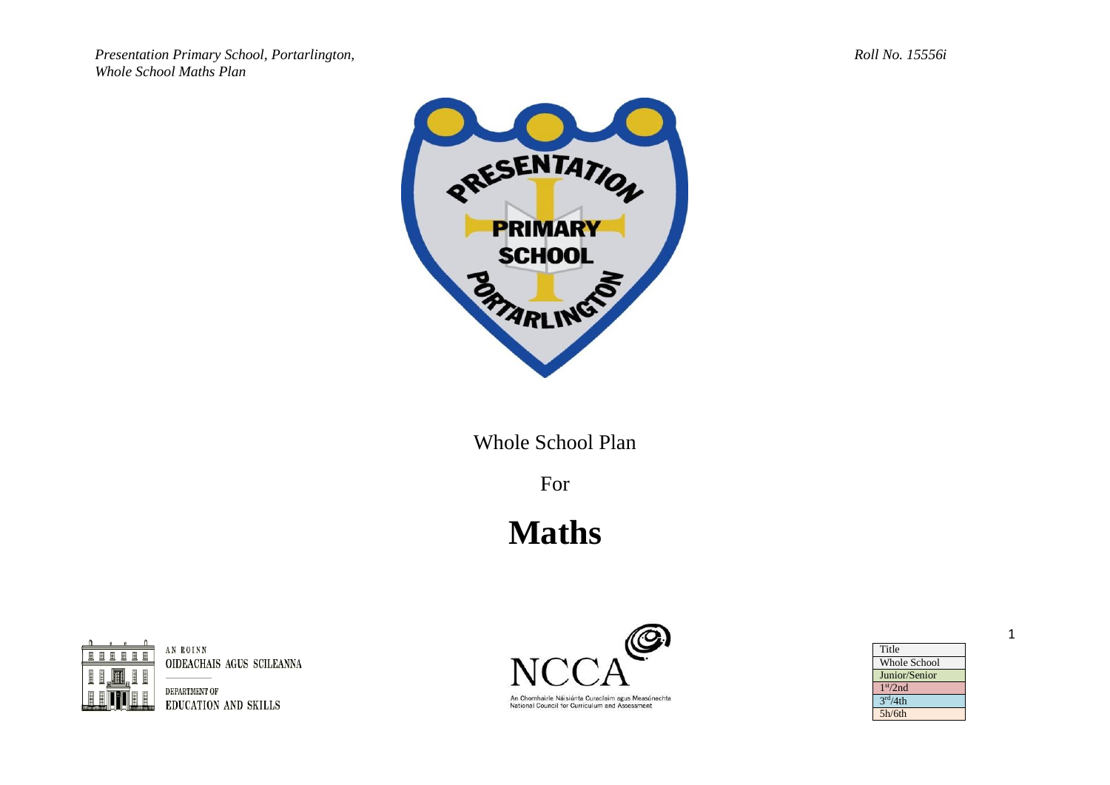*Presentation Primary School, Portarlington, Roll No. 15556i Whole School Maths Plan*



Whole School Plan

For

## **Maths**



AN ROINN OIDEACHAIS AGUS SCILEANNA

DEPARTMENT OF EDUCATION AND SKILLS



An Chomhairle Náisiúnta Curaclaim agus Measúnachta National Council for Curriculum and Assessment

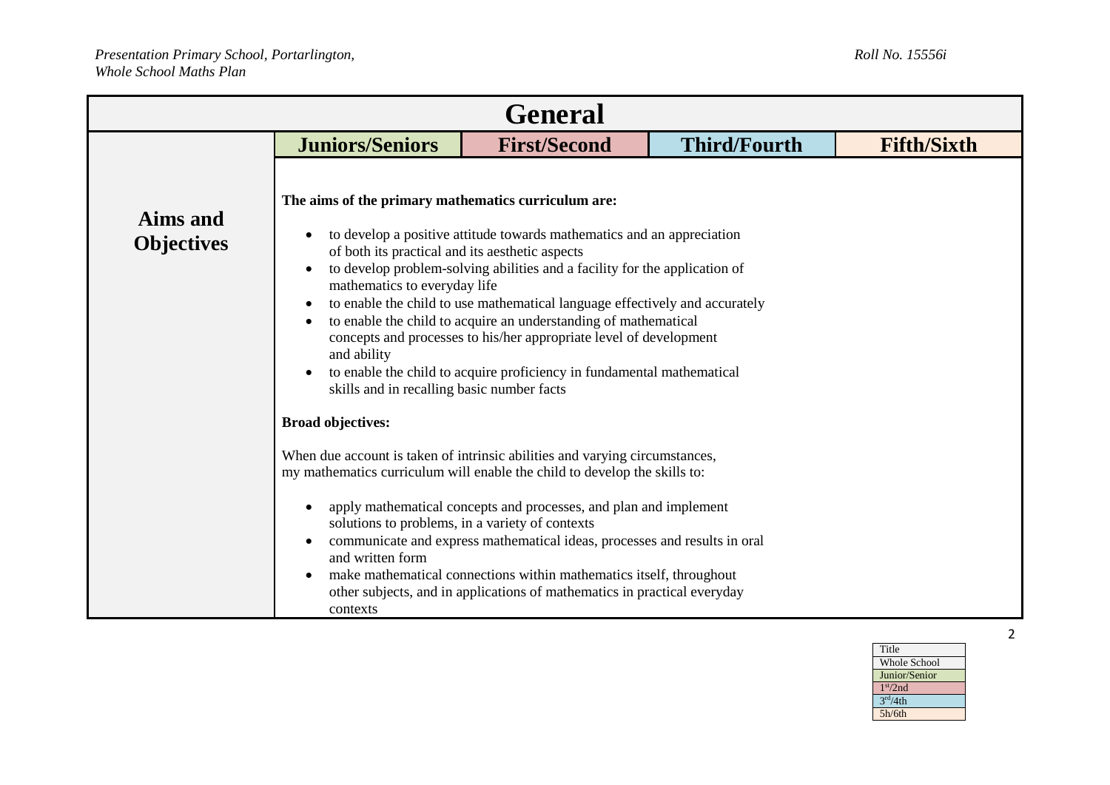| <b>General</b>                |                                                                                                                                                                                                                                                                                                                                                                                                                                                                                                                                                                                                                                                                                                                                                            |                                                                                                                                                                                                                                                                                                                                                                                |                     |                    |
|-------------------------------|------------------------------------------------------------------------------------------------------------------------------------------------------------------------------------------------------------------------------------------------------------------------------------------------------------------------------------------------------------------------------------------------------------------------------------------------------------------------------------------------------------------------------------------------------------------------------------------------------------------------------------------------------------------------------------------------------------------------------------------------------------|--------------------------------------------------------------------------------------------------------------------------------------------------------------------------------------------------------------------------------------------------------------------------------------------------------------------------------------------------------------------------------|---------------------|--------------------|
|                               | <b>Juniors/Seniors</b>                                                                                                                                                                                                                                                                                                                                                                                                                                                                                                                                                                                                                                                                                                                                     | <b>First/Second</b>                                                                                                                                                                                                                                                                                                                                                            | <b>Third/Fourth</b> | <b>Fifth/Sixth</b> |
| Aims and<br><b>Objectives</b> | The aims of the primary mathematics curriculum are:<br>to develop a positive attitude towards mathematics and an appreciation<br>$\bullet$<br>of both its practical and its aesthetic aspects<br>to develop problem-solving abilities and a facility for the application of<br>$\bullet$<br>mathematics to everyday life<br>to enable the child to use mathematical language effectively and accurately<br>$\bullet$<br>to enable the child to acquire an understanding of mathematical<br>$\bullet$<br>concepts and processes to his/her appropriate level of development<br>and ability<br>to enable the child to acquire proficiency in fundamental mathematical<br>$\bullet$<br>skills and in recalling basic number facts<br><b>Broad objectives:</b> |                                                                                                                                                                                                                                                                                                                                                                                |                     |                    |
|                               |                                                                                                                                                                                                                                                                                                                                                                                                                                                                                                                                                                                                                                                                                                                                                            | When due account is taken of intrinsic abilities and varying circumstances,                                                                                                                                                                                                                                                                                                    |                     |                    |
|                               | $\bullet$<br>solutions to problems, in a variety of contexts<br>$\bullet$<br>and written form<br>٠<br>contexts                                                                                                                                                                                                                                                                                                                                                                                                                                                                                                                                                                                                                                             | my mathematics curriculum will enable the child to develop the skills to:<br>apply mathematical concepts and processes, and plan and implement<br>communicate and express mathematical ideas, processes and results in oral<br>make mathematical connections within mathematics itself, throughout<br>other subjects, and in applications of mathematics in practical everyday |                     |                    |

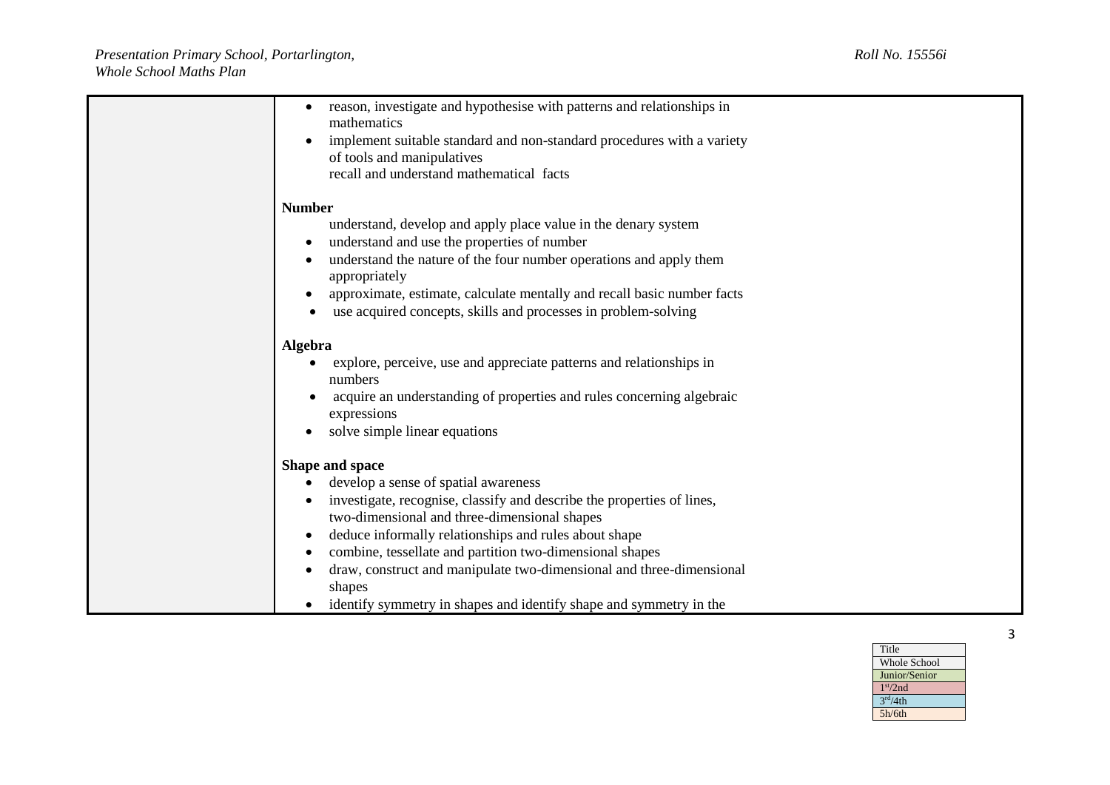| reason, investigate and hypothesise with patterns and relationships in<br>$\bullet$ |
|-------------------------------------------------------------------------------------|
| mathematics                                                                         |
| implement suitable standard and non-standard procedures with a variety              |
| of tools and manipulatives                                                          |
| recall and understand mathematical facts                                            |
|                                                                                     |
| <b>Number</b>                                                                       |
| understand, develop and apply place value in the denary system                      |
| understand and use the properties of number<br>$\bullet$                            |
| understand the nature of the four number operations and apply them                  |
| appropriately                                                                       |
| approximate, estimate, calculate mentally and recall basic number facts             |
| use acquired concepts, skills and processes in problem-solving                      |
| Algebra                                                                             |
| explore, perceive, use and appreciate patterns and relationships in                 |
| numbers                                                                             |
| acquire an understanding of properties and rules concerning algebraic               |
| expressions                                                                         |
| solve simple linear equations                                                       |
| Shape and space                                                                     |
| develop a sense of spatial awareness                                                |
|                                                                                     |
| investigate, recognise, classify and describe the properties of lines,              |
| two-dimensional and three-dimensional shapes                                        |
| deduce informally relationships and rules about shape<br>$\bullet$                  |
| combine, tessellate and partition two-dimensional shapes                            |
| draw, construct and manipulate two-dimensional and three-dimensional<br>$\bullet$   |
| shapes                                                                              |
| identify symmetry in shapes and identify shape and symmetry in the                  |

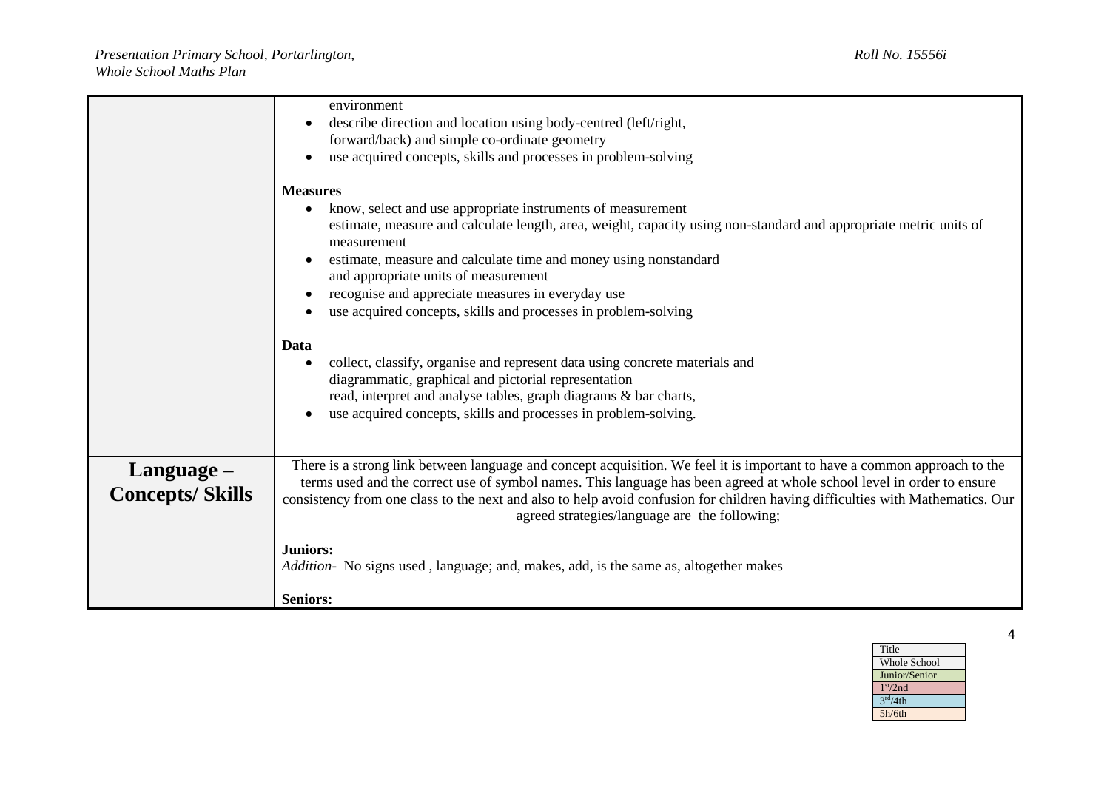|                                         | environment<br>describe direction and location using body-centred (left/right,<br>forward/back) and simple co-ordinate geometry                                                                                                                                                                                                                                                                                                                                                 |  |
|-----------------------------------------|---------------------------------------------------------------------------------------------------------------------------------------------------------------------------------------------------------------------------------------------------------------------------------------------------------------------------------------------------------------------------------------------------------------------------------------------------------------------------------|--|
|                                         | use acquired concepts, skills and processes in problem-solving                                                                                                                                                                                                                                                                                                                                                                                                                  |  |
|                                         | <b>Measures</b><br>know, select and use appropriate instruments of measurement<br>$\bullet$<br>estimate, measure and calculate length, area, weight, capacity using non-standard and appropriate metric units of<br>measurement<br>estimate, measure and calculate time and money using nonstandard<br>$\bullet$<br>and appropriate units of measurement<br>recognise and appreciate measures in everyday use<br>use acquired concepts, skills and processes in problem-solving |  |
|                                         | Data<br>collect, classify, organise and represent data using concrete materials and<br>$\bullet$<br>diagrammatic, graphical and pictorial representation<br>read, interpret and analyse tables, graph diagrams & bar charts,<br>use acquired concepts, skills and processes in problem-solving.<br>$\bullet$                                                                                                                                                                    |  |
| $L$ anguage –<br><b>Concepts/Skills</b> | There is a strong link between language and concept acquisition. We feel it is important to have a common approach to the<br>terms used and the correct use of symbol names. This language has been agreed at whole school level in order to ensure<br>consistency from one class to the next and also to help avoid confusion for children having difficulties with Mathematics. Our<br>agreed strategies/language are the following;                                          |  |
|                                         | <b>Juniors:</b><br>Addition- No signs used, language; and, makes, add, is the same as, altogether makes<br><b>Seniors:</b>                                                                                                                                                                                                                                                                                                                                                      |  |

Title Whole School Junior/Senior 1 st/2nd  $3<sup>rd</sup>/4th$ 5h/6th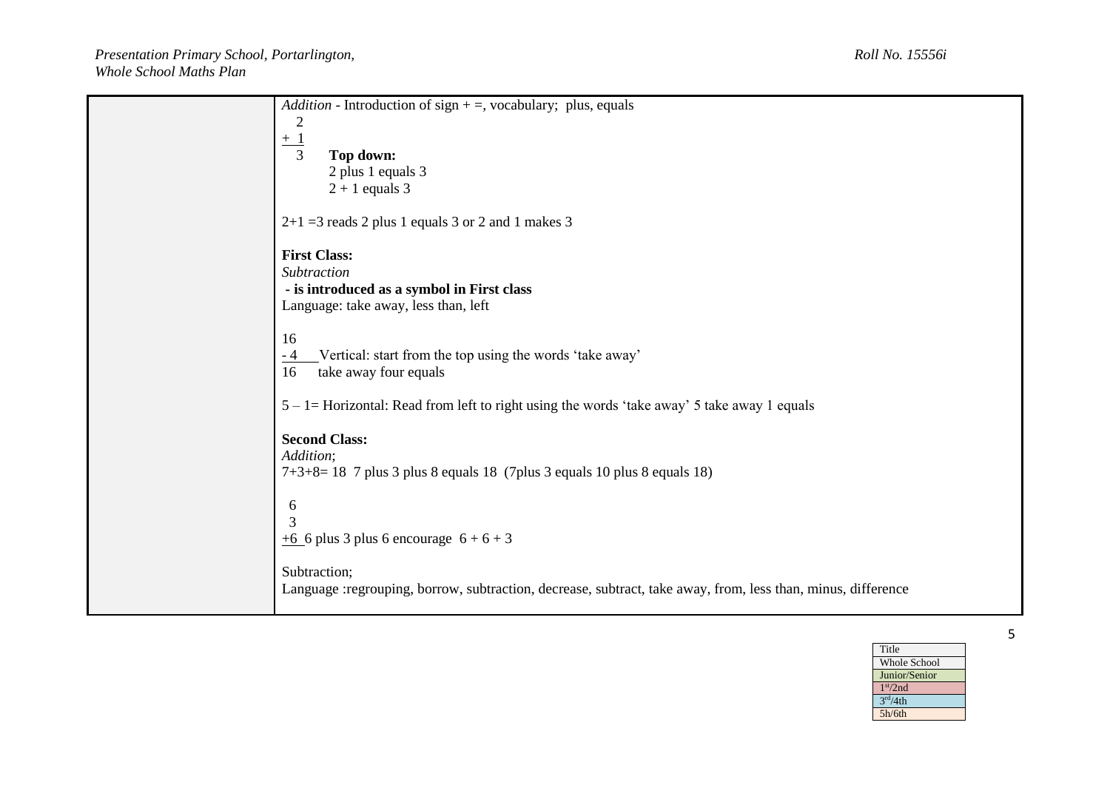| <i>Addition</i> - Introduction of sign $+$ =, vocabulary; plus, equals                                       |
|--------------------------------------------------------------------------------------------------------------|
|                                                                                                              |
|                                                                                                              |
| 3<br>Top down:                                                                                               |
| 2 plus 1 equals 3                                                                                            |
| $2 + 1$ equals 3                                                                                             |
| $2+1=3$ reads 2 plus 1 equals 3 or 2 and 1 makes 3                                                           |
| <b>First Class:</b>                                                                                          |
| Subtraction                                                                                                  |
| - is introduced as a symbol in First class                                                                   |
| Language: take away, less than, left                                                                         |
| 16                                                                                                           |
| Vertical: start from the top using the words 'take away'<br>- 4                                              |
| take away four equals<br>16                                                                                  |
|                                                                                                              |
| $5 - 1$ = Horizontal: Read from left to right using the words 'take away' 5 take away 1 equals               |
|                                                                                                              |
| <b>Second Class:</b>                                                                                         |
| Addition;<br>$7+3+8=18$ 7 plus 3 plus 8 equals 18 (7 plus 3 equals 10 plus 8 equals 18)                      |
|                                                                                                              |
| 6                                                                                                            |
| 3                                                                                                            |
| $\pm 6$ 6 plus 3 plus 6 encourage 6 + 6 + 3                                                                  |
|                                                                                                              |
| Subtraction;                                                                                                 |
| Language :regrouping, borrow, subtraction, decrease, subtract, take away, from, less than, minus, difference |
|                                                                                                              |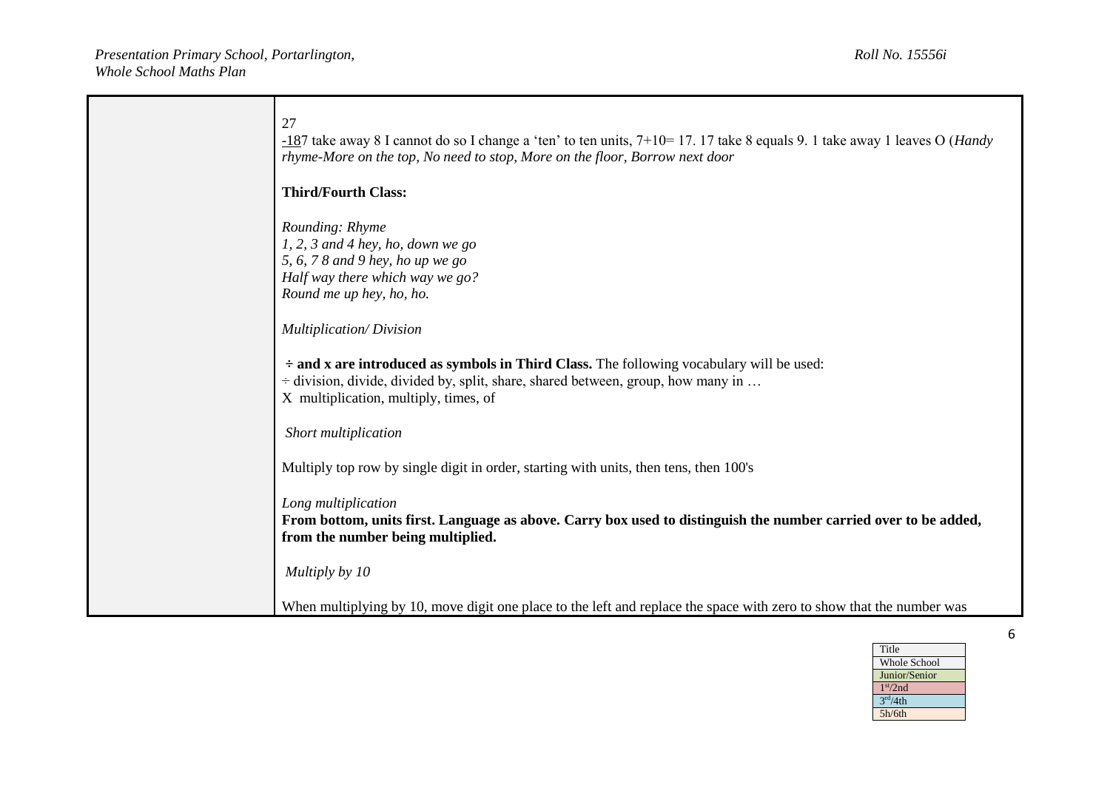| 27<br>$-187$ take away 8 I cannot do so I change a 'ten' to ten units, $7+10=17$ . 17 take 8 equals 9. 1 take away 1 leaves O ( <i>Handy</i><br>rhyme-More on the top, No need to stop, More on the floor, Borrow next door                                       |
|-------------------------------------------------------------------------------------------------------------------------------------------------------------------------------------------------------------------------------------------------------------------|
| <b>Third/Fourth Class:</b>                                                                                                                                                                                                                                        |
| Rounding: Rhyme<br>$1, 2, 3$ and 4 hey, ho, down we go<br>5, 6, 7 8 and 9 hey, ho up we go<br>Half way there which way we go?<br>Round me up hey, ho, ho.                                                                                                         |
| <b>Multiplication/Division</b><br>$\div$ and x are introduced as symbols in Third Class. The following vocabulary will be used:<br>$\div$ division, divide, divided by, split, share, shared between, group, how many in<br>X multiplication, multiply, times, of |
| Short multiplication                                                                                                                                                                                                                                              |
| Multiply top row by single digit in order, starting with units, then tens, then 100's                                                                                                                                                                             |
| Long multiplication<br>From bottom, units first. Language as above. Carry box used to distinguish the number carried over to be added,<br>from the number being multiplied.                                                                                       |
| Multiply by 10                                                                                                                                                                                                                                                    |
| When multiplying by 10, move digit one place to the left and replace the space with zero to show that the number was                                                                                                                                              |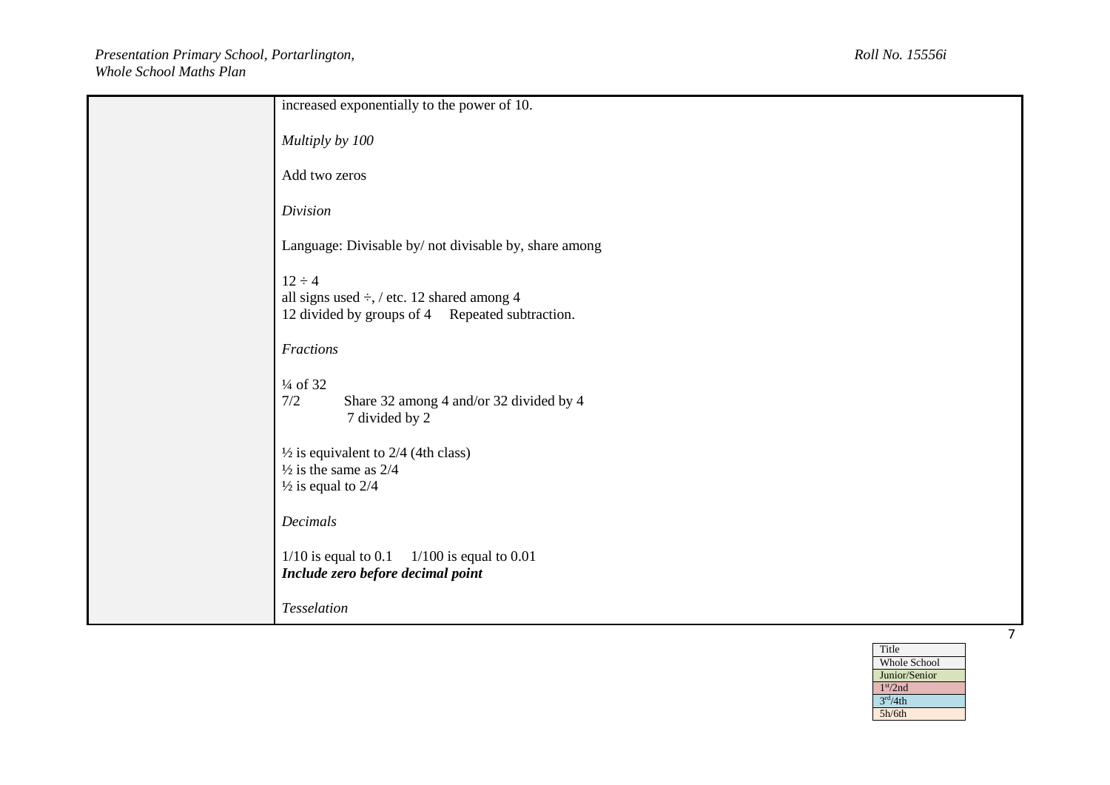| increased exponentially to the power of 10.                                                                         |
|---------------------------------------------------------------------------------------------------------------------|
| Multiply by 100                                                                                                     |
| Add two zeros                                                                                                       |
| Division                                                                                                            |
| Language: Divisable by/ not divisable by, share among                                                               |
| $12 \div 4$<br>all signs used $\div$ , / etc. 12 shared among 4<br>12 divided by groups of 4 Repeated subtraction.  |
| Fractions                                                                                                           |
| $\frac{1}{4}$ of 32<br>7/2<br>Share 32 among 4 and/or 32 divided by 4<br>7 divided by 2                             |
| $\frac{1}{2}$ is equivalent to 2/4 (4th class)<br>$\frac{1}{2}$ is the same as 2/4<br>$\frac{1}{2}$ is equal to 2/4 |
| Decimals                                                                                                            |
| $1/100$ is equal to 0.01<br>$1/10$ is equal to 0.1<br>Include zero before decimal point                             |
| Tesselation                                                                                                         |

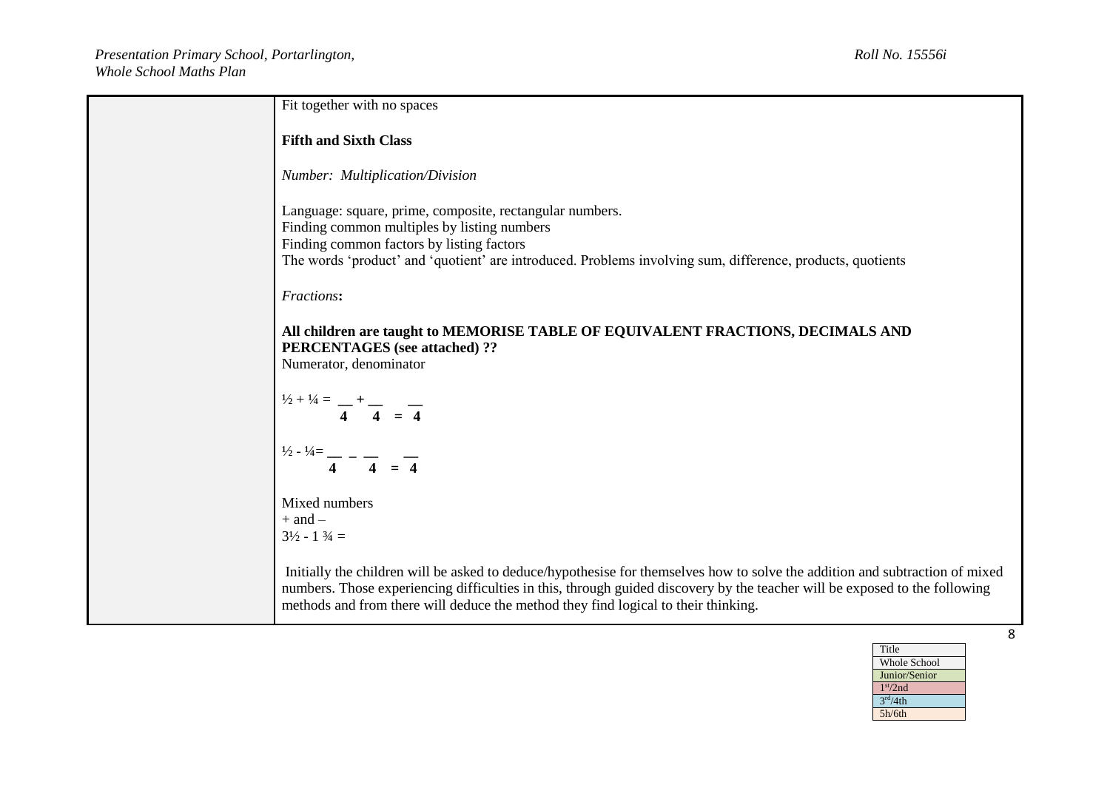| Fit together with no spaces                                                                                                                                                                                                                                                                                                                      |   |
|--------------------------------------------------------------------------------------------------------------------------------------------------------------------------------------------------------------------------------------------------------------------------------------------------------------------------------------------------|---|
| <b>Fifth and Sixth Class</b>                                                                                                                                                                                                                                                                                                                     |   |
| <b>Number:</b> Multiplication/Division                                                                                                                                                                                                                                                                                                           |   |
| Language: square, prime, composite, rectangular numbers.<br>Finding common multiples by listing numbers                                                                                                                                                                                                                                          |   |
| Finding common factors by listing factors<br>The words 'product' and 'quotient' are introduced. Problems involving sum, difference, products, quotients                                                                                                                                                                                          |   |
| Fractions:                                                                                                                                                                                                                                                                                                                                       |   |
| All children are taught to MEMORISE TABLE OF EQUIVALENT FRACTIONS, DECIMALS AND<br><b>PERCENTAGES</b> (see attached) ??<br>Numerator, denominator                                                                                                                                                                                                |   |
| $\int_1^{1/2 + 1/4} = \frac{1}{4} + \frac{1}{4} = \frac{1}{4}$                                                                                                                                                                                                                                                                                   |   |
| $\frac{1}{2} - \frac{1}{4} = \frac{1}{4} - \frac{1}{4} = \frac{1}{4}$                                                                                                                                                                                                                                                                            |   |
| Mixed numbers<br>$+$ and $-$<br>$3\frac{1}{2} - 1 \frac{3}{4} =$                                                                                                                                                                                                                                                                                 |   |
| Initially the children will be asked to deduce/hypothesise for themselves how to solve the addition and subtraction of mixed<br>numbers. Those experiencing difficulties in this, through guided discovery by the teacher will be exposed to the following<br>methods and from there will deduce the method they find logical to their thinking. |   |
|                                                                                                                                                                                                                                                                                                                                                  | 8 |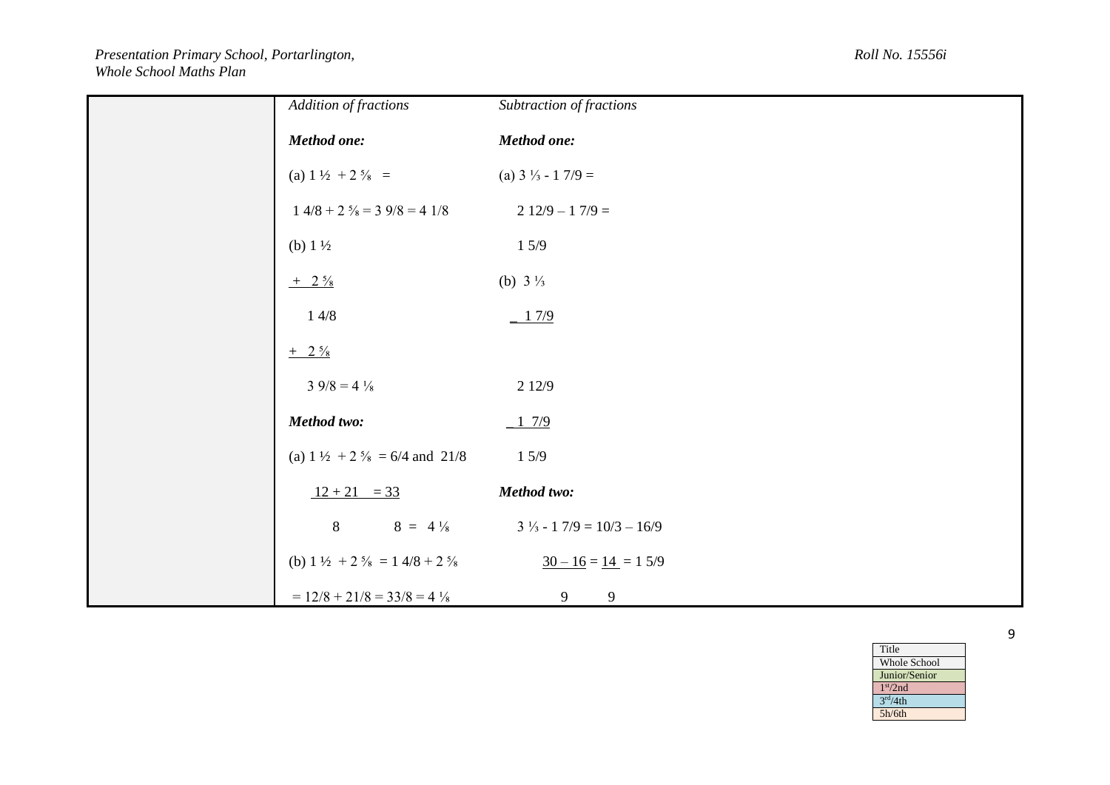## *Presentation Primary School, Portarlington, Roll No. 15556i Whole School Maths Plan*

| Addition of fractions                                           | Subtraction of fractions                    |
|-----------------------------------------------------------------|---------------------------------------------|
| Method one:                                                     | Method one:                                 |
| (a) $1\frac{1}{2} + 2\frac{5}{8} =$                             | (a) $3\frac{1}{3}$ - 1 7/9 =                |
| $1\ 4/8 + 2\ \frac{5}{8} = 3\ 9/8 = 4\ 1/8$                     | $212/9 - 17/9 =$                            |
| (b) $1\frac{1}{2}$                                              | 15/9                                        |
| $+$ 2 $\frac{5}{8}$                                             | (b) $3\frac{1}{3}$                          |
| 14/8                                                            | $-17/9$                                     |
| $+$ 2 $\frac{5}{8}$                                             |                                             |
| $3\,9/8=4\frac{1}{8}$                                           | 2 1 2 / 9                                   |
| Method two:                                                     | 17/9                                        |
| (a) $1\frac{1}{2} + 2\frac{5}{8} = 6/4$ and $21/8$              | 15/9                                        |
| $12 + 21 = 33$                                                  | Method two:                                 |
| 8<br>$8 = 4\frac{1}{8}$                                         | $3\frac{1}{3} - 17/9 = 10/3 - 16/9$         |
| (b) $1\frac{1}{2} + 2\frac{5}{8} = 1\frac{4}{8} + 2\frac{5}{8}$ | $\underline{30-16} = \underline{14} = 15/9$ |
| $= 12/8 + 21/8 = 33/8 = 4\frac{1}{8}$                           | 9<br>9                                      |

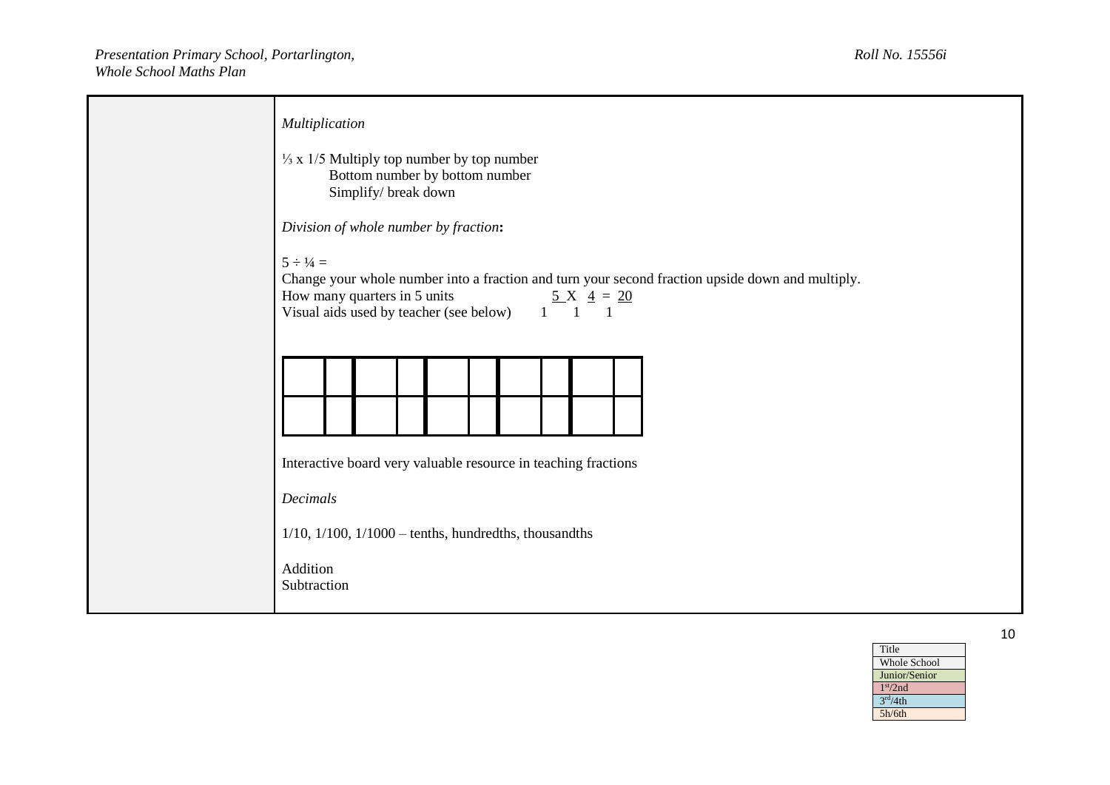| Multiplication<br>$\frac{1}{3}$ x 1/5 Multiply top number by top number<br>Bottom number by bottom number<br>Simplify/ break down                                                                                                                                        |
|--------------------------------------------------------------------------------------------------------------------------------------------------------------------------------------------------------------------------------------------------------------------------|
| Division of whole number by fraction:                                                                                                                                                                                                                                    |
| $5 \div 1/4 =$<br>Change your whole number into a fraction and turn your second fraction upside down and multiply.<br>How many quarters in 5 units<br>$\underline{5} X \underline{4} = \underline{20}$<br>Visual aids used by teacher (see below)<br>$1 \quad 1 \quad 1$ |
|                                                                                                                                                                                                                                                                          |
|                                                                                                                                                                                                                                                                          |
| Interactive board very valuable resource in teaching fractions<br>Decimals<br>$1/10$ , $1/100$ , $1/1000$ – tenths, hundredths, thousandths<br>Addition<br>Subtraction                                                                                                   |

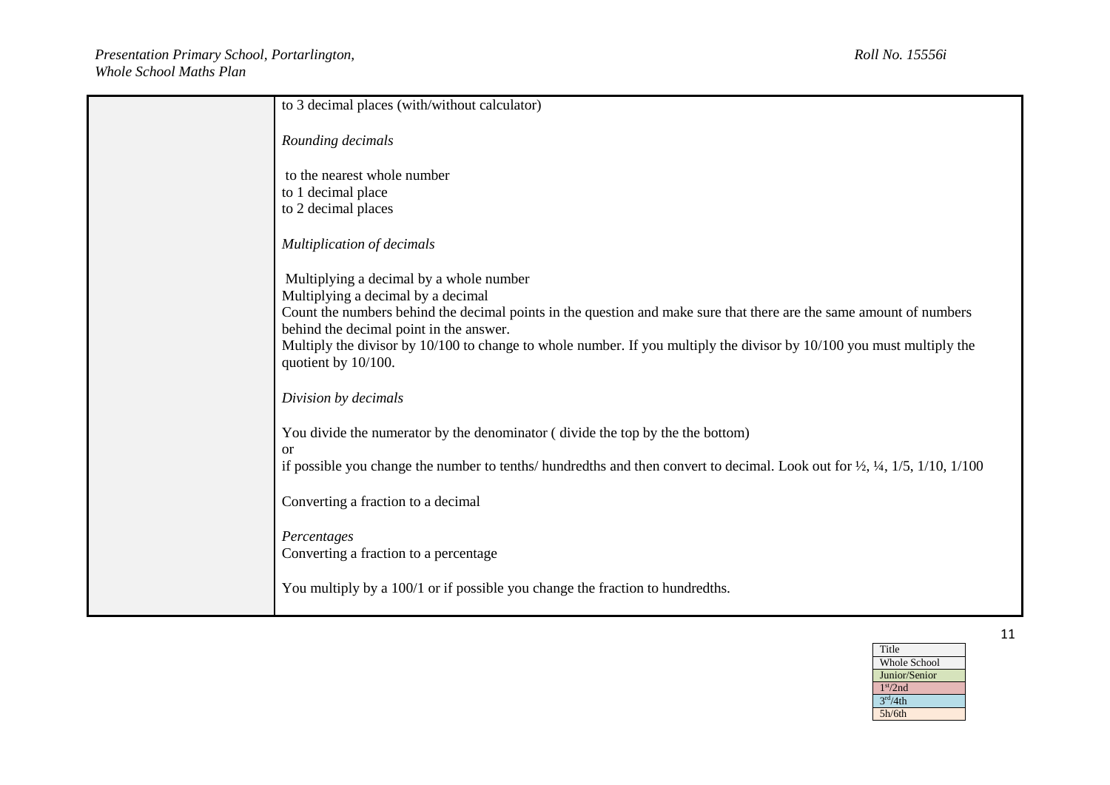| to 3 decimal places (with/without calculator)                                                                                                                                                                                                                                                                                                                                                   |
|-------------------------------------------------------------------------------------------------------------------------------------------------------------------------------------------------------------------------------------------------------------------------------------------------------------------------------------------------------------------------------------------------|
| Rounding decimals                                                                                                                                                                                                                                                                                                                                                                               |
| to the nearest whole number                                                                                                                                                                                                                                                                                                                                                                     |
| to 1 decimal place<br>to 2 decimal places                                                                                                                                                                                                                                                                                                                                                       |
| <b>Multiplication of decimals</b>                                                                                                                                                                                                                                                                                                                                                               |
| Multiplying a decimal by a whole number<br>Multiplying a decimal by a decimal<br>Count the numbers behind the decimal points in the question and make sure that there are the same amount of numbers<br>behind the decimal point in the answer.<br>Multiply the divisor by 10/100 to change to whole number. If you multiply the divisor by 10/100 you must multiply the<br>quotient by 10/100. |
| Division by decimals                                                                                                                                                                                                                                                                                                                                                                            |
| You divide the numerator by the denominator (divide the top by the the bottom)<br><sub>or</sub><br>if possible you change the number to tenths/ hundredths and then convert to decimal. Look out for $\frac{1}{2}$ , $\frac{1}{4}$ , $\frac{1}{5}$ , $\frac{1}{10}$ , $\frac{1}{100}$                                                                                                           |
| Converting a fraction to a decimal                                                                                                                                                                                                                                                                                                                                                              |
| Percentages<br>Converting a fraction to a percentage                                                                                                                                                                                                                                                                                                                                            |
| You multiply by a 100/1 or if possible you change the fraction to hundredths.                                                                                                                                                                                                                                                                                                                   |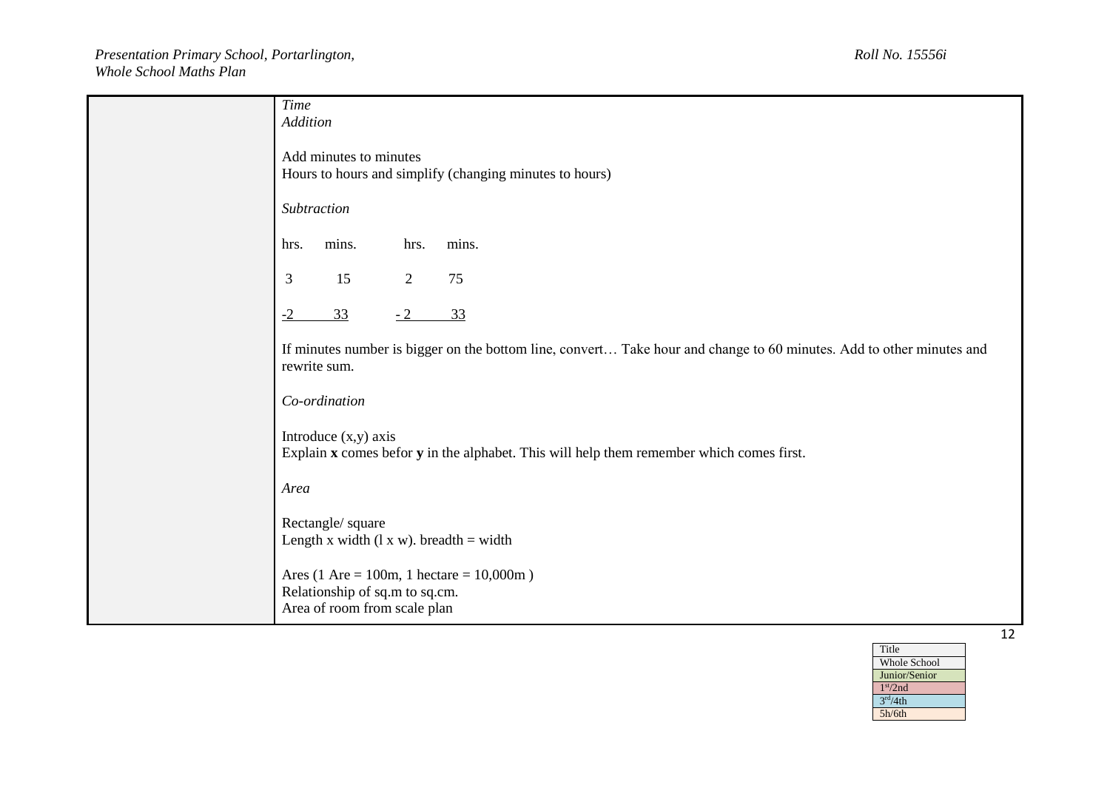| <b>Time</b><br>Addition                                                                                                              |  |
|--------------------------------------------------------------------------------------------------------------------------------------|--|
| Add minutes to minutes<br>Hours to hours and simplify (changing minutes to hours)                                                    |  |
| Subtraction                                                                                                                          |  |
| mins.<br>mins.<br>hrs.<br>hrs.                                                                                                       |  |
| 15<br>$\mathfrak{Z}$<br>$\overline{2}$<br>75                                                                                         |  |
| 33<br>$-2$<br>33<br>$-2$                                                                                                             |  |
| If minutes number is bigger on the bottom line, convert Take hour and change to 60 minutes. Add to other minutes and<br>rewrite sum. |  |
| Co-ordination                                                                                                                        |  |
| Introduce $(x,y)$ axis<br>Explain x comes befor y in the alphabet. This will help them remember which comes first.                   |  |
| Area                                                                                                                                 |  |
| Rectangle/ square<br>Length x width $(1 x w)$ . breadth = width                                                                      |  |
| Area (1 Are = 100m, 1 hectare = $10,000$ m)<br>Relationship of sq.m to sq.cm.<br>Area of room from scale plan                        |  |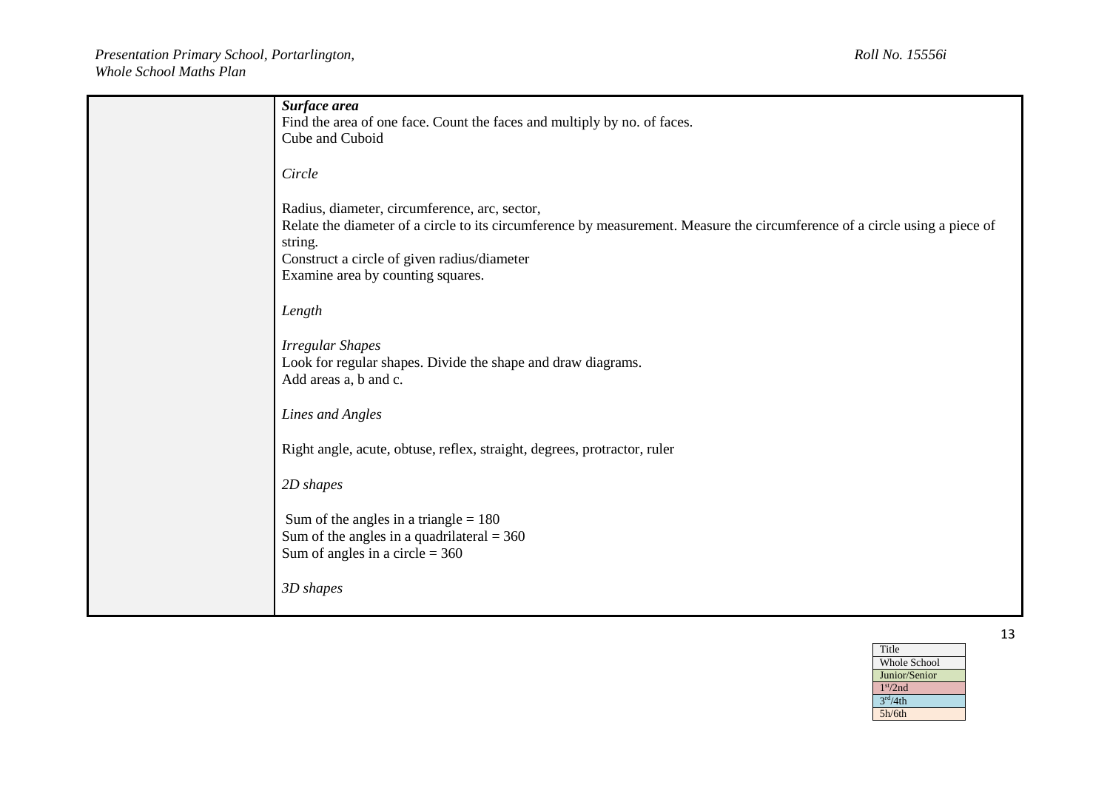| Surface area<br>Find the area of one face. Count the faces and multiply by no. of faces.                                                                                                                                                                                    |
|-----------------------------------------------------------------------------------------------------------------------------------------------------------------------------------------------------------------------------------------------------------------------------|
| Cube and Cuboid                                                                                                                                                                                                                                                             |
| Circle                                                                                                                                                                                                                                                                      |
| Radius, diameter, circumference, arc, sector,<br>Relate the diameter of a circle to its circumference by measurement. Measure the circumference of a circle using a piece of<br>string.<br>Construct a circle of given radius/diameter<br>Examine area by counting squares. |
| Length                                                                                                                                                                                                                                                                      |
| <b>Irregular Shapes</b><br>Look for regular shapes. Divide the shape and draw diagrams.<br>Add areas a, b and c.                                                                                                                                                            |
| Lines and Angles                                                                                                                                                                                                                                                            |
| Right angle, acute, obtuse, reflex, straight, degrees, protractor, ruler                                                                                                                                                                                                    |
| 2D shapes                                                                                                                                                                                                                                                                   |
| Sum of the angles in a triangle $= 180$<br>Sum of the angles in a quadrilateral $=$ 360<br>Sum of angles in a circle $= 360$                                                                                                                                                |
| 3D shapes                                                                                                                                                                                                                                                                   |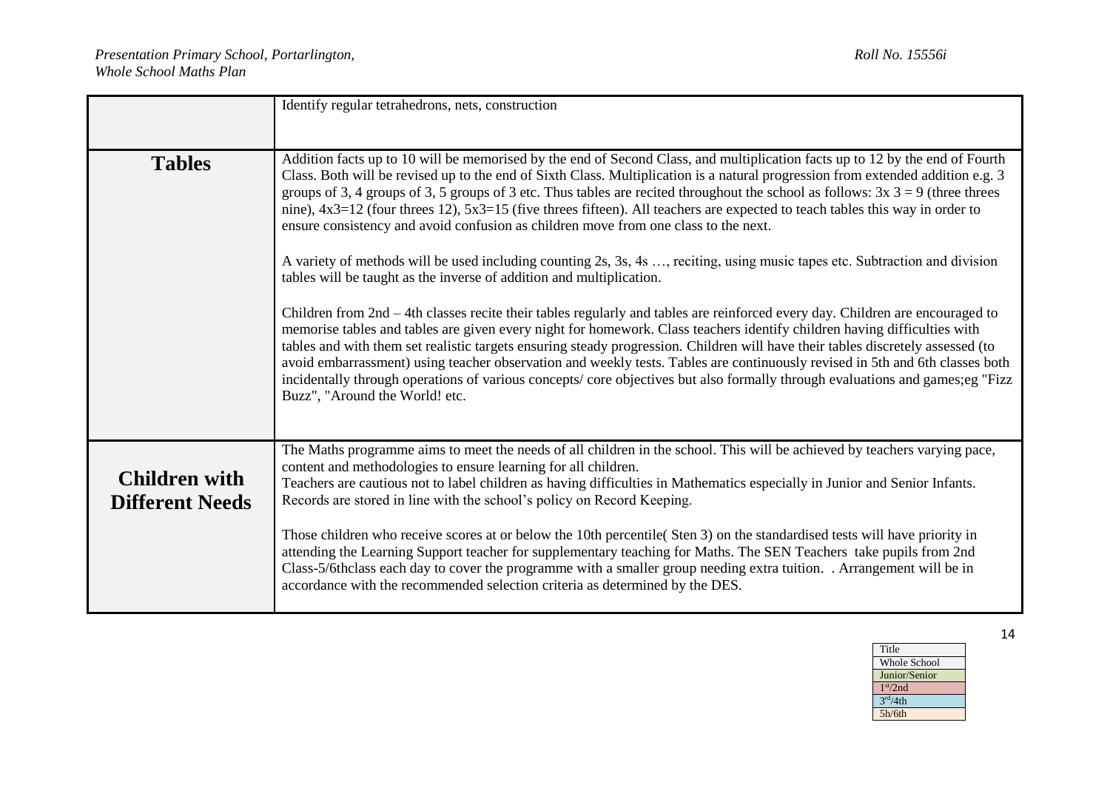|                                                | Identify regular tetrahedrons, nets, construction                                                                                                                                                                                                                                                                                                                                                                                                                                                                                                                                                                                                                                                                                                                                                                                                                                                                                                                                                                                                                                                                                                                                                                                                                                                                                                                                                                                                                                                                                      |
|------------------------------------------------|----------------------------------------------------------------------------------------------------------------------------------------------------------------------------------------------------------------------------------------------------------------------------------------------------------------------------------------------------------------------------------------------------------------------------------------------------------------------------------------------------------------------------------------------------------------------------------------------------------------------------------------------------------------------------------------------------------------------------------------------------------------------------------------------------------------------------------------------------------------------------------------------------------------------------------------------------------------------------------------------------------------------------------------------------------------------------------------------------------------------------------------------------------------------------------------------------------------------------------------------------------------------------------------------------------------------------------------------------------------------------------------------------------------------------------------------------------------------------------------------------------------------------------------|
| <b>Tables</b>                                  | Addition facts up to 10 will be memorised by the end of Second Class, and multiplication facts up to 12 by the end of Fourth<br>Class. Both will be revised up to the end of Sixth Class. Multiplication is a natural progression from extended addition e.g. 3<br>groups of 3, 4 groups of 3, 5 groups of 3 etc. Thus tables are recited throughout the school as follows: $3x$ 3 = 9 (three threes<br>nine), 4x3=12 (four threes 12), 5x3=15 (five threes fifteen). All teachers are expected to teach tables this way in order to<br>ensure consistency and avoid confusion as children move from one class to the next.<br>A variety of methods will be used including counting 2s, 3s, 4s , reciting, using music tapes etc. Subtraction and division<br>tables will be taught as the inverse of addition and multiplication.<br>Children from $2nd - 4th$ classes recite their tables regularly and tables are reinforced every day. Children are encouraged to<br>memorise tables and tables are given every night for homework. Class teachers identify children having difficulties with<br>tables and with them set realistic targets ensuring steady progression. Children will have their tables discretely assessed (to<br>avoid embarrassment) using teacher observation and weekly tests. Tables are continuously revised in 5th and 6th classes both<br>incidentally through operations of various concepts/core objectives but also formally through evaluations and games;eg "Fizz<br>Buzz", "Around the World! etc. |
| <b>Children with</b><br><b>Different Needs</b> | The Maths programme aims to meet the needs of all children in the school. This will be achieved by teachers varying pace,<br>content and methodologies to ensure learning for all children.<br>Teachers are cautious not to label children as having difficulties in Mathematics especially in Junior and Senior Infants.<br>Records are stored in line with the school's policy on Record Keeping.<br>Those children who receive scores at or below the 10th percentile(Sten 3) on the standardised tests will have priority in<br>attending the Learning Support teacher for supplementary teaching for Maths. The SEN Teachers take pupils from 2nd<br>Class-5/6thclass each day to cover the programme with a smaller group needing extra tuition. . Arrangement will be in<br>accordance with the recommended selection criteria as determined by the DES.                                                                                                                                                                                                                                                                                                                                                                                                                                                                                                                                                                                                                                                                        |

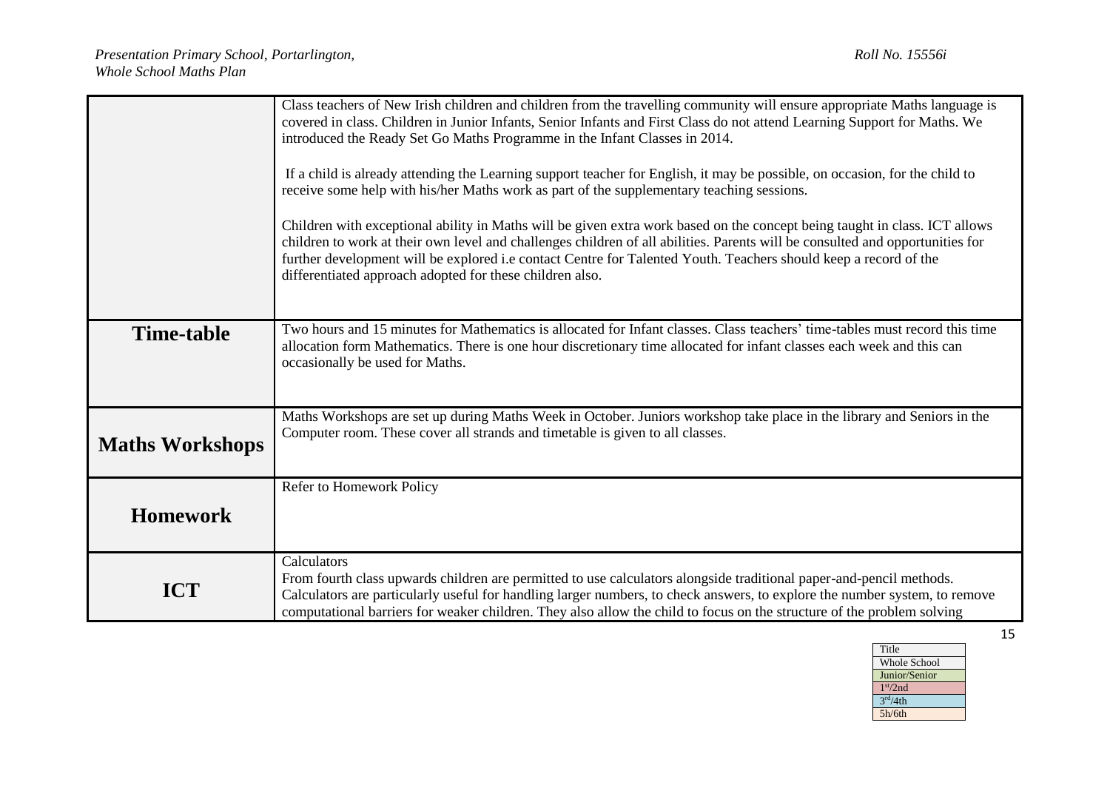|                                                                                                                                                  | Class teachers of New Irish children and children from the travelling community will ensure appropriate Maths language is     |  |  |  |  |
|--------------------------------------------------------------------------------------------------------------------------------------------------|-------------------------------------------------------------------------------------------------------------------------------|--|--|--|--|
|                                                                                                                                                  | covered in class. Children in Junior Infants, Senior Infants and First Class do not attend Learning Support for Maths. We     |  |  |  |  |
|                                                                                                                                                  | introduced the Ready Set Go Maths Programme in the Infant Classes in 2014.                                                    |  |  |  |  |
|                                                                                                                                                  |                                                                                                                               |  |  |  |  |
|                                                                                                                                                  | If a child is already attending the Learning support teacher for English, it may be possible, on occasion, for the child to   |  |  |  |  |
|                                                                                                                                                  | receive some help with his/her Maths work as part of the supplementary teaching sessions.                                     |  |  |  |  |
|                                                                                                                                                  |                                                                                                                               |  |  |  |  |
|                                                                                                                                                  |                                                                                                                               |  |  |  |  |
|                                                                                                                                                  | Children with exceptional ability in Maths will be given extra work based on the concept being taught in class. ICT allows    |  |  |  |  |
|                                                                                                                                                  | children to work at their own level and challenges children of all abilities. Parents will be consulted and opportunities for |  |  |  |  |
|                                                                                                                                                  | further development will be explored i.e contact Centre for Talented Youth. Teachers should keep a record of the              |  |  |  |  |
|                                                                                                                                                  | differentiated approach adopted for these children also.                                                                      |  |  |  |  |
|                                                                                                                                                  |                                                                                                                               |  |  |  |  |
|                                                                                                                                                  |                                                                                                                               |  |  |  |  |
|                                                                                                                                                  |                                                                                                                               |  |  |  |  |
| Two hours and 15 minutes for Mathematics is allocated for Infant classes. Class teachers' time-tables must record this time<br><b>Time-table</b> |                                                                                                                               |  |  |  |  |
|                                                                                                                                                  | allocation form Mathematics. There is one hour discretionary time allocated for infant classes each week and this can         |  |  |  |  |
|                                                                                                                                                  | occasionally be used for Maths.                                                                                               |  |  |  |  |
|                                                                                                                                                  |                                                                                                                               |  |  |  |  |
|                                                                                                                                                  |                                                                                                                               |  |  |  |  |
|                                                                                                                                                  | Maths Workshops are set up during Maths Week in October. Juniors workshop take place in the library and Seniors in the        |  |  |  |  |
|                                                                                                                                                  | Computer room. These cover all strands and timetable is given to all classes.                                                 |  |  |  |  |
| <b>Maths Workshops</b>                                                                                                                           |                                                                                                                               |  |  |  |  |
|                                                                                                                                                  |                                                                                                                               |  |  |  |  |
|                                                                                                                                                  |                                                                                                                               |  |  |  |  |
|                                                                                                                                                  | Refer to Homework Policy                                                                                                      |  |  |  |  |
| <b>Homework</b>                                                                                                                                  |                                                                                                                               |  |  |  |  |
|                                                                                                                                                  |                                                                                                                               |  |  |  |  |
|                                                                                                                                                  | Calculators                                                                                                                   |  |  |  |  |
|                                                                                                                                                  | From fourth class upwards children are permitted to use calculators alongside traditional paper-and-pencil methods.           |  |  |  |  |
| <b>ICT</b>                                                                                                                                       |                                                                                                                               |  |  |  |  |
|                                                                                                                                                  | Calculators are particularly useful for handling larger numbers, to check answers, to explore the number system, to remove    |  |  |  |  |
|                                                                                                                                                  | computational barriers for weaker children. They also allow the child to focus on the structure of the problem solving        |  |  |  |  |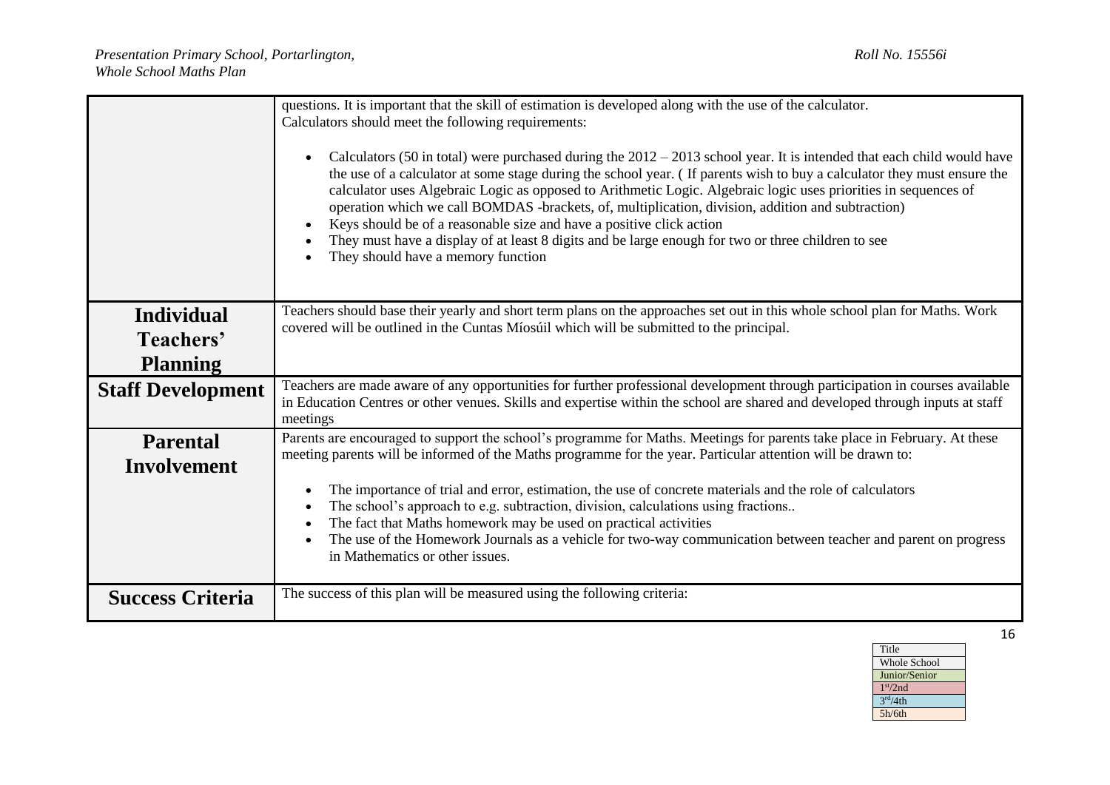|                          | questions. It is important that the skill of estimation is developed along with the use of the calculator.<br>Calculators should meet the following requirements:<br>Calculators (50 in total) were purchased during the $2012 - 2013$ school year. It is intended that each child would have<br>$\bullet$<br>the use of a calculator at some stage during the school year. (If parents wish to buy a calculator they must ensure the<br>calculator uses Algebraic Logic as opposed to Arithmetic Logic. Algebraic logic uses priorities in sequences of<br>operation which we call BOMDAS -brackets, of, multiplication, division, addition and subtraction)<br>Keys should be of a reasonable size and have a positive click action<br>$\bullet$<br>They must have a display of at least 8 digits and be large enough for two or three children to see<br>They should have a memory function |  |  |
|--------------------------|------------------------------------------------------------------------------------------------------------------------------------------------------------------------------------------------------------------------------------------------------------------------------------------------------------------------------------------------------------------------------------------------------------------------------------------------------------------------------------------------------------------------------------------------------------------------------------------------------------------------------------------------------------------------------------------------------------------------------------------------------------------------------------------------------------------------------------------------------------------------------------------------|--|--|
| <b>Individual</b>        | Teachers should base their yearly and short term plans on the approaches set out in this whole school plan for Maths. Work                                                                                                                                                                                                                                                                                                                                                                                                                                                                                                                                                                                                                                                                                                                                                                     |  |  |
| Teachers'                | covered will be outlined in the Cuntas Míosúil which will be submitted to the principal.                                                                                                                                                                                                                                                                                                                                                                                                                                                                                                                                                                                                                                                                                                                                                                                                       |  |  |
| <b>Planning</b>          |                                                                                                                                                                                                                                                                                                                                                                                                                                                                                                                                                                                                                                                                                                                                                                                                                                                                                                |  |  |
| <b>Staff Development</b> | Teachers are made aware of any opportunities for further professional development through participation in courses available<br>in Education Centres or other venues. Skills and expertise within the school are shared and developed through inputs at staff<br>meetings                                                                                                                                                                                                                                                                                                                                                                                                                                                                                                                                                                                                                      |  |  |
| <b>Parental</b>          | Parents are encouraged to support the school's programme for Maths. Meetings for parents take place in February. At these                                                                                                                                                                                                                                                                                                                                                                                                                                                                                                                                                                                                                                                                                                                                                                      |  |  |
| <b>Involvement</b>       | meeting parents will be informed of the Maths programme for the year. Particular attention will be drawn to:                                                                                                                                                                                                                                                                                                                                                                                                                                                                                                                                                                                                                                                                                                                                                                                   |  |  |
|                          | The importance of trial and error, estimation, the use of concrete materials and the role of calculators<br>$\bullet$                                                                                                                                                                                                                                                                                                                                                                                                                                                                                                                                                                                                                                                                                                                                                                          |  |  |
|                          | The school's approach to e.g. subtraction, division, calculations using fractions<br>$\bullet$<br>The fact that Maths homework may be used on practical activities<br>$\bullet$                                                                                                                                                                                                                                                                                                                                                                                                                                                                                                                                                                                                                                                                                                                |  |  |
|                          | The use of the Homework Journals as a vehicle for two-way communication between teacher and parent on progress<br>in Mathematics or other issues.                                                                                                                                                                                                                                                                                                                                                                                                                                                                                                                                                                                                                                                                                                                                              |  |  |
| <b>Success Criteria</b>  | The success of this plan will be measured using the following criteria:                                                                                                                                                                                                                                                                                                                                                                                                                                                                                                                                                                                                                                                                                                                                                                                                                        |  |  |

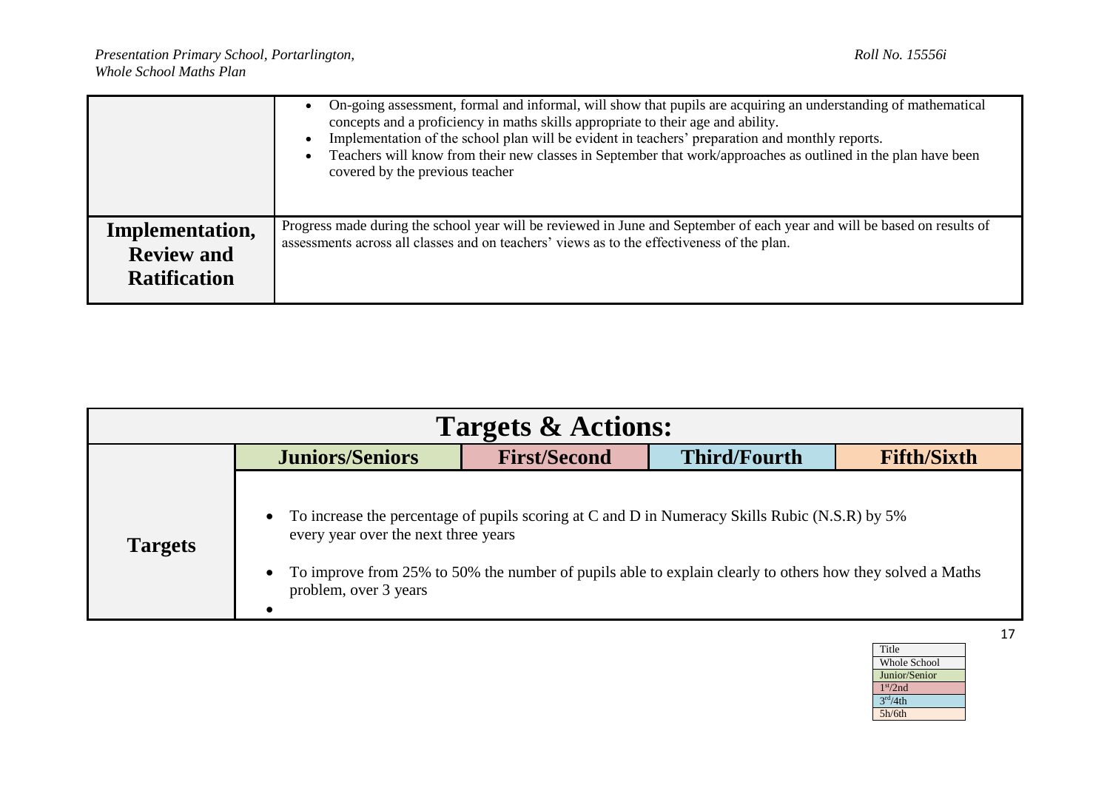|                                                             | On-going assessment, formal and informal, will show that pupils are acquiring an understanding of mathematical<br>concepts and a proficiency in maths skills appropriate to their age and ability.<br>Implementation of the school plan will be evident in teachers' preparation and monthly reports.<br>Teachers will know from their new classes in September that work/approaches as outlined in the plan have been<br>covered by the previous teacher |
|-------------------------------------------------------------|-----------------------------------------------------------------------------------------------------------------------------------------------------------------------------------------------------------------------------------------------------------------------------------------------------------------------------------------------------------------------------------------------------------------------------------------------------------|
| Implementation,<br><b>Review and</b><br><b>Ratification</b> | Progress made during the school year will be reviewed in June and September of each year and will be based on results of<br>assessments across all classes and on teachers' views as to the effectiveness of the plan.                                                                                                                                                                                                                                    |

| <b>Targets &amp; Actions:</b> |                                                                                         |                     |                                                                                                                                                                                                             |                    |
|-------------------------------|-----------------------------------------------------------------------------------------|---------------------|-------------------------------------------------------------------------------------------------------------------------------------------------------------------------------------------------------------|--------------------|
|                               | <b>Juniors/Seniors</b>                                                                  | <b>First/Second</b> | <b>Third/Fourth</b>                                                                                                                                                                                         | <b>Fifth/Sixth</b> |
| <b>Targets</b>                | $\bullet$<br>every year over the next three years<br>$\bullet$<br>problem, over 3 years |                     | To increase the percentage of pupils scoring at C and D in Numeracy Skills Rubic (N.S.R) by 5%<br>To improve from 25% to 50% the number of pupils able to explain clearly to others how they solved a Maths |                    |

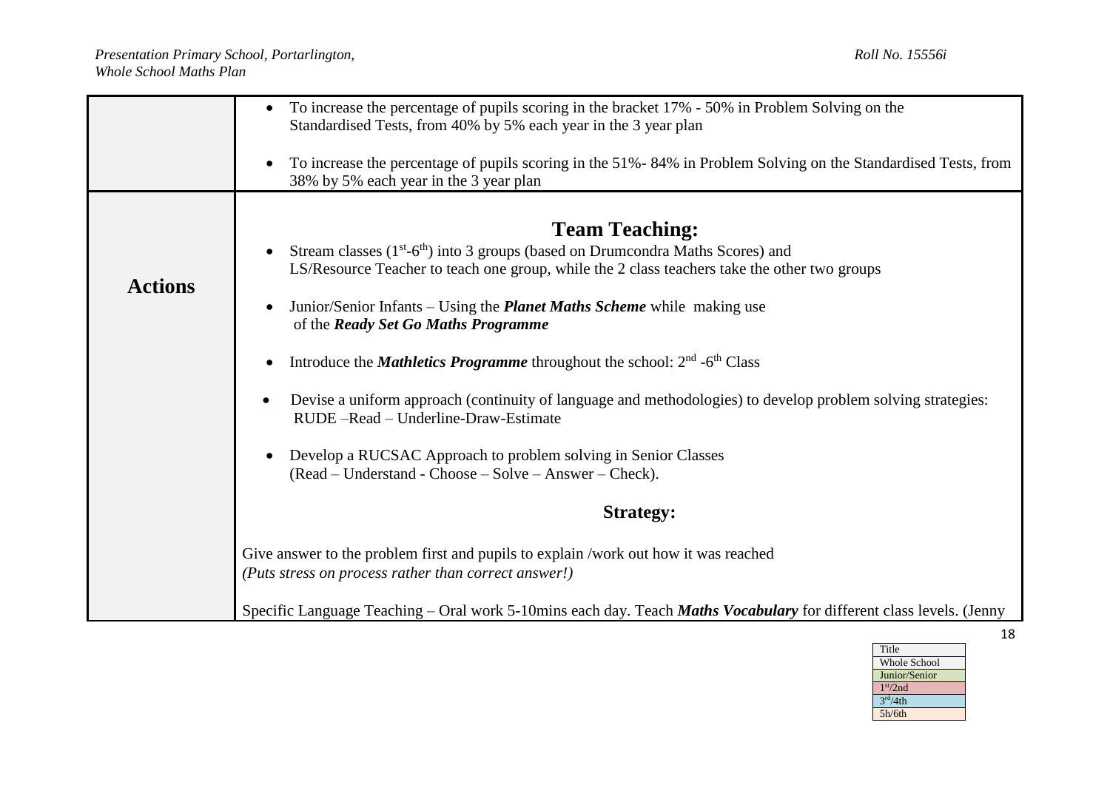|                | To increase the percentage of pupils scoring in the bracket 17% - 50% in Problem Solving on the<br>$\bullet$<br>Standardised Tests, from 40% by 5% each year in the 3 year plan                                      |  |  |  |  |  |  |
|----------------|----------------------------------------------------------------------------------------------------------------------------------------------------------------------------------------------------------------------|--|--|--|--|--|--|
|                | To increase the percentage of pupils scoring in the 51% - 84% in Problem Solving on the Standardised Tests, from<br>38% by 5% each year in the 3 year plan                                                           |  |  |  |  |  |  |
|                | <b>Team Teaching:</b><br>Stream classes $(1st-6th)$ into 3 groups (based on Drumcondra Maths Scores) and                                                                                                             |  |  |  |  |  |  |
| <b>Actions</b> | LS/Resource Teacher to teach one group, while the 2 class teachers take the other two groups<br>Junior/Senior Infants – Using the <i>Planet Maths Scheme</i> while making use<br>of the Ready Set Go Maths Programme |  |  |  |  |  |  |
|                | Introduce the <i>Mathletics Programme</i> throughout the school: $2nd$ -6 <sup>th</sup> Class                                                                                                                        |  |  |  |  |  |  |
|                | Devise a uniform approach (continuity of language and methodologies) to develop problem solving strategies:<br>RUDE-Read - Underline-Draw-Estimate                                                                   |  |  |  |  |  |  |
|                | Develop a RUCSAC Approach to problem solving in Senior Classes<br>(Read – Understand - Choose – Solve – Answer – Check).                                                                                             |  |  |  |  |  |  |
|                | <b>Strategy:</b>                                                                                                                                                                                                     |  |  |  |  |  |  |
|                | Give answer to the problem first and pupils to explain /work out how it was reached<br>(Puts stress on process rather than correct answer!)                                                                          |  |  |  |  |  |  |
|                | Specific Language Teaching – Oral work 5-10mins each day. Teach Maths Vocabulary for different class levels. (Jenny                                                                                                  |  |  |  |  |  |  |

| Title                |
|----------------------|
| Whole School         |
| Junior/Senior        |
| 1 <sup>st</sup> /2nd |
| 3 <sup>rd</sup> /4th |
| 5h/6th               |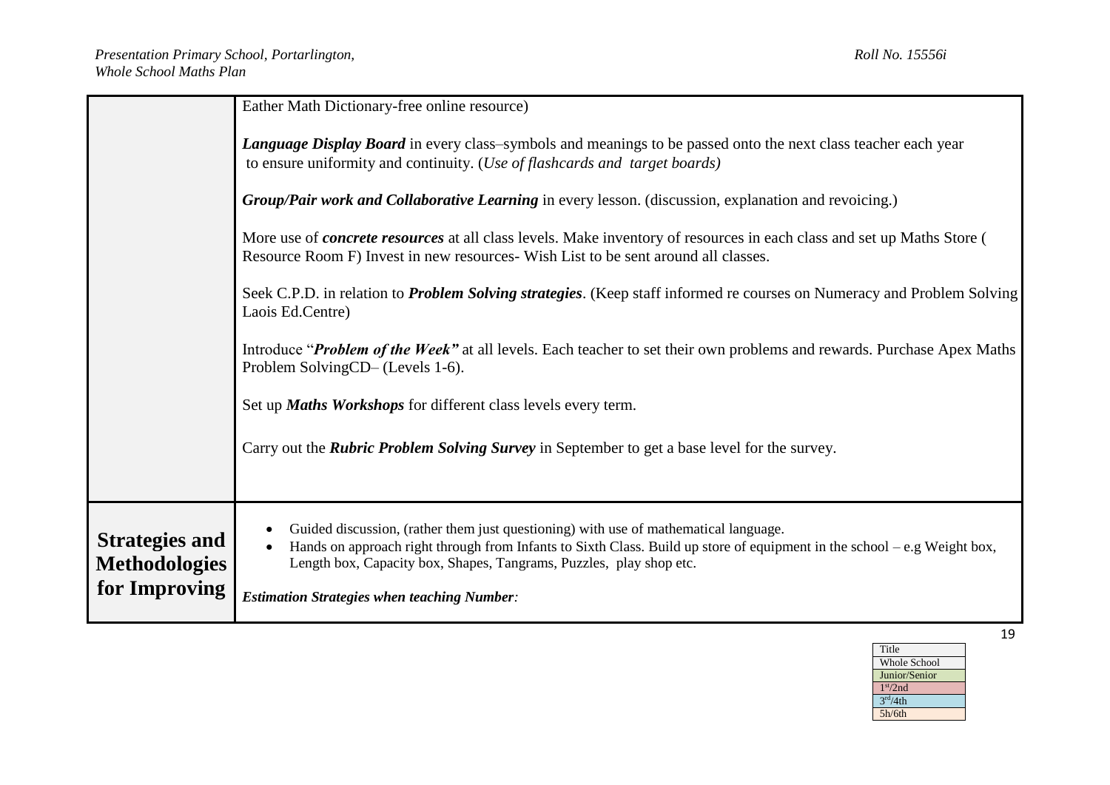|                                                                | Eather Math Dictionary-free online resource)                                                                                                                                                                                                                                                                                                  |  |  |  |
|----------------------------------------------------------------|-----------------------------------------------------------------------------------------------------------------------------------------------------------------------------------------------------------------------------------------------------------------------------------------------------------------------------------------------|--|--|--|
|                                                                | Language Display Board in every class-symbols and meanings to be passed onto the next class teacher each year<br>to ensure uniformity and continuity. ( <i>Use of flashcards and target boards</i> )                                                                                                                                          |  |  |  |
|                                                                | Group/Pair work and Collaborative Learning in every lesson. (discussion, explanation and revoicing.)                                                                                                                                                                                                                                          |  |  |  |
|                                                                | More use of <i>concrete resources</i> at all class levels. Make inventory of resources in each class and set up Maths Store (<br>Resource Room F) Invest in new resources-Wish List to be sent around all classes.                                                                                                                            |  |  |  |
|                                                                | Seek C.P.D. in relation to <i>Problem Solving strategies</i> . (Keep staff informed re courses on Numeracy and Problem Solving<br>Laois Ed.Centre)                                                                                                                                                                                            |  |  |  |
|                                                                | Introduce "Problem of the Week" at all levels. Each teacher to set their own problems and rewards. Purchase Apex Maths<br>Problem SolvingCD– (Levels 1-6).                                                                                                                                                                                    |  |  |  |
|                                                                | Set up Maths Workshops for different class levels every term.                                                                                                                                                                                                                                                                                 |  |  |  |
|                                                                | Carry out the <i>Rubric Problem Solving Survey</i> in September to get a base level for the survey.                                                                                                                                                                                                                                           |  |  |  |
| <b>Strategies and</b><br><b>Methodologies</b><br>for Improving | Guided discussion, (rather them just questioning) with use of mathematical language.<br>Hands on approach right through from Infants to Sixth Class. Build up store of equipment in the school - e.g Weight box,<br>Length box, Capacity box, Shapes, Tangrams, Puzzles, play shop etc.<br><b>Estimation Strategies when teaching Number:</b> |  |  |  |

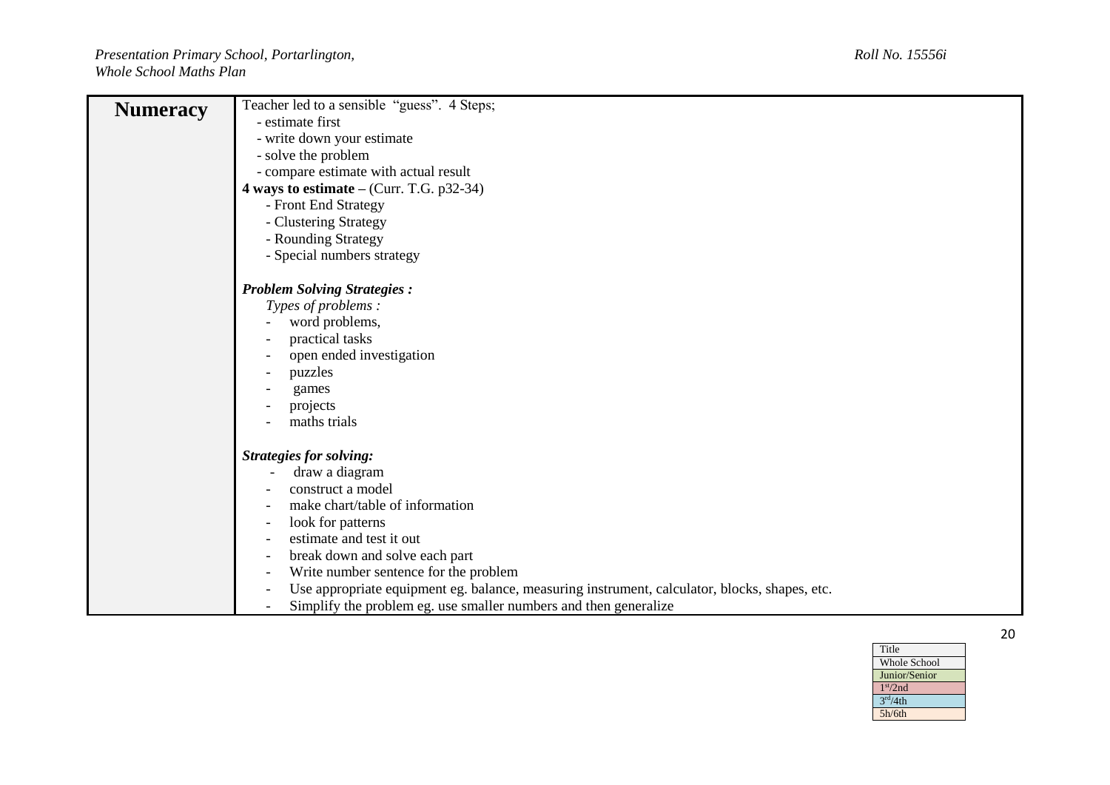| <b>Numeracy</b> | Teacher led to a sensible "guess". 4 Steps;                                                   |
|-----------------|-----------------------------------------------------------------------------------------------|
|                 | - estimate first                                                                              |
|                 | - write down your estimate                                                                    |
|                 | - solve the problem                                                                           |
|                 | - compare estimate with actual result                                                         |
|                 | 4 ways to estimate $-$ (Curr. T.G. p32-34)                                                    |
|                 | - Front End Strategy                                                                          |
|                 | - Clustering Strategy                                                                         |
|                 | - Rounding Strategy                                                                           |
|                 | - Special numbers strategy                                                                    |
|                 |                                                                                               |
|                 | <b>Problem Solving Strategies:</b>                                                            |
|                 | Types of problems:                                                                            |
|                 | word problems,                                                                                |
|                 | practical tasks                                                                               |
|                 | open ended investigation                                                                      |
|                 | puzzles                                                                                       |
|                 | games                                                                                         |
|                 | projects                                                                                      |
|                 | maths trials                                                                                  |
|                 |                                                                                               |
|                 | <b>Strategies for solving:</b>                                                                |
|                 | draw a diagram                                                                                |
|                 | construct a model                                                                             |
|                 | make chart/table of information                                                               |
|                 | look for patterns                                                                             |
|                 | estimate and test it out                                                                      |
|                 | break down and solve each part<br>$\overline{\phantom{a}}$                                    |
|                 | Write number sentence for the problem                                                         |
|                 | Use appropriate equipment eg. balance, measuring instrument, calculator, blocks, shapes, etc. |
|                 | Simplify the problem eg. use smaller numbers and then generalize<br>$\overline{\phantom{a}}$  |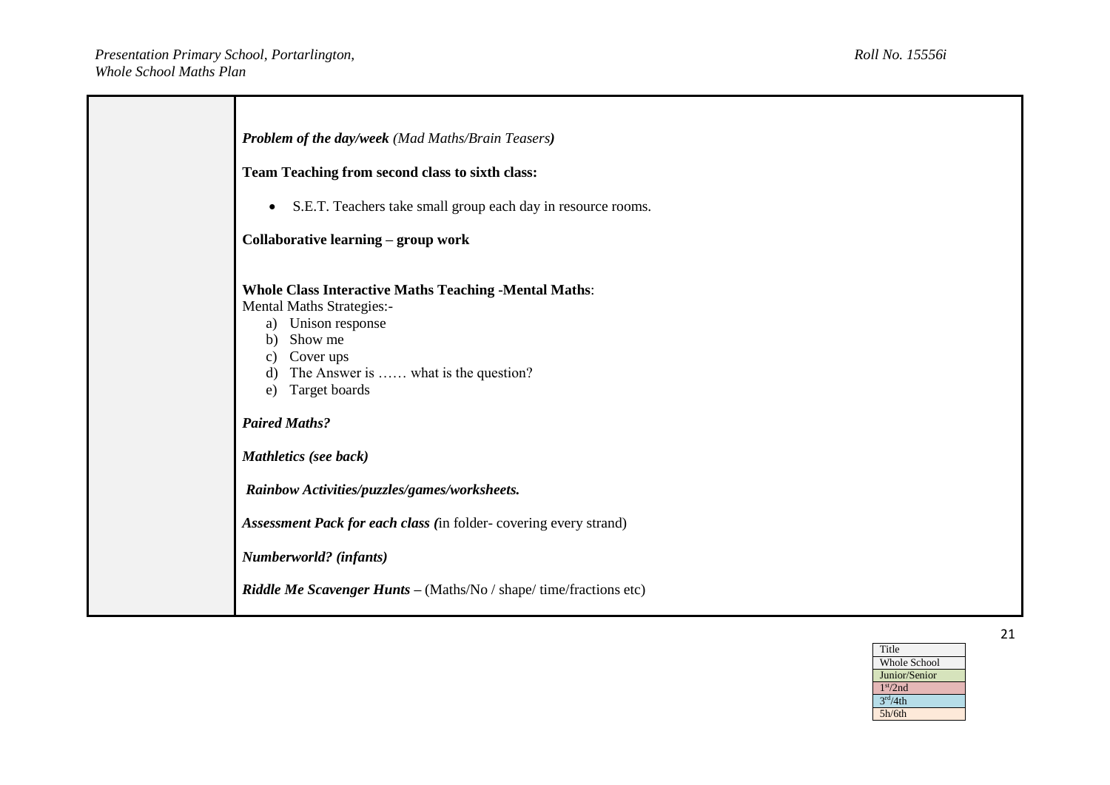| <b>Problem of the day/week</b> (Mad Maths/Brain Teasers)                                                                                                                                                                                                                                                                             |
|--------------------------------------------------------------------------------------------------------------------------------------------------------------------------------------------------------------------------------------------------------------------------------------------------------------------------------------|
| Team Teaching from second class to sixth class:                                                                                                                                                                                                                                                                                      |
| S.E.T. Teachers take small group each day in resource rooms.<br>$\bullet$                                                                                                                                                                                                                                                            |
| Collaborative learning - group work                                                                                                                                                                                                                                                                                                  |
| <b>Whole Class Interactive Maths Teaching -Mental Maths:</b><br>Mental Maths Strategies:-<br>a) Unison response<br>Show me<br>$\mathbf{b}$<br>Cover ups<br>C)<br>The Answer is  what is the question?<br>Target boards<br>e)<br><b>Paired Maths?</b><br><b>Mathletics</b> (see back)<br>Rainbow Activities/puzzles/games/worksheets. |
| Assessment Pack for each class (in folder-covering every strand)                                                                                                                                                                                                                                                                     |
| Numberworld? (infants)                                                                                                                                                                                                                                                                                                               |
| Riddle Me Scavenger Hunts - (Maths/No / shape/ time/fractions etc)                                                                                                                                                                                                                                                                   |
|                                                                                                                                                                                                                                                                                                                                      |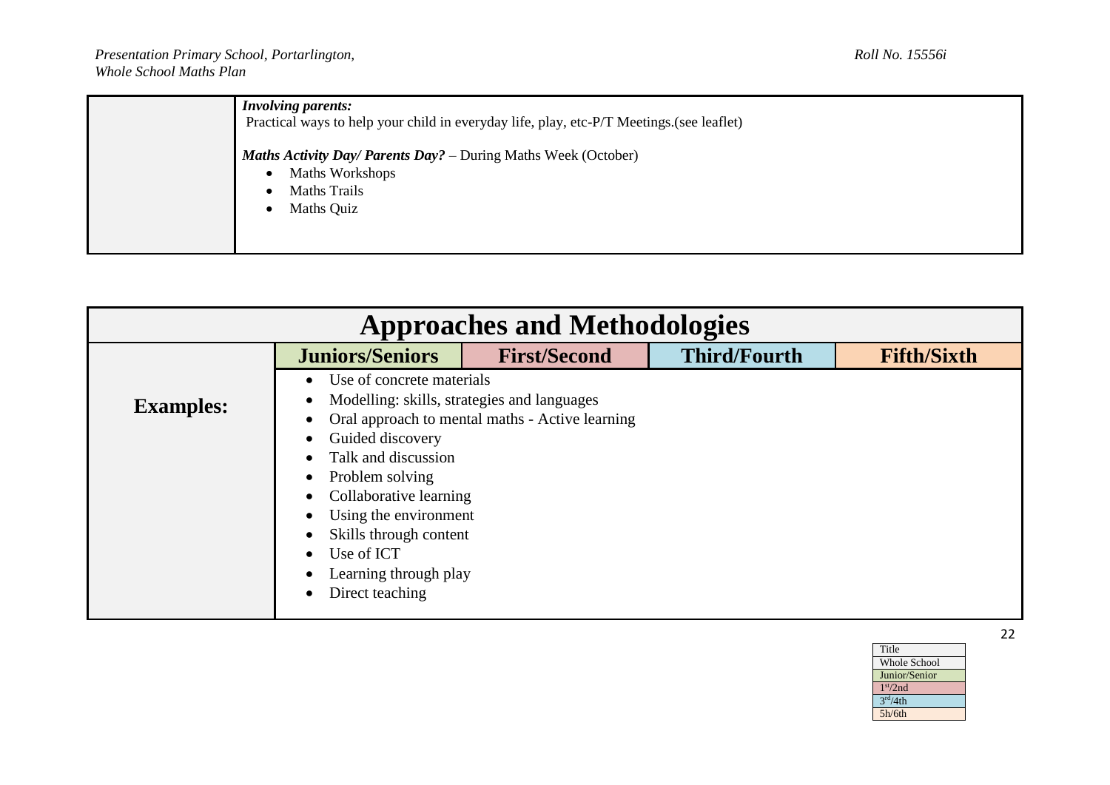| <b>Involving parents:</b><br>Practical ways to help your child in everyday life, play, etc-P/T Meetings. (see leaflet) |
|------------------------------------------------------------------------------------------------------------------------|
| <b>Maths Activity Day/ Parents Day?</b> – During Maths Week (October)                                                  |
| Maths Workshops<br><b>Maths Trails</b>                                                                                 |
| Maths Quiz                                                                                                             |
|                                                                                                                        |

| <b>Approaches and Methodologies</b> |                                                                                                                                                                                                                                                                                                                                                                                    |                                                                                                |                     |                    |
|-------------------------------------|------------------------------------------------------------------------------------------------------------------------------------------------------------------------------------------------------------------------------------------------------------------------------------------------------------------------------------------------------------------------------------|------------------------------------------------------------------------------------------------|---------------------|--------------------|
|                                     | <b>Juniors/Seniors</b>                                                                                                                                                                                                                                                                                                                                                             | <b>First/Second</b>                                                                            | <b>Third/Fourth</b> | <b>Fifth/Sixth</b> |
| <b>Examples:</b>                    | Use of concrete materials<br>$\bullet$<br>٠<br>$\bullet$<br>Guided discovery<br>$\bullet$<br>Talk and discussion<br>$\bullet$<br>Problem solving<br>$\bullet$<br>Collaborative learning<br>$\bullet$<br>Using the environment<br>$\bullet$<br>Skills through content<br>$\bullet$<br>Use of ICT<br>$\bullet$<br>Learning through play<br>$\bullet$<br>Direct teaching<br>$\bullet$ | Modelling: skills, strategies and languages<br>Oral approach to mental maths - Active learning |                     |                    |

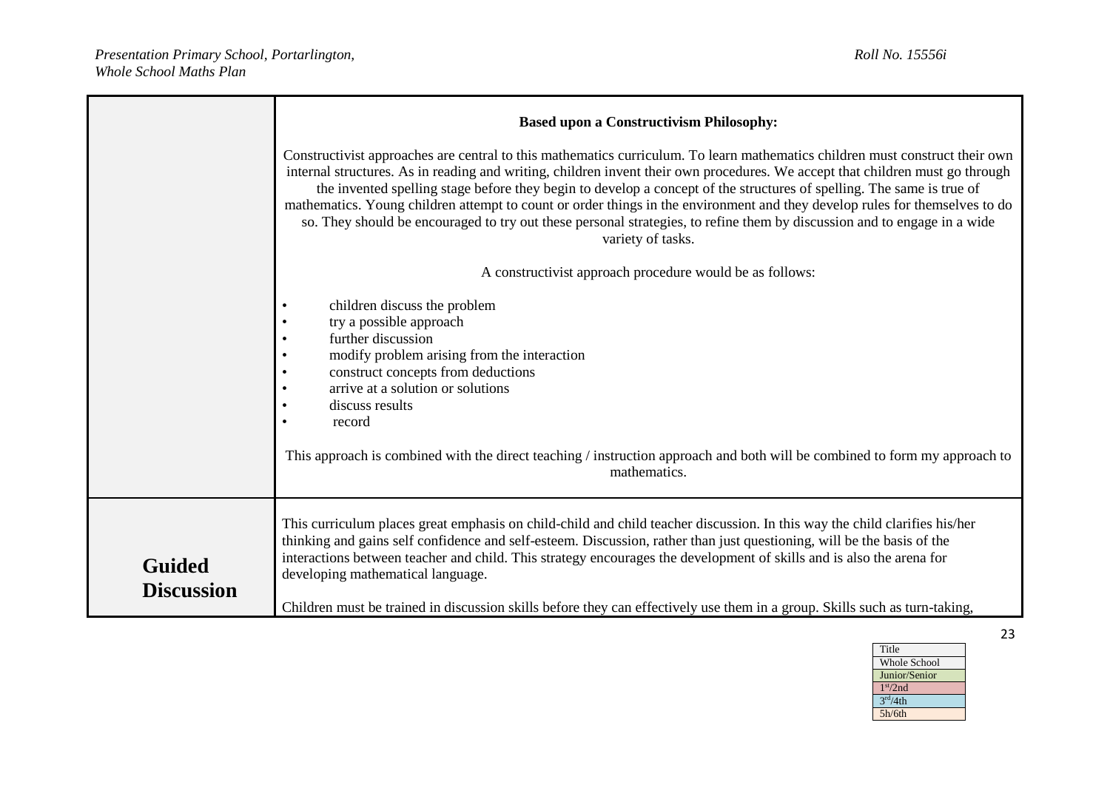|                                    | <b>Based upon a Constructivism Philosophy:</b>                                                                                                                                                                                                                                                                                                                                                                                                                                                                                                                                                                                                                         |
|------------------------------------|------------------------------------------------------------------------------------------------------------------------------------------------------------------------------------------------------------------------------------------------------------------------------------------------------------------------------------------------------------------------------------------------------------------------------------------------------------------------------------------------------------------------------------------------------------------------------------------------------------------------------------------------------------------------|
|                                    | Constructivist approaches are central to this mathematics curriculum. To learn mathematics children must construct their own<br>internal structures. As in reading and writing, children invent their own procedures. We accept that children must go through<br>the invented spelling stage before they begin to develop a concept of the structures of spelling. The same is true of<br>mathematics. Young children attempt to count or order things in the environment and they develop rules for themselves to do<br>so. They should be encouraged to try out these personal strategies, to refine them by discussion and to engage in a wide<br>variety of tasks. |
|                                    | A constructivist approach procedure would be as follows:                                                                                                                                                                                                                                                                                                                                                                                                                                                                                                                                                                                                               |
|                                    | children discuss the problem<br>try a possible approach<br>further discussion<br>modify problem arising from the interaction<br>construct concepts from deductions<br>arrive at a solution or solutions<br>discuss results<br>$\bullet$<br>record<br>This approach is combined with the direct teaching / instruction approach and both will be combined to form my approach to<br>mathematics.                                                                                                                                                                                                                                                                        |
| <b>Guided</b><br><b>Discussion</b> | This curriculum places great emphasis on child-child and child teacher discussion. In this way the child clarifies his/her<br>thinking and gains self confidence and self-esteem. Discussion, rather than just questioning, will be the basis of the<br>interactions between teacher and child. This strategy encourages the development of skills and is also the arena for<br>developing mathematical language.<br>Children must be trained in discussion skills before they can effectively use them in a group. Skills such as turn-taking,                                                                                                                        |

Title Whole School Junior/Senior 1 st/2nd  $3<sup>rd</sup>/4th$ 5h/6th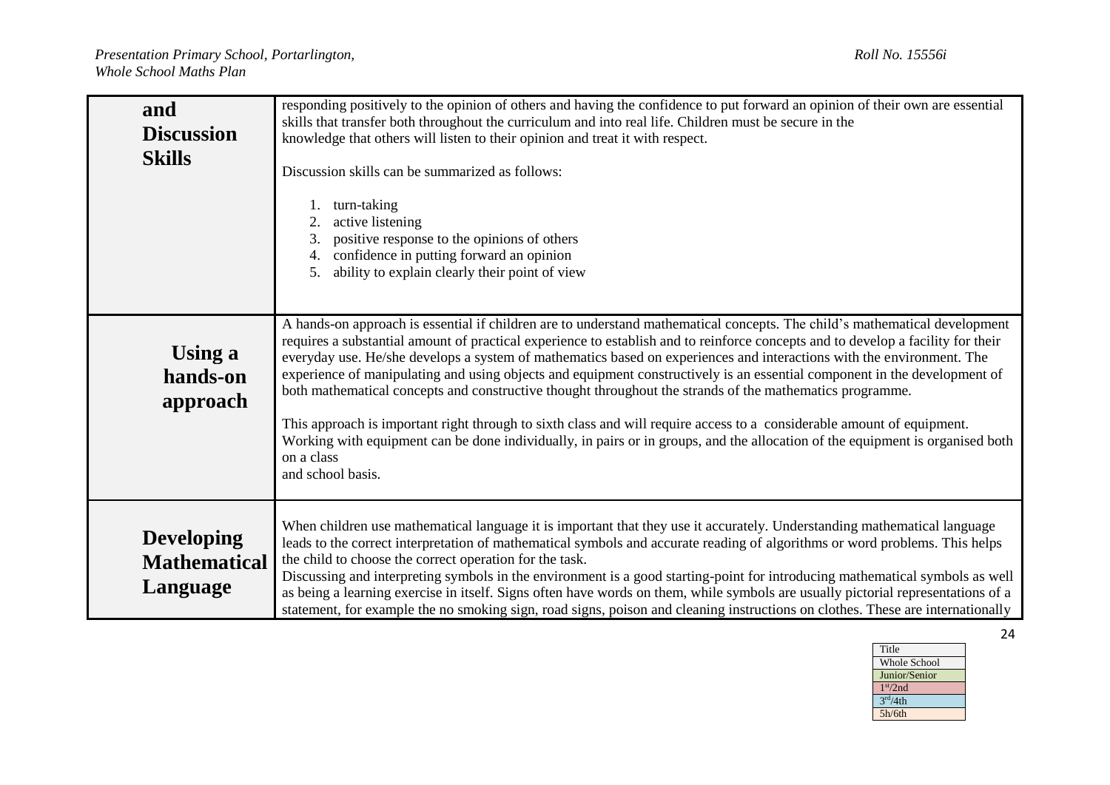| and<br><b>Discussion</b><br><b>Skills</b>            | responding positively to the opinion of others and having the confidence to put forward an opinion of their own are essential<br>skills that transfer both throughout the curriculum and into real life. Children must be secure in the<br>knowledge that others will listen to their opinion and treat it with respect.<br>Discussion skills can be summarized as follows:<br>turn-taking<br>active listening<br>2.<br>positive response to the opinions of others<br>3.<br>confidence in putting forward an opinion<br>ability to explain clearly their point of view<br>5.                                                                                                                                                                                                                                                                                                                                                  |
|------------------------------------------------------|--------------------------------------------------------------------------------------------------------------------------------------------------------------------------------------------------------------------------------------------------------------------------------------------------------------------------------------------------------------------------------------------------------------------------------------------------------------------------------------------------------------------------------------------------------------------------------------------------------------------------------------------------------------------------------------------------------------------------------------------------------------------------------------------------------------------------------------------------------------------------------------------------------------------------------|
| <b>Using a</b><br>hands-on<br>approach               | A hands-on approach is essential if children are to understand mathematical concepts. The child's mathematical development<br>requires a substantial amount of practical experience to establish and to reinforce concepts and to develop a facility for their<br>everyday use. He/she develops a system of mathematics based on experiences and interactions with the environment. The<br>experience of manipulating and using objects and equipment constructively is an essential component in the development of<br>both mathematical concepts and constructive thought throughout the strands of the mathematics programme.<br>This approach is important right through to sixth class and will require access to a considerable amount of equipment.<br>Working with equipment can be done individually, in pairs or in groups, and the allocation of the equipment is organised both<br>on a class<br>and school basis. |
| <b>Developing</b><br><b>Mathematical</b><br>Language | When children use mathematical language it is important that they use it accurately. Understanding mathematical language<br>leads to the correct interpretation of mathematical symbols and accurate reading of algorithms or word problems. This helps<br>the child to choose the correct operation for the task.<br>Discussing and interpreting symbols in the environment is a good starting-point for introducing mathematical symbols as well<br>as being a learning exercise in itself. Signs often have words on them, while symbols are usually pictorial representations of a<br>statement, for example the no smoking sign, road signs, poison and cleaning instructions on clothes. These are internationally                                                                                                                                                                                                       |

| Title                |
|----------------------|
| Whole School         |
| Junior/Senior        |
| 1 <sup>st</sup> /2nd |
| 3 <sup>rd</sup> /4th |
| 5h/6th               |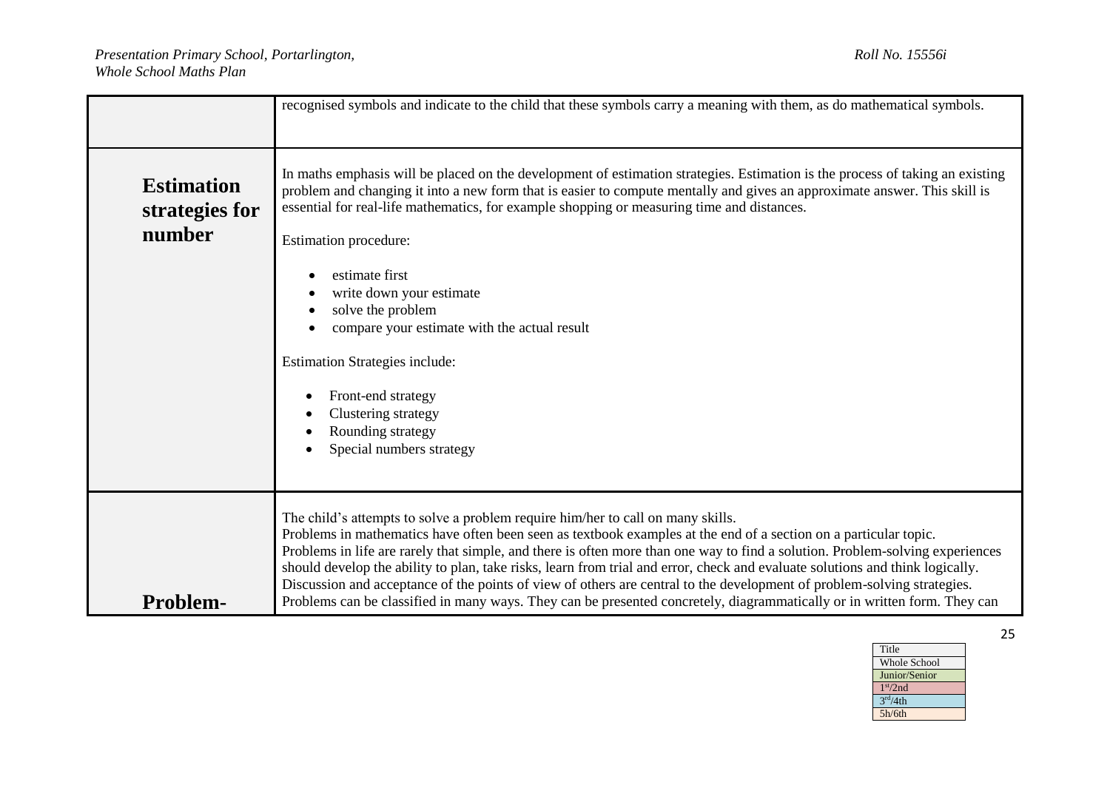|                                               | recognised symbols and indicate to the child that these symbols carry a meaning with them, as do mathematical symbols.                                                                                                                                                                                                                                                                                                                                                                                                                                                                                                                                                                                                       |
|-----------------------------------------------|------------------------------------------------------------------------------------------------------------------------------------------------------------------------------------------------------------------------------------------------------------------------------------------------------------------------------------------------------------------------------------------------------------------------------------------------------------------------------------------------------------------------------------------------------------------------------------------------------------------------------------------------------------------------------------------------------------------------------|
| <b>Estimation</b><br>strategies for<br>number | In maths emphasis will be placed on the development of estimation strategies. Estimation is the process of taking an existing<br>problem and changing it into a new form that is easier to compute mentally and gives an approximate answer. This skill is<br>essential for real-life mathematics, for example shopping or measuring time and distances.<br>Estimation procedure:<br>estimate first<br>write down your estimate<br>solve the problem<br>compare your estimate with the actual result<br><b>Estimation Strategies include:</b><br>Front-end strategy<br>Clustering strategy<br>Rounding strategy<br>Special numbers strategy                                                                                  |
| <b>Problem-</b>                               | The child's attempts to solve a problem require him/her to call on many skills.<br>Problems in mathematics have often been seen as textbook examples at the end of a section on a particular topic.<br>Problems in life are rarely that simple, and there is often more than one way to find a solution. Problem-solving experiences<br>should develop the ability to plan, take risks, learn from trial and error, check and evaluate solutions and think logically.<br>Discussion and acceptance of the points of view of others are central to the development of problem-solving strategies.<br>Problems can be classified in many ways. They can be presented concretely, diagrammatically or in written form. They can |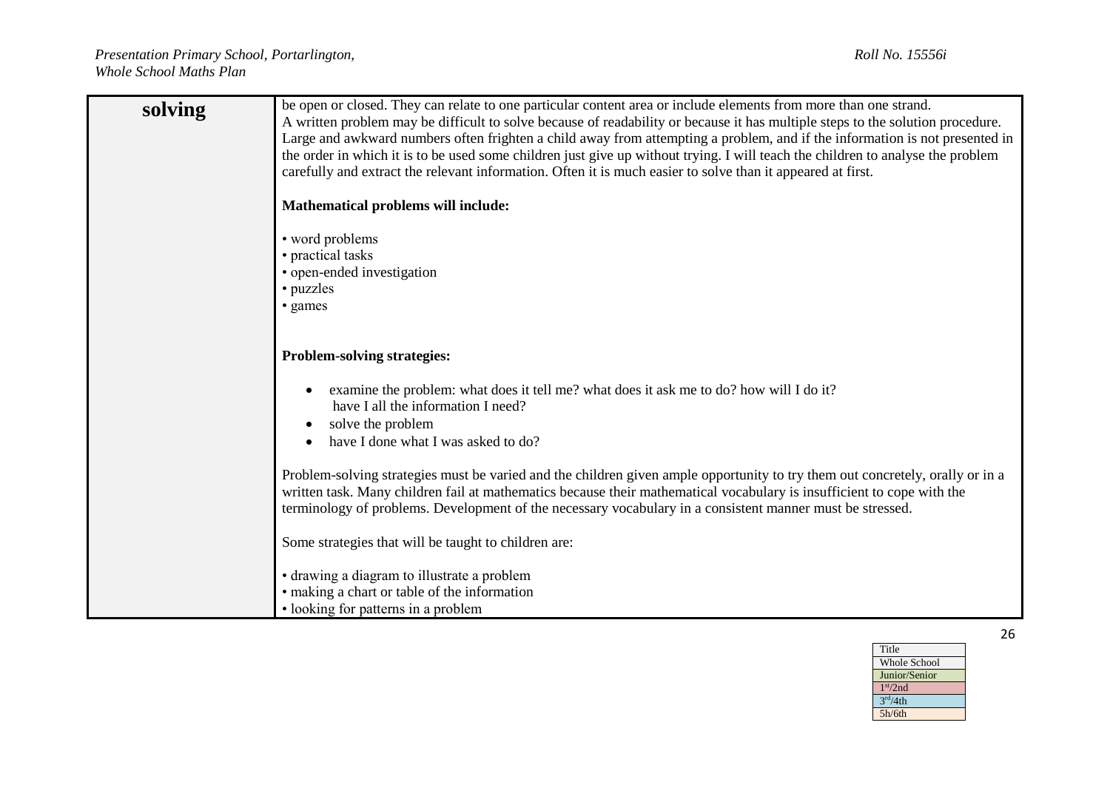| solving | be open or closed. They can relate to one particular content area or include elements from more than one strand.<br>A written problem may be difficult to solve because of readability or because it has multiple steps to the solution procedure.<br>Large and awkward numbers often frighten a child away from attempting a problem, and if the information is not presented in |
|---------|-----------------------------------------------------------------------------------------------------------------------------------------------------------------------------------------------------------------------------------------------------------------------------------------------------------------------------------------------------------------------------------|
|         | the order in which it is to be used some children just give up without trying. I will teach the children to analyse the problem<br>carefully and extract the relevant information. Often it is much easier to solve than it appeared at first.                                                                                                                                    |
|         | Mathematical problems will include:                                                                                                                                                                                                                                                                                                                                               |
|         | • word problems<br>• practical tasks<br>• open-ended investigation                                                                                                                                                                                                                                                                                                                |
|         | • puzzles<br>• games                                                                                                                                                                                                                                                                                                                                                              |
|         |                                                                                                                                                                                                                                                                                                                                                                                   |
|         | <b>Problem-solving strategies:</b>                                                                                                                                                                                                                                                                                                                                                |
|         | examine the problem: what does it tell me? what does it ask me to do? how will I do it?<br>have I all the information I need?                                                                                                                                                                                                                                                     |
|         | solve the problem<br>have I done what I was asked to do?                                                                                                                                                                                                                                                                                                                          |
|         | Problem-solving strategies must be varied and the children given ample opportunity to try them out concretely, orally or in a<br>written task. Many children fail at mathematics because their mathematical vocabulary is insufficient to cope with the<br>terminology of problems. Development of the necessary vocabulary in a consistent manner must be stressed.              |
|         | Some strategies that will be taught to children are:                                                                                                                                                                                                                                                                                                                              |
|         | · drawing a diagram to illustrate a problem<br>• making a chart or table of the information<br>• looking for patterns in a problem                                                                                                                                                                                                                                                |

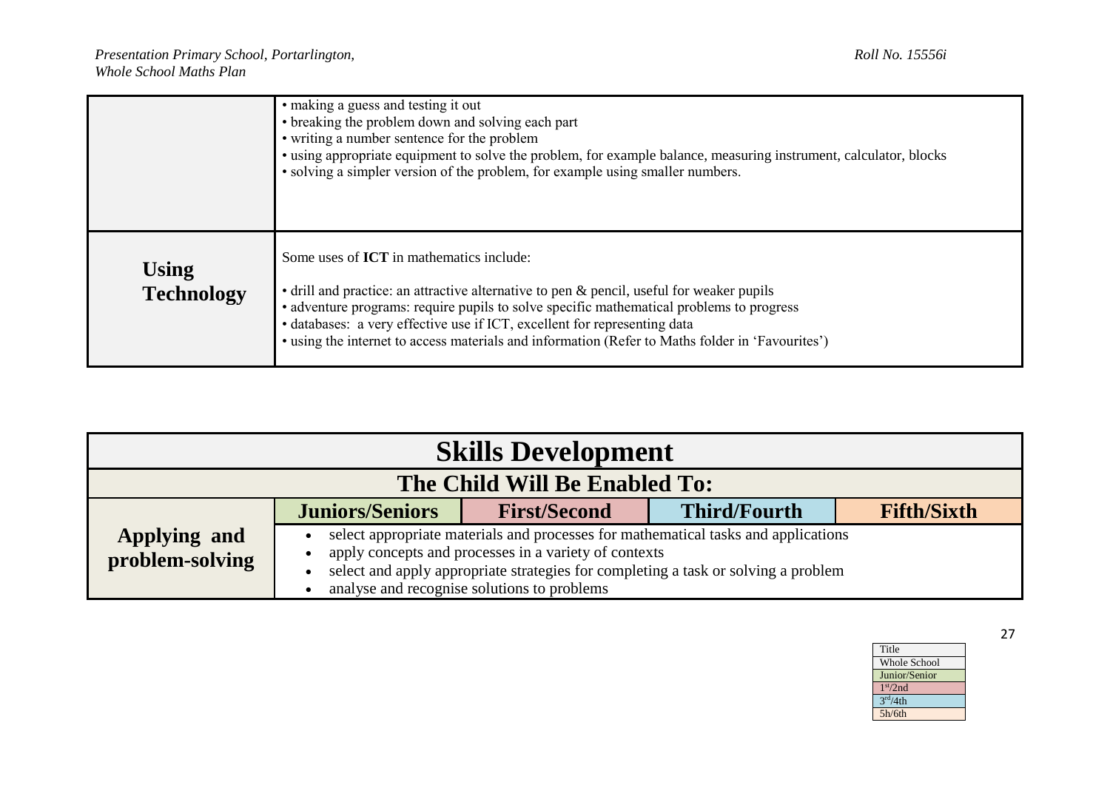|                                   | • making a guess and testing it out<br>• breaking the problem down and solving each part<br>• writing a number sentence for the problem<br>• using appropriate equipment to solve the problem, for example balance, measuring instrument, calculator, blocks<br>• solving a simpler version of the problem, for example using smaller numbers.                                                                            |
|-----------------------------------|---------------------------------------------------------------------------------------------------------------------------------------------------------------------------------------------------------------------------------------------------------------------------------------------------------------------------------------------------------------------------------------------------------------------------|
| <b>Using</b><br><b>Technology</b> | Some uses of <b>ICT</b> in mathematics include:<br>• drill and practice: an attractive alternative to pen & pencil, useful for weaker pupils<br>• adventure programs: require pupils to solve specific mathematical problems to progress<br>• databases: a very effective use if ICT, excellent for representing data<br>• using the internet to access materials and information (Refer to Maths folder in 'Favourites') |

| <b>Skills Development</b>       |                        |                                                                                                      |                                                                                                                                                                          |                    |
|---------------------------------|------------------------|------------------------------------------------------------------------------------------------------|--------------------------------------------------------------------------------------------------------------------------------------------------------------------------|--------------------|
| The Child Will Be Enabled To:   |                        |                                                                                                      |                                                                                                                                                                          |                    |
|                                 | <b>Juniors/Seniors</b> | <b>First/Second</b>                                                                                  | <b>Third/Fourth</b>                                                                                                                                                      | <b>Fifth/Sixth</b> |
| Applying and<br>problem-solving |                        | apply concepts and processes in a variety of contexts<br>analyse and recognise solutions to problems | select appropriate materials and processes for mathematical tasks and applications<br>select and apply appropriate strategies for completing a task or solving a problem |                    |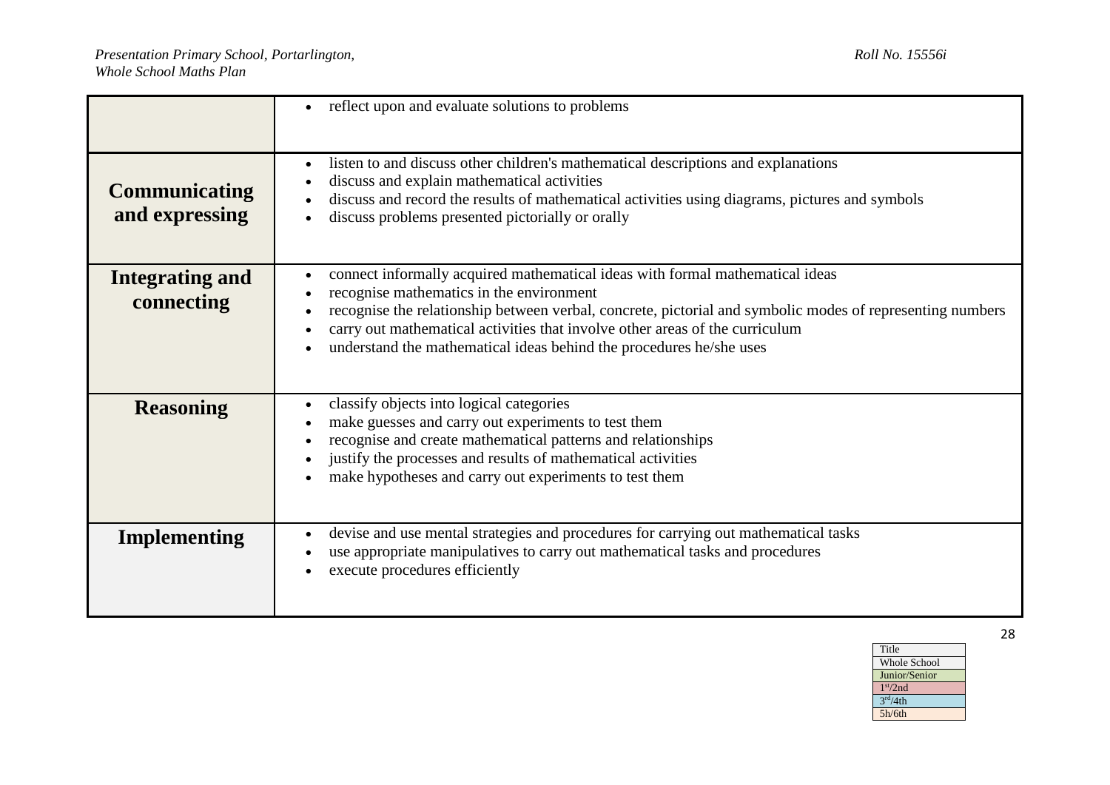|                                        | reflect upon and evaluate solutions to problems                                                                                                                                                                                                                                                                                                                                                            |
|----------------------------------------|------------------------------------------------------------------------------------------------------------------------------------------------------------------------------------------------------------------------------------------------------------------------------------------------------------------------------------------------------------------------------------------------------------|
| <b>Communicating</b><br>and expressing | listen to and discuss other children's mathematical descriptions and explanations<br>$\bullet$<br>discuss and explain mathematical activities<br>$\bullet$<br>discuss and record the results of mathematical activities using diagrams, pictures and symbols<br>discuss problems presented pictorially or orally                                                                                           |
| Integrating and<br>connecting          | connect informally acquired mathematical ideas with formal mathematical ideas<br>$\bullet$<br>recognise mathematics in the environment<br>recognise the relationship between verbal, concrete, pictorial and symbolic modes of representing numbers<br>carry out mathematical activities that involve other areas of the curriculum<br>understand the mathematical ideas behind the procedures he/she uses |
| <b>Reasoning</b>                       | classify objects into logical categories<br>$\bullet$<br>make guesses and carry out experiments to test them<br>recognise and create mathematical patterns and relationships<br>justify the processes and results of mathematical activities<br>$\bullet$<br>make hypotheses and carry out experiments to test them<br>$\bullet$                                                                           |
| Implementing                           | devise and use mental strategies and procedures for carrying out mathematical tasks<br>$\bullet$<br>use appropriate manipulatives to carry out mathematical tasks and procedures<br>execute procedures efficiently                                                                                                                                                                                         |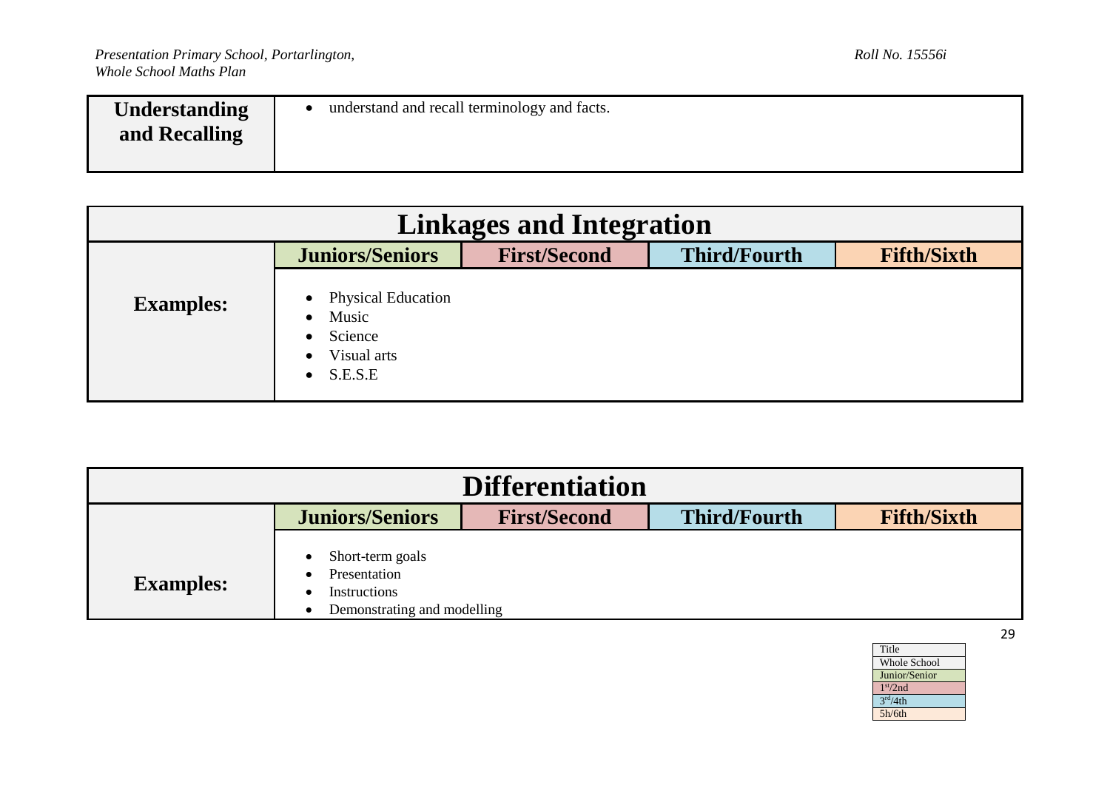| understand and recall terminology and facts.<br><b>Understanding</b><br>and Recalling |  |
|---------------------------------------------------------------------------------------|--|
|---------------------------------------------------------------------------------------|--|

| <b>Linkages and Integration</b> |                                                                                   |                     |                     |                    |
|---------------------------------|-----------------------------------------------------------------------------------|---------------------|---------------------|--------------------|
|                                 | <b>Juniors/Seniors</b>                                                            | <b>First/Second</b> | <b>Third/Fourth</b> | <b>Fifth/Sixth</b> |
| <b>Examples:</b>                | <b>Physical Education</b><br>Music<br>Science<br>Visual arts<br>$\bullet$ S.E.S.E |                     |                     |                    |

| <b>Differentiation</b> |                                                                                 |                     |                     |                    |
|------------------------|---------------------------------------------------------------------------------|---------------------|---------------------|--------------------|
|                        | <b>Juniors/Seniors</b>                                                          | <b>First/Second</b> | <b>Third/Fourth</b> | <b>Fifth/Sixth</b> |
| <b>Examples:</b>       | Short-term goals<br>Presentation<br>Instructions<br>Demonstrating and modelling |                     |                     |                    |

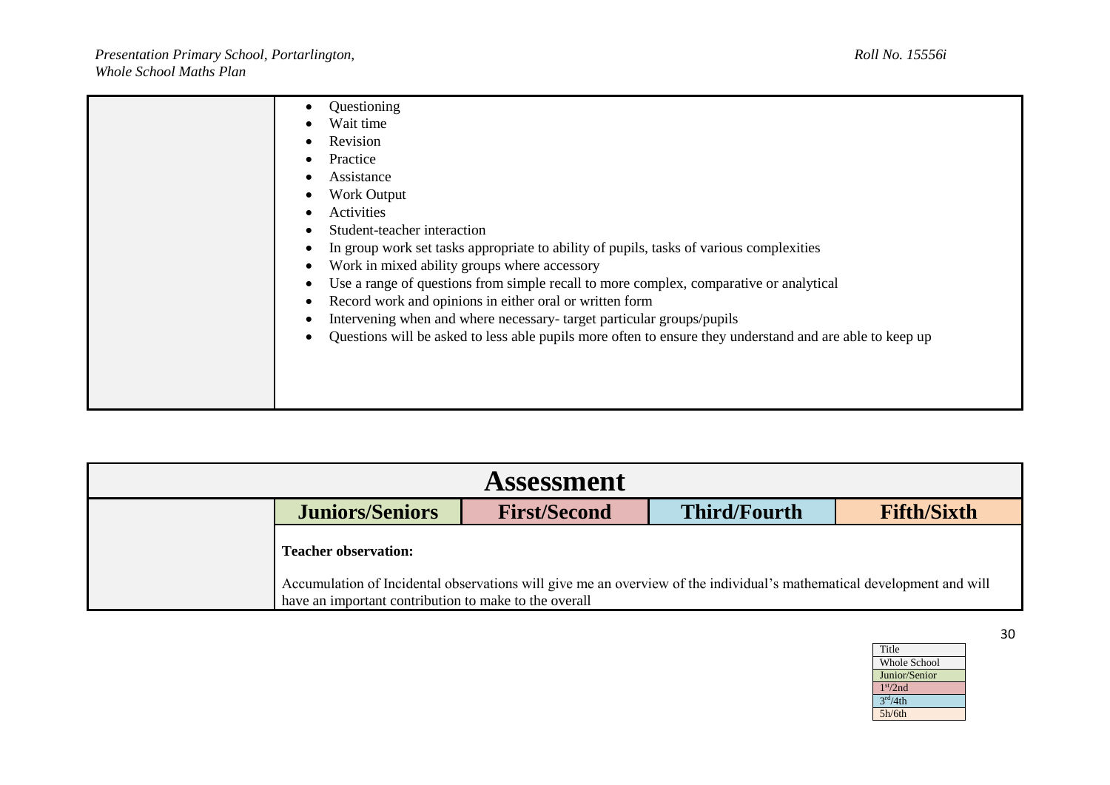| Questioning<br>$\bullet$<br>Wait time<br>Revision<br>Practice<br>$\bullet$                                                                                                                                                                                                                                                                                                                                                                                                                                                                                                                                                                                                      |
|---------------------------------------------------------------------------------------------------------------------------------------------------------------------------------------------------------------------------------------------------------------------------------------------------------------------------------------------------------------------------------------------------------------------------------------------------------------------------------------------------------------------------------------------------------------------------------------------------------------------------------------------------------------------------------|
| Assistance<br>$\bullet$<br>Work Output<br>Activities<br>$\bullet$<br>Student-teacher interaction<br>$\bullet$<br>In group work set tasks appropriate to ability of pupils, tasks of various complexities<br>$\bullet$<br>Work in mixed ability groups where accessory<br>$\bullet$<br>Use a range of questions from simple recall to more complex, comparative or analytical<br>$\bullet$<br>Record work and opinions in either oral or written form<br>$\bullet$<br>Intervening when and where necessary-target particular groups/pupils<br>$\bullet$<br>Questions will be asked to less able pupils more often to ensure they understand and are able to keep up<br>$\bullet$ |

| <b>Assessment</b> |                                                                                                                                                                                                                |                     |                     |                    |
|-------------------|----------------------------------------------------------------------------------------------------------------------------------------------------------------------------------------------------------------|---------------------|---------------------|--------------------|
|                   | <b>Juniors/Seniors</b>                                                                                                                                                                                         | <b>First/Second</b> | <b>Third/Fourth</b> | <b>Fifth/Sixth</b> |
|                   | <b>Teacher observation:</b><br>Accumulation of Incidental observations will give me an overview of the individual's mathematical development and will<br>have an important contribution to make to the overall |                     |                     |                    |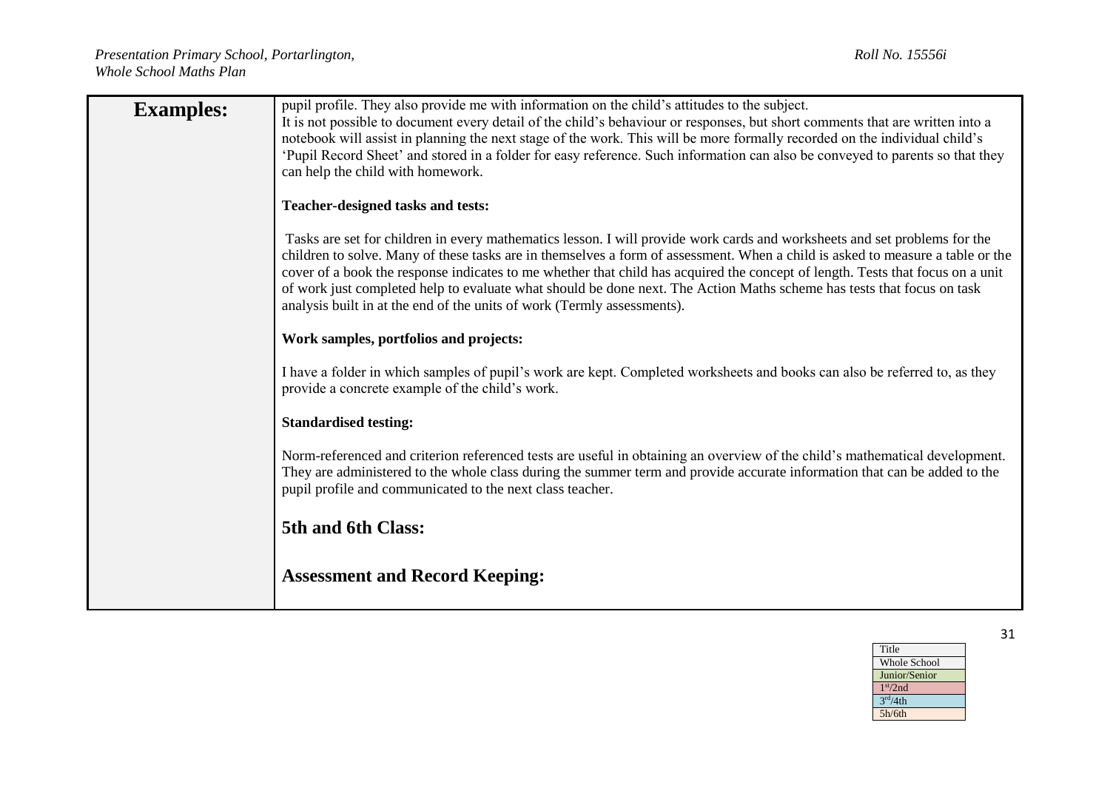| <b>Examples:</b> | pupil profile. They also provide me with information on the child's attitudes to the subject.<br>It is not possible to document every detail of the child's behaviour or responses, but short comments that are written into a<br>notebook will assist in planning the next stage of the work. This will be more formally recorded on the individual child's<br>Pupil Record Sheet' and stored in a folder for easy reference. Such information can also be conveyed to parents so that they<br>can help the child with homework.                                                                  |
|------------------|----------------------------------------------------------------------------------------------------------------------------------------------------------------------------------------------------------------------------------------------------------------------------------------------------------------------------------------------------------------------------------------------------------------------------------------------------------------------------------------------------------------------------------------------------------------------------------------------------|
|                  | Teacher-designed tasks and tests:                                                                                                                                                                                                                                                                                                                                                                                                                                                                                                                                                                  |
|                  | Tasks are set for children in every mathematics lesson. I will provide work cards and worksheets and set problems for the<br>children to solve. Many of these tasks are in themselves a form of assessment. When a child is asked to measure a table or the<br>cover of a book the response indicates to me whether that child has acquired the concept of length. Tests that focus on a unit<br>of work just completed help to evaluate what should be done next. The Action Maths scheme has tests that focus on task<br>analysis built in at the end of the units of work (Termly assessments). |
|                  | Work samples, portfolios and projects:                                                                                                                                                                                                                                                                                                                                                                                                                                                                                                                                                             |
|                  | I have a folder in which samples of pupil's work are kept. Completed worksheets and books can also be referred to, as they<br>provide a concrete example of the child's work.                                                                                                                                                                                                                                                                                                                                                                                                                      |
|                  | <b>Standardised testing:</b>                                                                                                                                                                                                                                                                                                                                                                                                                                                                                                                                                                       |
|                  | Norm-referenced and criterion referenced tests are useful in obtaining an overview of the child's mathematical development.<br>They are administered to the whole class during the summer term and provide accurate information that can be added to the<br>pupil profile and communicated to the next class teacher.                                                                                                                                                                                                                                                                              |
|                  | 5th and 6th Class:                                                                                                                                                                                                                                                                                                                                                                                                                                                                                                                                                                                 |
|                  | <b>Assessment and Record Keeping:</b>                                                                                                                                                                                                                                                                                                                                                                                                                                                                                                                                                              |

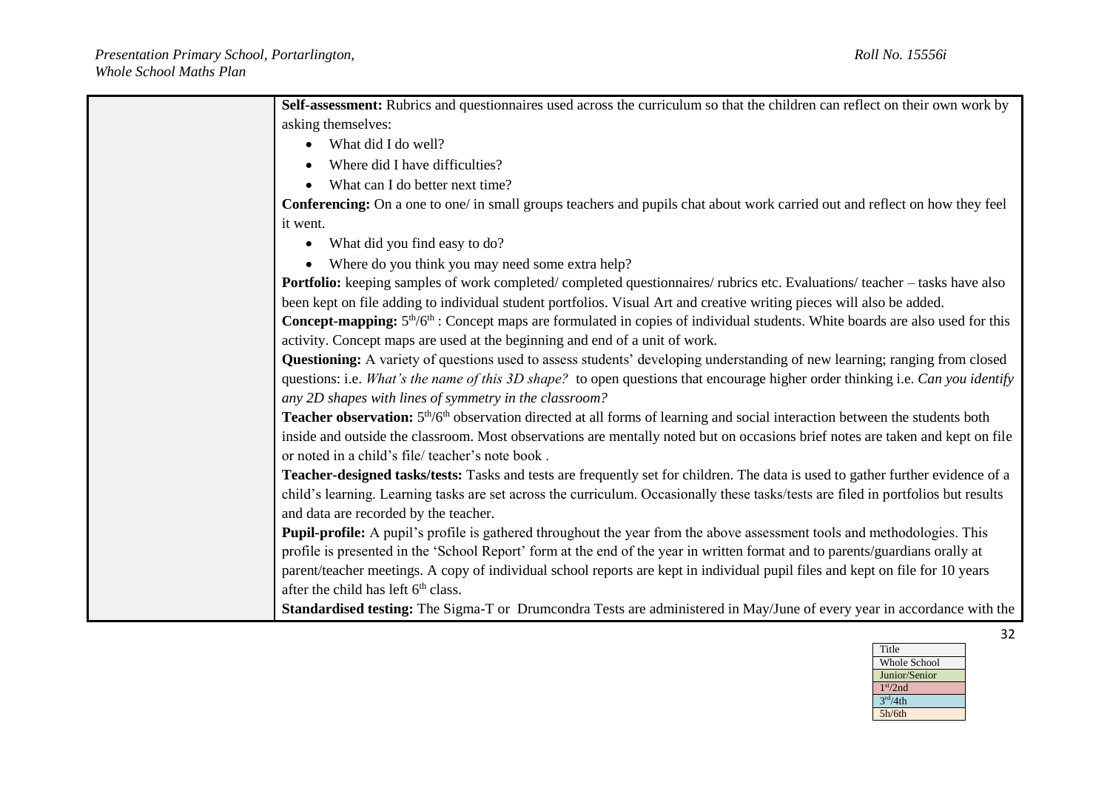| Self-assessment: Rubrics and questionnaires used across the curriculum so that the children can reflect on their own work by                         |
|------------------------------------------------------------------------------------------------------------------------------------------------------|
| asking themselves:                                                                                                                                   |
| What did I do well?                                                                                                                                  |
| Where did I have difficulties?                                                                                                                       |
| What can I do better next time?                                                                                                                      |
| Conferencing: On a one to one/ in small groups teachers and pupils chat about work carried out and reflect on how they feel                          |
| it went.                                                                                                                                             |
| What did you find easy to do?                                                                                                                        |
| Where do you think you may need some extra help?                                                                                                     |
| Portfolio: keeping samples of work completed/completed questionnaires/rubrics etc. Evaluations/teacher - tasks have also                             |
| been kept on file adding to individual student portfolios. Visual Art and creative writing pieces will also be added.                                |
| <b>Concept-mapping:</b> $5th/6th$ : Concept maps are formulated in copies of individual students. White boards are also used for this                |
| activity. Concept maps are used at the beginning and end of a unit of work.                                                                          |
| Questioning: A variety of questions used to assess students' developing understanding of new learning; ranging from closed                           |
| questions: i.e. What's the name of this 3D shape? to open questions that encourage higher order thinking i.e. Can you identify                       |
| any 2D shapes with lines of symmetry in the classroom?                                                                                               |
| Teacher observation: 5 <sup>th</sup> /6 <sup>th</sup> observation directed at all forms of learning and social interaction between the students both |
| inside and outside the classroom. Most observations are mentally noted but on occasions brief notes are taken and kept on file                       |
| or noted in a child's file/teacher's note book.                                                                                                      |
| Teacher-designed tasks/tests: Tasks and tests are frequently set for children. The data is used to gather further evidence of a                      |
| child's learning. Learning tasks are set across the curriculum. Occasionally these tasks/tests are filed in portfolios but results                   |
| and data are recorded by the teacher.                                                                                                                |
| <b>Pupil-profile:</b> A pupil's profile is gathered throughout the year from the above assessment tools and methodologies. This                      |
| profile is presented in the 'School Report' form at the end of the year in written format and to parents/guardians orally at                         |
| parent/teacher meetings. A copy of individual school reports are kept in individual pupil files and kept on file for 10 years                        |
| after the child has left 6 <sup>th</sup> class.                                                                                                      |
| Standardised testing: The Sigma-T or Drumcondra Tests are administered in May/June of every year in accordance with the                              |

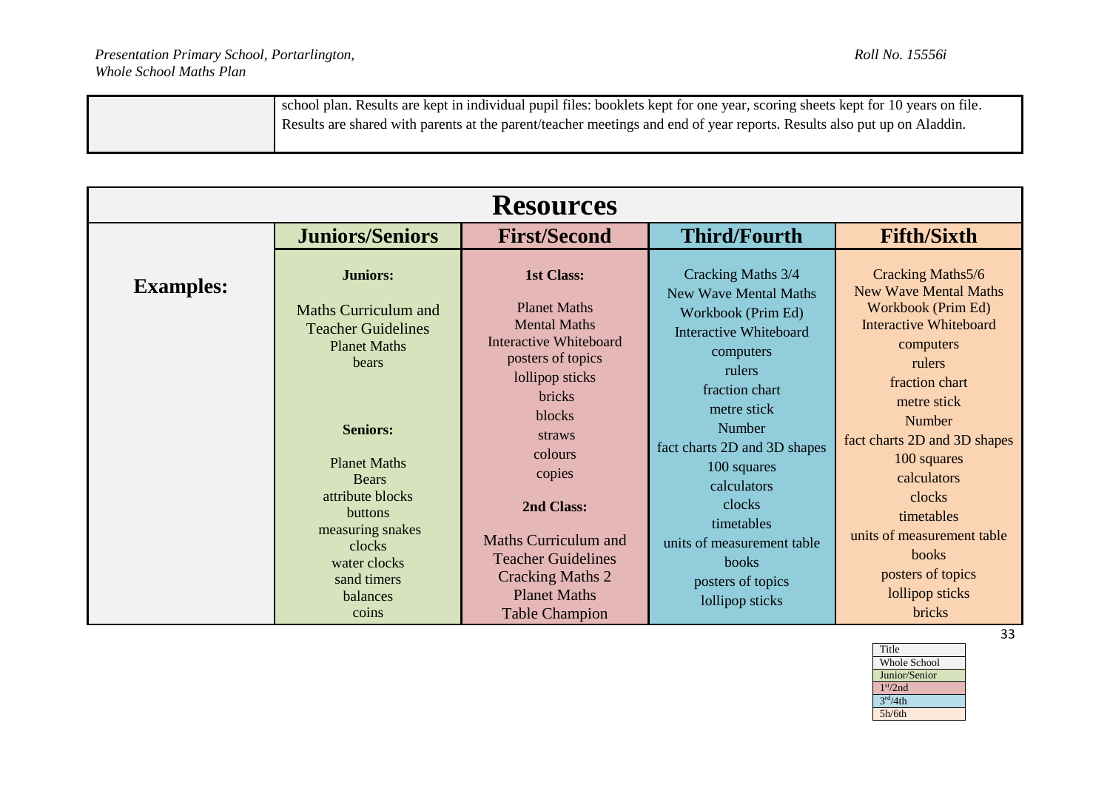| school plan. Results are kept in individual pupil files: booklets kept for one year, scoring sheets kept for 10 years on file. |
|--------------------------------------------------------------------------------------------------------------------------------|
| Results are shared with parents at the parent/teacher meetings and end of year reports. Results also put up on Aladdin.        |
|                                                                                                                                |

|                  | <b>Resources</b>                                                                                                                                                               |                                                                                                                                                                                            |                                                                                                                                                                                            |                                                                                                                                                                                              |  |
|------------------|--------------------------------------------------------------------------------------------------------------------------------------------------------------------------------|--------------------------------------------------------------------------------------------------------------------------------------------------------------------------------------------|--------------------------------------------------------------------------------------------------------------------------------------------------------------------------------------------|----------------------------------------------------------------------------------------------------------------------------------------------------------------------------------------------|--|
|                  | <b>Juniors/Seniors</b>                                                                                                                                                         | <b>First/Second</b>                                                                                                                                                                        | <b>Third/Fourth</b>                                                                                                                                                                        | <b>Fifth/Sixth</b>                                                                                                                                                                           |  |
| <b>Examples:</b> | <b>Juniors:</b><br><b>Maths Curriculum and</b><br><b>Teacher Guidelines</b><br><b>Planet Maths</b><br>bears                                                                    | <b>1st Class:</b><br><b>Planet Maths</b><br><b>Mental Maths</b><br>Interactive Whiteboard<br>posters of topics<br>lollipop sticks<br>bricks                                                | Cracking Maths 3/4<br><b>New Wave Mental Maths</b><br>Workbook (Prim Ed)<br><b>Interactive Whiteboard</b><br>computers<br>rulers<br>fraction chart                                         | Cracking Maths5/6<br><b>New Wave Mental Maths</b><br>Workbook (Prim Ed)<br><b>Interactive Whiteboard</b><br>computers<br>rulers<br>fraction chart<br>metre stick                             |  |
|                  | <b>Seniors:</b><br><b>Planet Maths</b><br><b>Bears</b><br>attribute blocks<br><b>buttons</b><br>measuring snakes<br>clocks<br>water clocks<br>sand timers<br>balances<br>coins | <b>blocks</b><br>straws<br>colours<br>copies<br>2nd Class:<br>Maths Curriculum and<br><b>Teacher Guidelines</b><br><b>Cracking Maths 2</b><br><b>Planet Maths</b><br><b>Table Champion</b> | metre stick<br>Number<br>fact charts 2D and 3D shapes<br>100 squares<br>calculators<br>clocks<br>timetables<br>units of measurement table<br>books<br>posters of topics<br>lollipop sticks | Number<br>fact charts 2D and 3D shapes<br>100 squares<br>calculators<br>clocks<br>timetables<br>units of measurement table<br><b>books</b><br>posters of topics<br>lollipop sticks<br>bricks |  |

| Title                |
|----------------------|
| <b>Whole School</b>  |
| Junior/Senior        |
| 1 <sup>st</sup> /2nd |
| 3 <sup>rd</sup> /4th |
| 5h/6th               |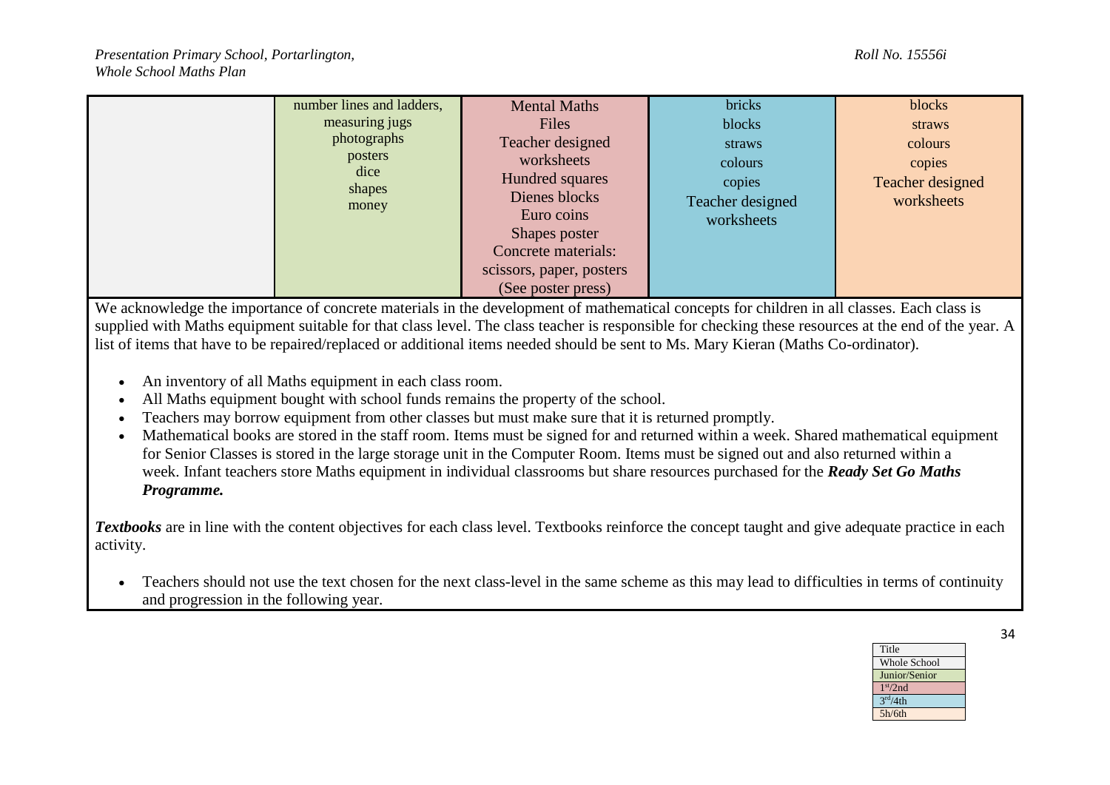|  | number lines and ladders,<br>measuring jugs<br>photographs<br>posters<br>dice<br>shapes<br>money | <b>Mental Maths</b><br><b>Files</b><br>Teacher designed<br>worksheets<br>Hundred squares<br>Dienes blocks<br>Euro coins<br>Shapes poster<br>Concrete materials:<br>scissors, paper, posters<br>(See poster press) | bricks<br>blocks<br>straws<br>colours<br>copies<br>Teacher designed<br>worksheets | blocks<br>straws<br>colours<br>copies<br>Teacher designed<br>worksheets |
|--|--------------------------------------------------------------------------------------------------|-------------------------------------------------------------------------------------------------------------------------------------------------------------------------------------------------------------------|-----------------------------------------------------------------------------------|-------------------------------------------------------------------------|
|--|--------------------------------------------------------------------------------------------------|-------------------------------------------------------------------------------------------------------------------------------------------------------------------------------------------------------------------|-----------------------------------------------------------------------------------|-------------------------------------------------------------------------|

We acknowledge the importance of concrete materials in the development of mathematical concepts for children in all classes. Each class is supplied with Maths equipment suitable for that class level. The class teacher is responsible for checking these resources at the end of the year. A list of items that have to be repaired/replaced or additional items needed should be sent to Ms. Mary Kieran (Maths Co-ordinator).

- An inventory of all Maths equipment in each class room.
- All Maths equipment bought with school funds remains the property of the school.
- Teachers may borrow equipment from other classes but must make sure that it is returned promptly.
- Mathematical books are stored in the staff room. Items must be signed for and returned within a week. Shared mathematical equipment for Senior Classes is stored in the large storage unit in the Computer Room. Items must be signed out and also returned within a week. Infant teachers store Maths equipment in individual classrooms but share resources purchased for the *Ready Set Go Maths Programme.*

*Textbooks* are in line with the content objectives for each class level. Textbooks reinforce the concept taught and give adequate practice in each activity.

• Teachers should not use the text chosen for the next class-level in the same scheme as this may lead to difficulties in terms of continuity and progression in the following year.

> Title Whole School Junior/Senior 1 st/2nd  $3<sup>rd</sup>/4th$ 5h/6th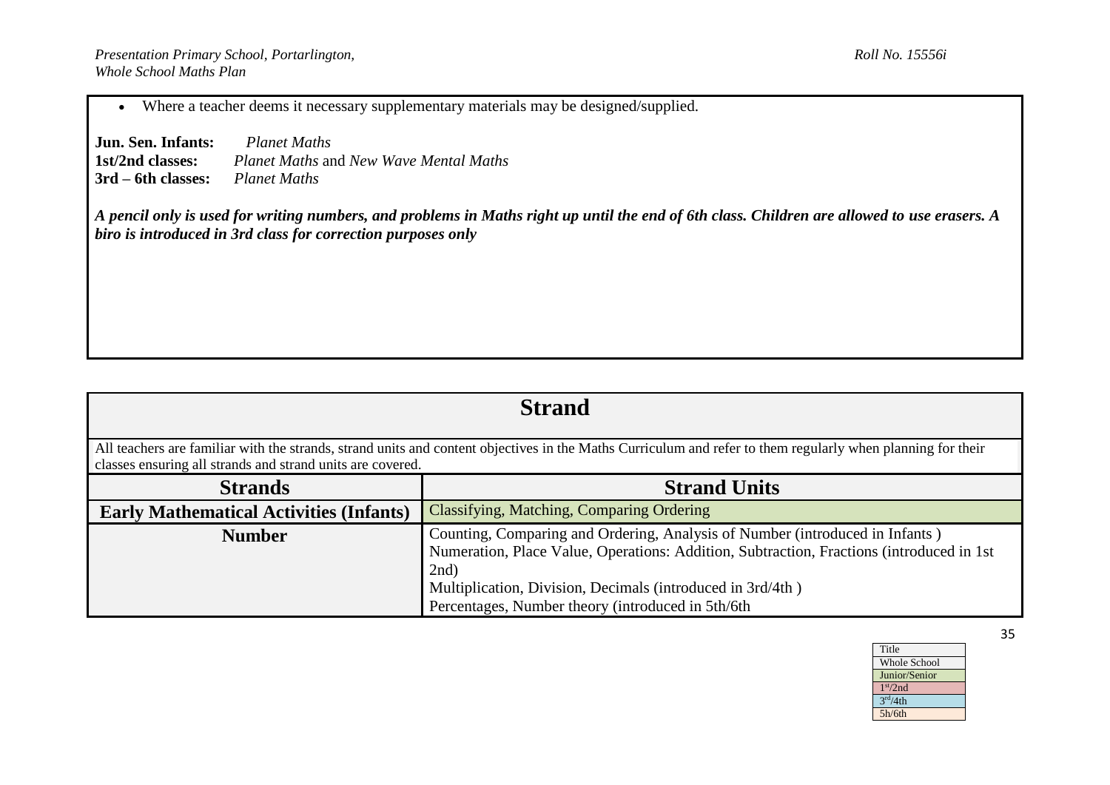Where a teacher deems it necessary supplementary materials may be designed/supplied.

**Jun. Sen. Infants:** *Planet Maths*<br>**1st/2nd classes:** *Planet Maths* are **1st/2nd classes:** *Planet Maths* and *New Wave Mental Maths* **3rd – 6th classes:** *Planet Maths*

*A pencil only is used for writing numbers, and problems in Maths right up until the end of 6th class. Children are allowed to use erasers. A biro is introduced in 3rd class for correction purposes only*

| <b>Strand</b>                                                                                                                                                                                                             |                                                                                                                                                                                                                                                                                                        |  |  |
|---------------------------------------------------------------------------------------------------------------------------------------------------------------------------------------------------------------------------|--------------------------------------------------------------------------------------------------------------------------------------------------------------------------------------------------------------------------------------------------------------------------------------------------------|--|--|
| All teachers are familiar with the strands, strand units and content objectives in the Maths Curriculum and refer to them regularly when planning for their<br>classes ensuring all strands and strand units are covered. |                                                                                                                                                                                                                                                                                                        |  |  |
| <b>Strands</b>                                                                                                                                                                                                            | <b>Strand Units</b>                                                                                                                                                                                                                                                                                    |  |  |
| <b>Early Mathematical Activities (Infants)</b>                                                                                                                                                                            | Classifying, Matching, Comparing Ordering                                                                                                                                                                                                                                                              |  |  |
| <b>Number</b>                                                                                                                                                                                                             | Counting, Comparing and Ordering, Analysis of Number (introduced in Infants)<br>Numeration, Place Value, Operations: Addition, Subtraction, Fractions (introduced in 1st<br>$2nd$ )<br>Multiplication, Division, Decimals (introduced in 3rd/4th)<br>Percentages, Number theory (introduced in 5th/6th |  |  |

Title Whole School Junior/Senior 1 st/2nd  $3<sup>rd</sup>/4th$ 5h/6th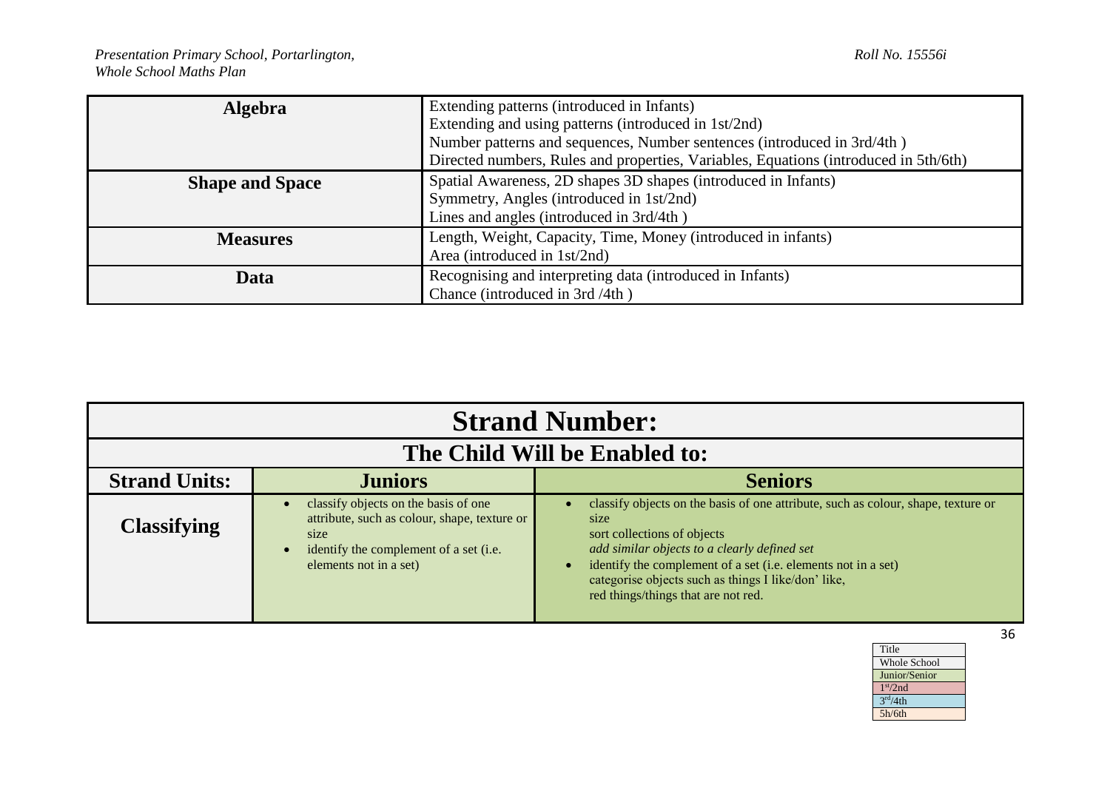| <b>Algebra</b>         | Extending patterns (introduced in Infants)                                           |  |
|------------------------|--------------------------------------------------------------------------------------|--|
|                        | Extending and using patterns (introduced in 1st/2nd)                                 |  |
|                        | Number patterns and sequences, Number sentences (introduced in 3rd/4th)              |  |
|                        | Directed numbers, Rules and properties, Variables, Equations (introduced in 5th/6th) |  |
| <b>Shape and Space</b> | Spatial Awareness, 2D shapes 3D shapes (introduced in Infants)                       |  |
|                        | Symmetry, Angles (introduced in 1st/2nd)                                             |  |
|                        | Lines and angles (introduced in 3rd/4th)                                             |  |
| <b>Measures</b>        | Length, Weight, Capacity, Time, Money (introduced in infants)                        |  |
|                        | Area (introduced in 1st/2nd)                                                         |  |
| Data                   | Recognising and interpreting data (introduced in Infants)                            |  |
|                        | Chance (introduced in 3rd /4th)                                                      |  |

| <b>Strand Number:</b> |                                                                                                                                                                  |                                                                                                                                                                                                                                                                                                                                                      |  |  |  |
|-----------------------|------------------------------------------------------------------------------------------------------------------------------------------------------------------|------------------------------------------------------------------------------------------------------------------------------------------------------------------------------------------------------------------------------------------------------------------------------------------------------------------------------------------------------|--|--|--|
|                       | The Child Will be Enabled to:                                                                                                                                    |                                                                                                                                                                                                                                                                                                                                                      |  |  |  |
| <b>Strand Units:</b>  | <b>Juniors</b>                                                                                                                                                   | <b>Seniors</b>                                                                                                                                                                                                                                                                                                                                       |  |  |  |
| <b>Classifying</b>    | classify objects on the basis of one<br>attribute, such as colour, shape, texture or<br>size<br>identify the complement of a set (i.e.<br>elements not in a set) | classify objects on the basis of one attribute, such as colour, shape, texture or<br>size<br>sort collections of objects<br>add similar objects to a clearly defined set<br>identify the complement of a set (i.e. elements not in a set)<br>$\bullet$<br>categorise objects such as things I like/don' like,<br>red things/things that are not red. |  |  |  |

| Title                |
|----------------------|
| <b>Whole School</b>  |
| Junior/Senior        |
| 1 <sup>st</sup> /2nd |
| 3 <sup>rd</sup> /4th |
| 5h/6th               |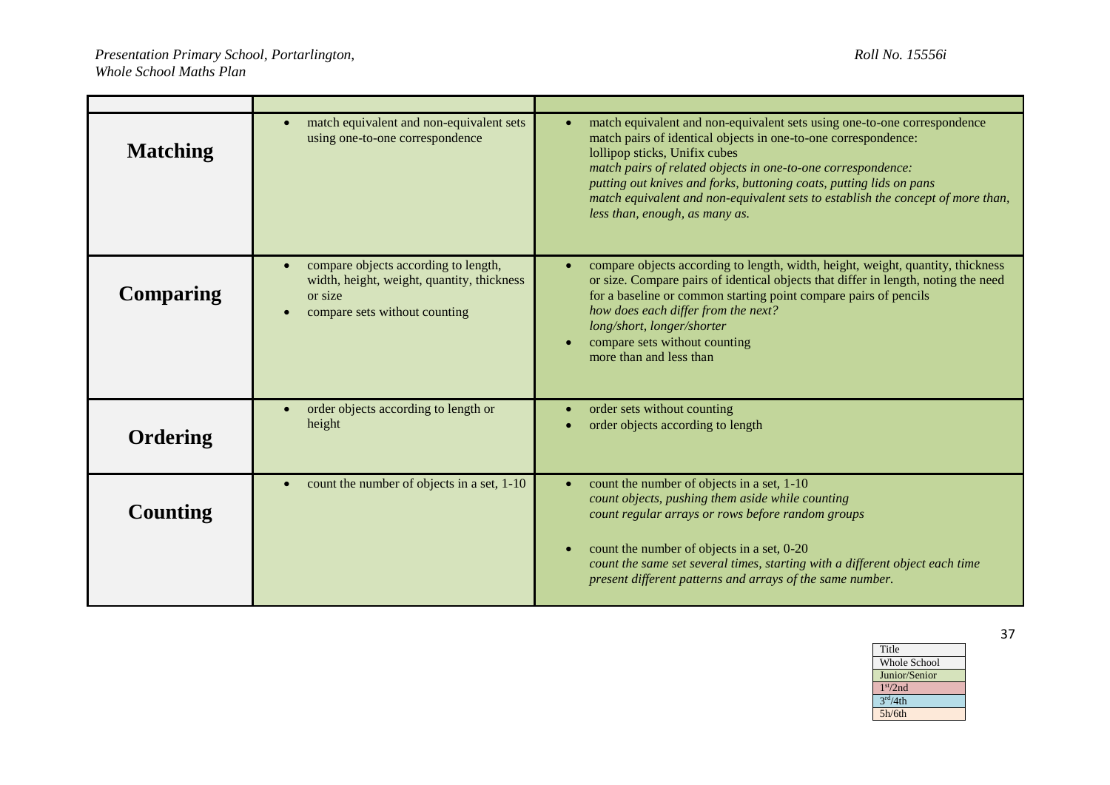| <b>Matching</b>  | match equivalent and non-equivalent sets<br>using one-to-one correspondence                                                    | match equivalent and non-equivalent sets using one-to-one correspondence<br>$\bullet$<br>match pairs of identical objects in one-to-one correspondence:<br>lollipop sticks, Unifix cubes<br>match pairs of related objects in one-to-one correspondence:<br>putting out knives and forks, buttoning coats, putting lids on pans<br>match equivalent and non-equivalent sets to establish the concept of more than,<br>less than, enough, as many as. |
|------------------|--------------------------------------------------------------------------------------------------------------------------------|------------------------------------------------------------------------------------------------------------------------------------------------------------------------------------------------------------------------------------------------------------------------------------------------------------------------------------------------------------------------------------------------------------------------------------------------------|
| <b>Comparing</b> | compare objects according to length,<br>width, height, weight, quantity, thickness<br>or size<br>compare sets without counting | compare objects according to length, width, height, weight, quantity, thickness<br>or size. Compare pairs of identical objects that differ in length, noting the need<br>for a baseline or common starting point compare pairs of pencils<br>how does each differ from the next?<br>long/short, longer/shorter<br>compare sets without counting<br>more than and less than                                                                           |
| Ordering         | order objects according to length or<br>height                                                                                 | order sets without counting<br>$\bullet$<br>order objects according to length                                                                                                                                                                                                                                                                                                                                                                        |
| Counting         | count the number of objects in a set, 1-10                                                                                     | count the number of objects in a set, 1-10<br>$\bullet$<br>count objects, pushing them aside while counting<br>count regular arrays or rows before random groups<br>count the number of objects in a set, 0-20<br>$\bullet$<br>count the same set several times, starting with a different object each time<br>present different patterns and arrays of the same number.                                                                             |

| Title                |  |
|----------------------|--|
| <b>Whole School</b>  |  |
| Junior/Senior        |  |
| 1 <sup>st</sup> /2nd |  |
| 3 <sup>rd</sup> /4th |  |
| 5h/6th               |  |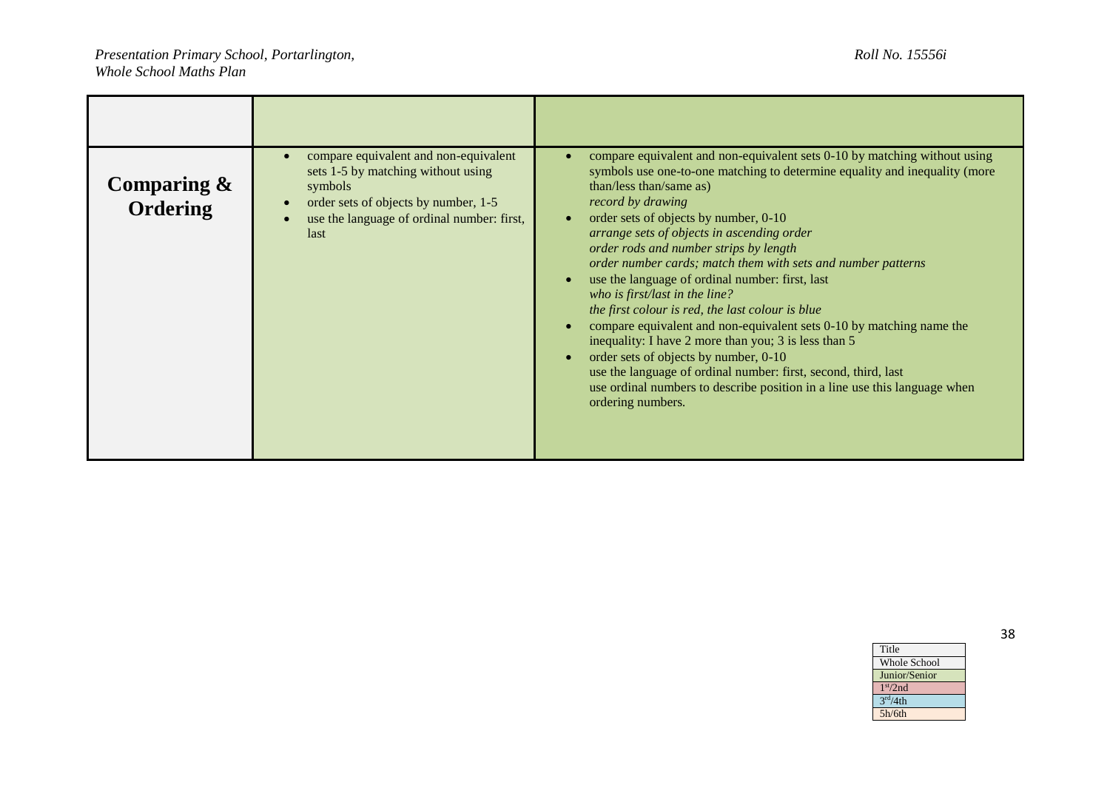| Comparing $\&$<br>Ordering | compare equivalent and non-equivalent<br>sets 1-5 by matching without using<br>symbols<br>order sets of objects by number, 1-5<br>use the language of ordinal number: first,<br>last | compare equivalent and non-equivalent sets 0-10 by matching without using<br>symbols use one-to-one matching to determine equality and inequality (more<br>than/less than/same as)<br>record by drawing<br>order sets of objects by number, 0-10<br>$\bullet$<br>arrange sets of objects in ascending order<br>order rods and number strips by length<br>order number cards; match them with sets and number patterns<br>use the language of ordinal number: first, last<br>$\bullet$<br>who is first/last in the line?<br>the first colour is red, the last colour is blue<br>compare equivalent and non-equivalent sets 0-10 by matching name the<br>inequality: I have 2 more than you; 3 is less than 5<br>order sets of objects by number, 0-10<br>$\bullet$<br>use the language of ordinal number: first, second, third, last<br>use ordinal numbers to describe position in a line use this language when<br>ordering numbers. |
|----------------------------|--------------------------------------------------------------------------------------------------------------------------------------------------------------------------------------|---------------------------------------------------------------------------------------------------------------------------------------------------------------------------------------------------------------------------------------------------------------------------------------------------------------------------------------------------------------------------------------------------------------------------------------------------------------------------------------------------------------------------------------------------------------------------------------------------------------------------------------------------------------------------------------------------------------------------------------------------------------------------------------------------------------------------------------------------------------------------------------------------------------------------------------|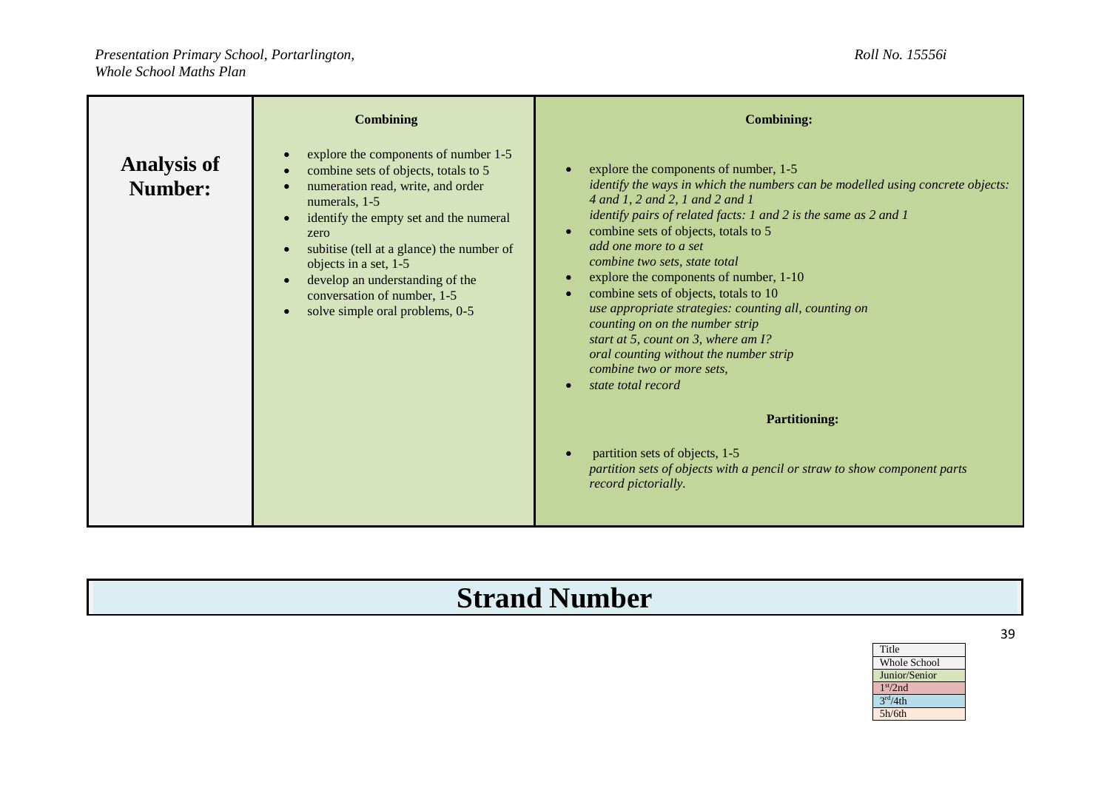|                               | <b>Combining</b>                                                                                                                                                                                                                                                                                                                                                                                                    | <b>Combining:</b>                                                                                                                                                                                                                                                                                                                                                                                                                                                                                                                                                                                                                                                                                                                                                                                               |
|-------------------------------|---------------------------------------------------------------------------------------------------------------------------------------------------------------------------------------------------------------------------------------------------------------------------------------------------------------------------------------------------------------------------------------------------------------------|-----------------------------------------------------------------------------------------------------------------------------------------------------------------------------------------------------------------------------------------------------------------------------------------------------------------------------------------------------------------------------------------------------------------------------------------------------------------------------------------------------------------------------------------------------------------------------------------------------------------------------------------------------------------------------------------------------------------------------------------------------------------------------------------------------------------|
| <b>Analysis of</b><br>Number: | explore the components of number 1-5<br>$\bullet$<br>combine sets of objects, totals to 5<br>numeration read, write, and order<br>numerals, 1-5<br>identify the empty set and the numeral<br>$\bullet$<br>zero<br>subitise (tell at a glance) the number of<br>objects in a set, 1-5<br>develop an understanding of the<br>$\bullet$<br>conversation of number, 1-5<br>solve simple oral problems, 0-5<br>$\bullet$ | explore the components of number, 1-5<br>identify the ways in which the numbers can be modelled using concrete objects:<br>4 and 1, 2 and 2, 1 and 2 and 1<br>identify pairs of related facts: 1 and 2 is the same as 2 and 1<br>combine sets of objects, totals to 5<br>add one more to a set<br>combine two sets, state total<br>explore the components of number, 1-10<br>combine sets of objects, totals to 10<br>use appropriate strategies: counting all, counting on<br>counting on on the number strip<br>start at 5, count on 3, where am I?<br>oral counting without the number strip<br>combine two or more sets.<br>state total record<br><b>Partitioning:</b><br>partition sets of objects, 1-5<br>partition sets of objects with a pencil or straw to show component parts<br>record pictorially. |

## **Strand Number**

| Title                |  |
|----------------------|--|
| <b>Whole School</b>  |  |
| Junior/Senior        |  |
| 1 <sup>st</sup> /2nd |  |
| 3 <sup>rd</sup> /4th |  |
| 5h/6th               |  |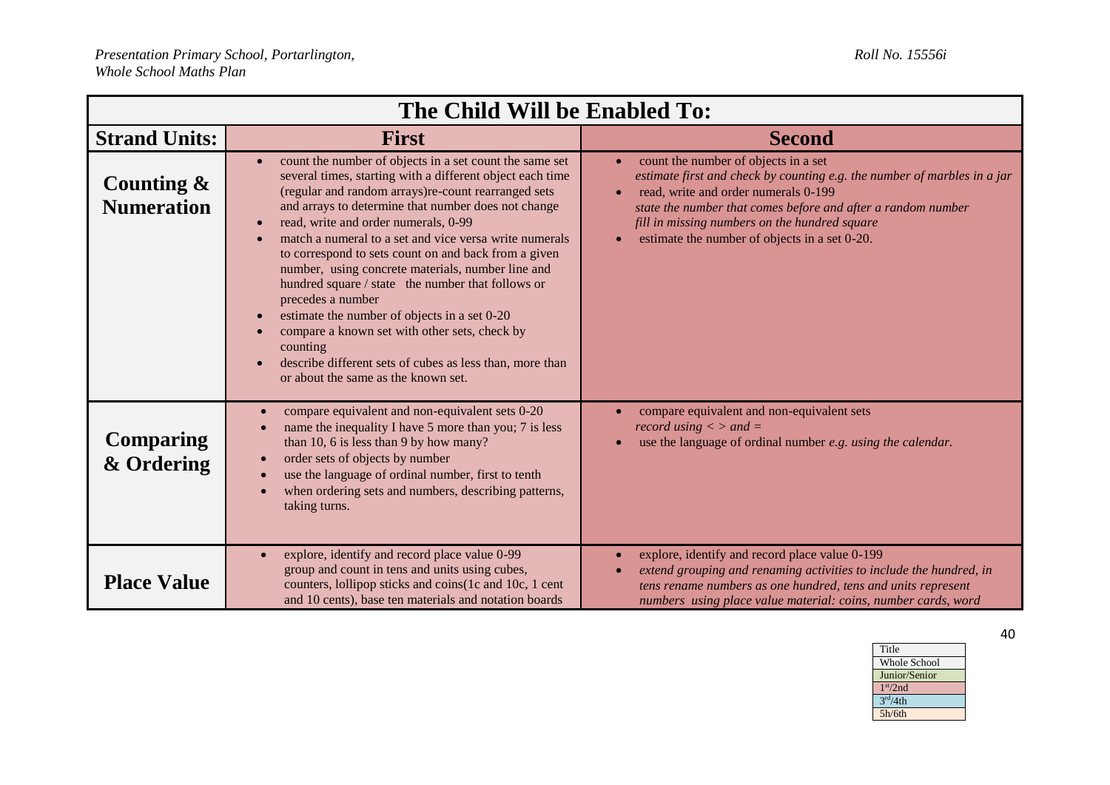| The Child Will be Enabled To:      |                                                                                                                                                                                                                                                                                                                                                                                                                                                                                                                                                                                                                                                                                                                                             |                                                                                                                                                                                                                                                                                                                                                      |
|------------------------------------|---------------------------------------------------------------------------------------------------------------------------------------------------------------------------------------------------------------------------------------------------------------------------------------------------------------------------------------------------------------------------------------------------------------------------------------------------------------------------------------------------------------------------------------------------------------------------------------------------------------------------------------------------------------------------------------------------------------------------------------------|------------------------------------------------------------------------------------------------------------------------------------------------------------------------------------------------------------------------------------------------------------------------------------------------------------------------------------------------------|
| <b>Strand Units:</b>               | <b>First</b>                                                                                                                                                                                                                                                                                                                                                                                                                                                                                                                                                                                                                                                                                                                                | <b>Second</b>                                                                                                                                                                                                                                                                                                                                        |
| Counting $\&$<br><b>Numeration</b> | count the number of objects in a set count the same set<br>several times, starting with a different object each time<br>(regular and random arrays)re-count rearranged sets<br>and arrays to determine that number does not change<br>read, write and order numerals, 0-99<br>match a numeral to a set and vice versa write numerals<br>to correspond to sets count on and back from a given<br>number, using concrete materials, number line and<br>hundred square / state the number that follows or<br>precedes a number<br>estimate the number of objects in a set 0-20<br>compare a known set with other sets, check by<br>counting<br>describe different sets of cubes as less than, more than<br>or about the same as the known set. | count the number of objects in a set<br>$\bullet$<br>estimate first and check by counting e.g. the number of marbles in a jar<br>read, write and order numerals 0-199<br>$\bullet$<br>state the number that comes before and after a random number<br>fill in missing numbers on the hundred square<br>estimate the number of objects in a set 0-20. |
| <b>Comparing</b><br>& Ordering     | compare equivalent and non-equivalent sets 0-20<br>name the inequality I have 5 more than you; 7 is less<br>than 10, 6 is less than 9 by how many?<br>order sets of objects by number<br>use the language of ordinal number, first to tenth<br>when ordering sets and numbers, describing patterns,<br>taking turns.                                                                                                                                                                                                                                                                                                                                                                                                                        | compare equivalent and non-equivalent sets<br>record using $\langle$ > and =<br>use the language of ordinal number e.g. using the calendar.                                                                                                                                                                                                          |
| <b>Place Value</b>                 | explore, identify and record place value 0-99<br>group and count in tens and units using cubes,<br>counters, lollipop sticks and coins (1c and 10c, 1 cent<br>and 10 cents), base ten materials and notation boards                                                                                                                                                                                                                                                                                                                                                                                                                                                                                                                         | explore, identify and record place value 0-199<br>$\bullet$<br>extend grouping and renaming activities to include the hundred, in<br>$\bullet$<br>tens rename numbers as one hundred, tens and units represent<br>numbers using place value material: coins, number cards, word                                                                      |

| Title                |
|----------------------|
| <b>Whole School</b>  |
| Junior/Senior        |
| 1 <sup>st</sup> /2nd |
| 3 <sup>rd</sup> /4th |
| 5h/6th               |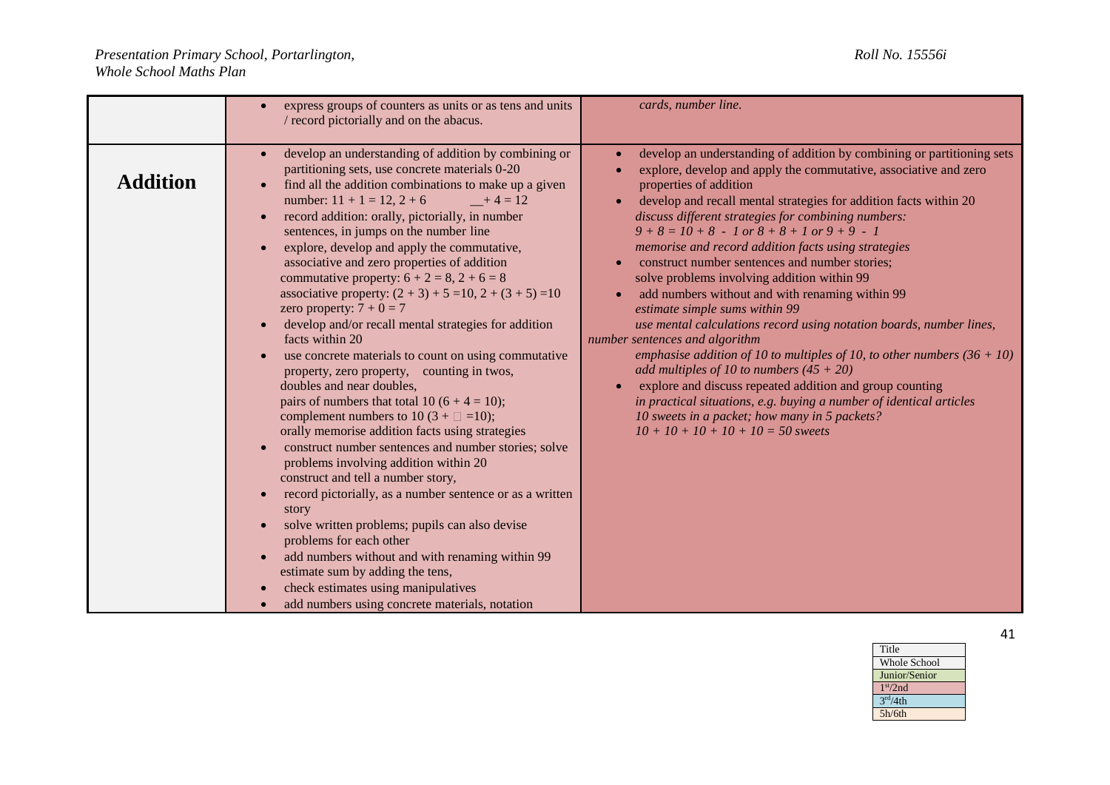|                 | express groups of counters as units or as tens and units<br>/ record pictorially and on the abacus.                                                                                                                                                                                                                                                                                                                                                                                                                                                                                                                                                                                                                                                                                                                                                                                                                                                                                                                                                                                                                                                                                                                                                                                                                                                                                                    | cards, number line.                                                                                                                                                                                                                                                                                                                                                                                                                                                                                                                                                                                                                                                                                                                                                                                                                                                                                                                                                                                                                                                |
|-----------------|--------------------------------------------------------------------------------------------------------------------------------------------------------------------------------------------------------------------------------------------------------------------------------------------------------------------------------------------------------------------------------------------------------------------------------------------------------------------------------------------------------------------------------------------------------------------------------------------------------------------------------------------------------------------------------------------------------------------------------------------------------------------------------------------------------------------------------------------------------------------------------------------------------------------------------------------------------------------------------------------------------------------------------------------------------------------------------------------------------------------------------------------------------------------------------------------------------------------------------------------------------------------------------------------------------------------------------------------------------------------------------------------------------|--------------------------------------------------------------------------------------------------------------------------------------------------------------------------------------------------------------------------------------------------------------------------------------------------------------------------------------------------------------------------------------------------------------------------------------------------------------------------------------------------------------------------------------------------------------------------------------------------------------------------------------------------------------------------------------------------------------------------------------------------------------------------------------------------------------------------------------------------------------------------------------------------------------------------------------------------------------------------------------------------------------------------------------------------------------------|
| <b>Addition</b> | develop an understanding of addition by combining or<br>partitioning sets, use concrete materials 0-20<br>find all the addition combinations to make up a given<br>number: $11 + 1 = 12$ , $2 + 6$<br>$-+4=12$<br>record addition: orally, pictorially, in number<br>sentences, in jumps on the number line<br>explore, develop and apply the commutative,<br>associative and zero properties of addition<br>commutative property: $6 + 2 = 8$ , $2 + 6 = 8$<br>associative property: $(2 + 3) + 5 = 10$ , $2 + (3 + 5) = 10$<br>zero property: $7 + 0 = 7$<br>develop and/or recall mental strategies for addition<br>facts within 20<br>use concrete materials to count on using commutative<br>property, zero property, counting in twos,<br>doubles and near doubles,<br>pairs of numbers that total 10 (6 + 4 = 10);<br>complement numbers to 10 (3 + $\square$ =10);<br>orally memorise addition facts using strategies<br>construct number sentences and number stories; solve<br>problems involving addition within 20<br>construct and tell a number story,<br>record pictorially, as a number sentence or as a written<br>story<br>solve written problems; pupils can also devise<br>problems for each other<br>add numbers without and with renaming within 99<br>estimate sum by adding the tens,<br>check estimates using manipulatives<br>add numbers using concrete materials, notation | develop an understanding of addition by combining or partitioning sets<br>explore, develop and apply the commutative, associative and zero<br>properties of addition<br>develop and recall mental strategies for addition facts within 20<br>$\bullet$<br>discuss different strategies for combining numbers:<br>$9+8=10+8$ - 1 or $8+8+1$ or $9+9-1$<br>memorise and record addition facts using strategies<br>construct number sentences and number stories;<br>solve problems involving addition within 99<br>add numbers without and with renaming within 99<br>estimate simple sums within 99<br>use mental calculations record using notation boards, number lines,<br>number sentences and algorithm<br>emphasise addition of 10 to multiples of 10, to other numbers $(36 + 10)$<br>add multiples of 10 to numbers $(45 + 20)$<br>explore and discuss repeated addition and group counting<br>in practical situations, e.g. buying a number of identical articles<br>10 sweets in a packet; how many in 5 packets?<br>$10 + 10 + 10 + 10 + 10 = 50$ sweets |

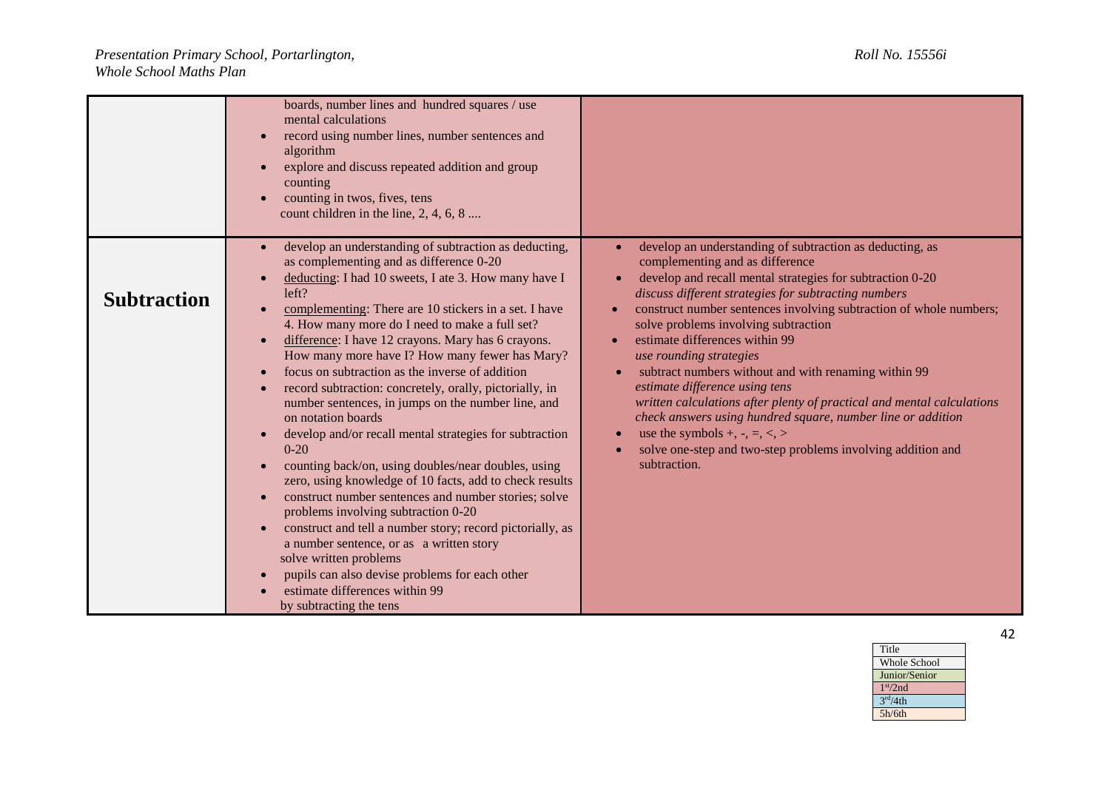|                    | boards, number lines and hundred squares / use<br>mental calculations<br>record using number lines, number sentences and<br>algorithm<br>explore and discuss repeated addition and group<br>counting<br>counting in twos, fives, tens<br>count children in the line, $2, 4, 6, 8 \dots$                                                                                                                                                                                                                                                                                                                                                                                                                                                                                                                                                                                                                                                                                                                                                                                                                                               |                                                                                                                                                                                                                                                                                                                                                                                                                                                                                                                                                                                                                                                                                                                                                                                         |
|--------------------|---------------------------------------------------------------------------------------------------------------------------------------------------------------------------------------------------------------------------------------------------------------------------------------------------------------------------------------------------------------------------------------------------------------------------------------------------------------------------------------------------------------------------------------------------------------------------------------------------------------------------------------------------------------------------------------------------------------------------------------------------------------------------------------------------------------------------------------------------------------------------------------------------------------------------------------------------------------------------------------------------------------------------------------------------------------------------------------------------------------------------------------|-----------------------------------------------------------------------------------------------------------------------------------------------------------------------------------------------------------------------------------------------------------------------------------------------------------------------------------------------------------------------------------------------------------------------------------------------------------------------------------------------------------------------------------------------------------------------------------------------------------------------------------------------------------------------------------------------------------------------------------------------------------------------------------------|
| <b>Subtraction</b> | develop an understanding of subtraction as deducting,<br>as complementing and as difference 0-20<br>deducting: I had 10 sweets, I ate 3. How many have I<br>left?<br>complementing: There are 10 stickers in a set. I have<br>4. How many more do I need to make a full set?<br>difference: I have 12 crayons. Mary has 6 crayons.<br>$\bullet$<br>How many more have I? How many fewer has Mary?<br>focus on subtraction as the inverse of addition<br>record subtraction: concretely, orally, pictorially, in<br>number sentences, in jumps on the number line, and<br>on notation boards<br>develop and/or recall mental strategies for subtraction<br>$0 - 20$<br>counting back/on, using doubles/near doubles, using<br>zero, using knowledge of 10 facts, add to check results<br>construct number sentences and number stories; solve<br>problems involving subtraction 0-20<br>construct and tell a number story; record pictorially, as<br>a number sentence, or as a written story<br>solve written problems<br>pupils can also devise problems for each other<br>estimate differences within 99<br>by subtracting the tens | develop an understanding of subtraction as deducting, as<br>complementing and as difference<br>develop and recall mental strategies for subtraction 0-20<br>$\bullet$<br>discuss different strategies for subtracting numbers<br>construct number sentences involving subtraction of whole numbers;<br>solve problems involving subtraction<br>estimate differences within 99<br>$\bullet$<br>use rounding strategies<br>subtract numbers without and with renaming within 99<br>estimate difference using tens<br>written calculations after plenty of practical and mental calculations<br>check answers using hundred square, number line or addition<br>use the symbols $+, -, =, <, >$<br>$\bullet$<br>solve one-step and two-step problems involving addition and<br>subtraction. |

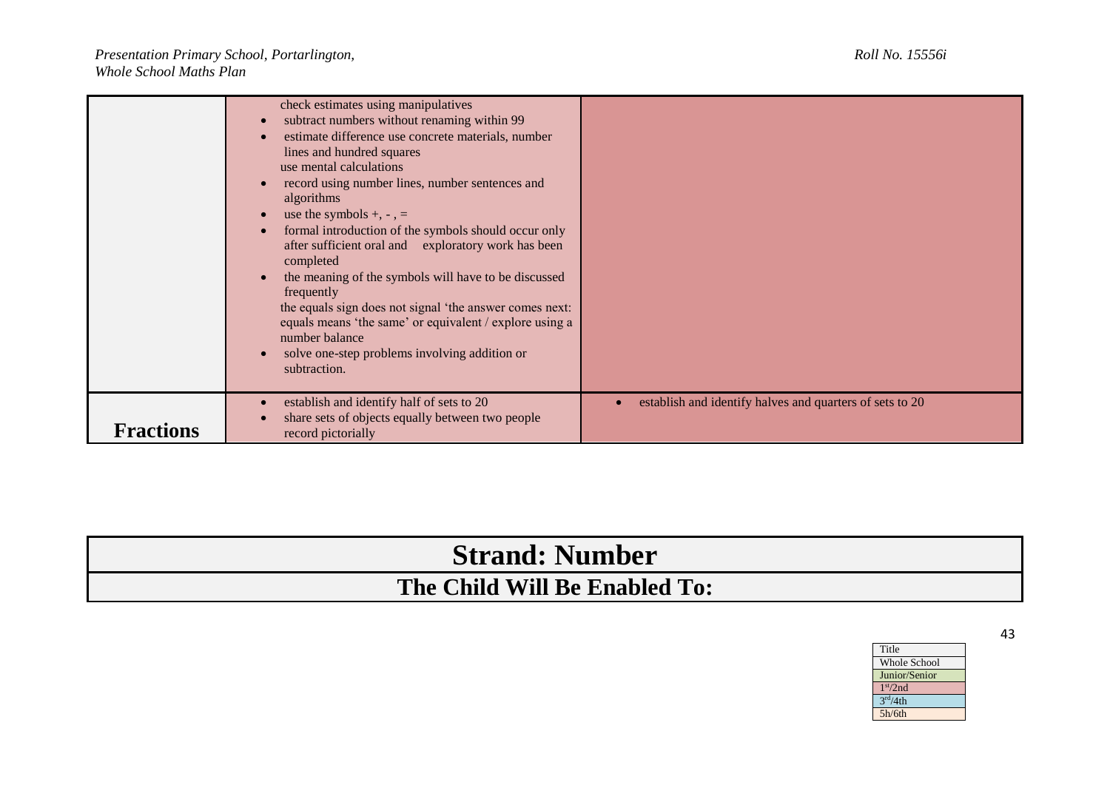|                  | check estimates using manipulatives<br>subtract numbers without renaming within 99<br>estimate difference use concrete materials, number<br>lines and hundred squares<br>use mental calculations<br>record using number lines, number sentences and<br>algorithms<br>use the symbols $+, -, =$<br>formal introduction of the symbols should occur only<br>after sufficient oral and exploratory work has been<br>completed<br>the meaning of the symbols will have to be discussed<br>frequently<br>the equals sign does not signal 'the answer comes next:<br>equals means 'the same' or equivalent / explore using a<br>number balance<br>solve one-step problems involving addition or<br>subtraction. |                                                          |
|------------------|-----------------------------------------------------------------------------------------------------------------------------------------------------------------------------------------------------------------------------------------------------------------------------------------------------------------------------------------------------------------------------------------------------------------------------------------------------------------------------------------------------------------------------------------------------------------------------------------------------------------------------------------------------------------------------------------------------------|----------------------------------------------------------|
| <b>Fractions</b> | establish and identify half of sets to 20<br>share sets of objects equally between two people<br>record pictorially                                                                                                                                                                                                                                                                                                                                                                                                                                                                                                                                                                                       | establish and identify halves and quarters of sets to 20 |

## **Strand: Number The Child Will Be Enabled To:**

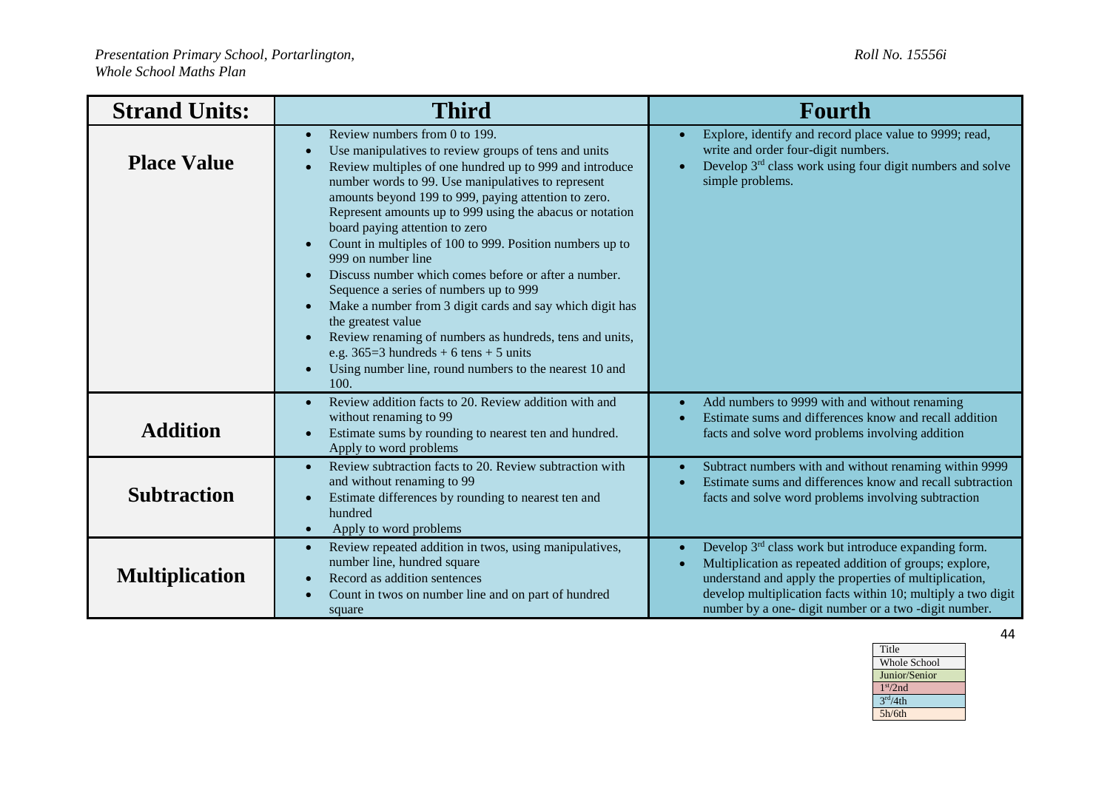| <b>Strand Units:</b>  | <b>Third</b>                                                                                                                                                                                                                                                                                                                                                                                                                                                                                                                                                                                                                                                                                                                                                                                                                                                                              | Fourth                                                                                                                                                                                                                                                                                                                      |
|-----------------------|-------------------------------------------------------------------------------------------------------------------------------------------------------------------------------------------------------------------------------------------------------------------------------------------------------------------------------------------------------------------------------------------------------------------------------------------------------------------------------------------------------------------------------------------------------------------------------------------------------------------------------------------------------------------------------------------------------------------------------------------------------------------------------------------------------------------------------------------------------------------------------------------|-----------------------------------------------------------------------------------------------------------------------------------------------------------------------------------------------------------------------------------------------------------------------------------------------------------------------------|
| <b>Place Value</b>    | Review numbers from 0 to 199.<br>$\bullet$<br>Use manipulatives to review groups of tens and units<br>$\bullet$<br>Review multiples of one hundred up to 999 and introduce<br>$\bullet$<br>number words to 99. Use manipulatives to represent<br>amounts beyond 199 to 999, paying attention to zero.<br>Represent amounts up to 999 using the abacus or notation<br>board paying attention to zero<br>Count in multiples of 100 to 999. Position numbers up to<br>$\bullet$<br>999 on number line<br>Discuss number which comes before or after a number.<br>$\bullet$<br>Sequence a series of numbers up to 999<br>Make a number from 3 digit cards and say which digit has<br>$\bullet$<br>the greatest value<br>Review renaming of numbers as hundreds, tens and units,<br>e.g. $365=3$ hundreds + 6 tens + 5 units<br>Using number line, round numbers to the nearest 10 and<br>100. | Explore, identify and record place value to 9999; read,<br>write and order four-digit numbers.<br>Develop 3 <sup>rd</sup> class work using four digit numbers and solve<br>simple problems.                                                                                                                                 |
| <b>Addition</b>       | Review addition facts to 20. Review addition with and<br>$\bullet$<br>without renaming to 99<br>Estimate sums by rounding to nearest ten and hundred.<br>$\bullet$<br>Apply to word problems                                                                                                                                                                                                                                                                                                                                                                                                                                                                                                                                                                                                                                                                                              | Add numbers to 9999 with and without renaming<br>Estimate sums and differences know and recall addition<br>facts and solve word problems involving addition                                                                                                                                                                 |
| <b>Subtraction</b>    | Review subtraction facts to 20. Review subtraction with<br>$\bullet$<br>and without renaming to 99<br>Estimate differences by rounding to nearest ten and<br>$\bullet$<br>hundred<br>Apply to word problems<br>$\bullet$                                                                                                                                                                                                                                                                                                                                                                                                                                                                                                                                                                                                                                                                  | Subtract numbers with and without renaming within 9999<br>Estimate sums and differences know and recall subtraction<br>facts and solve word problems involving subtraction                                                                                                                                                  |
| <b>Multiplication</b> | Review repeated addition in twos, using manipulatives,<br>$\bullet$<br>number line, hundred square<br>Record as addition sentences<br>$\bullet$<br>Count in twos on number line and on part of hundred<br>square                                                                                                                                                                                                                                                                                                                                                                                                                                                                                                                                                                                                                                                                          | Develop 3 <sup>rd</sup> class work but introduce expanding form.<br>$\bullet$<br>Multiplication as repeated addition of groups; explore,<br>understand and apply the properties of multiplication,<br>develop multiplication facts within 10; multiply a two digit<br>number by a one- digit number or a two -digit number. |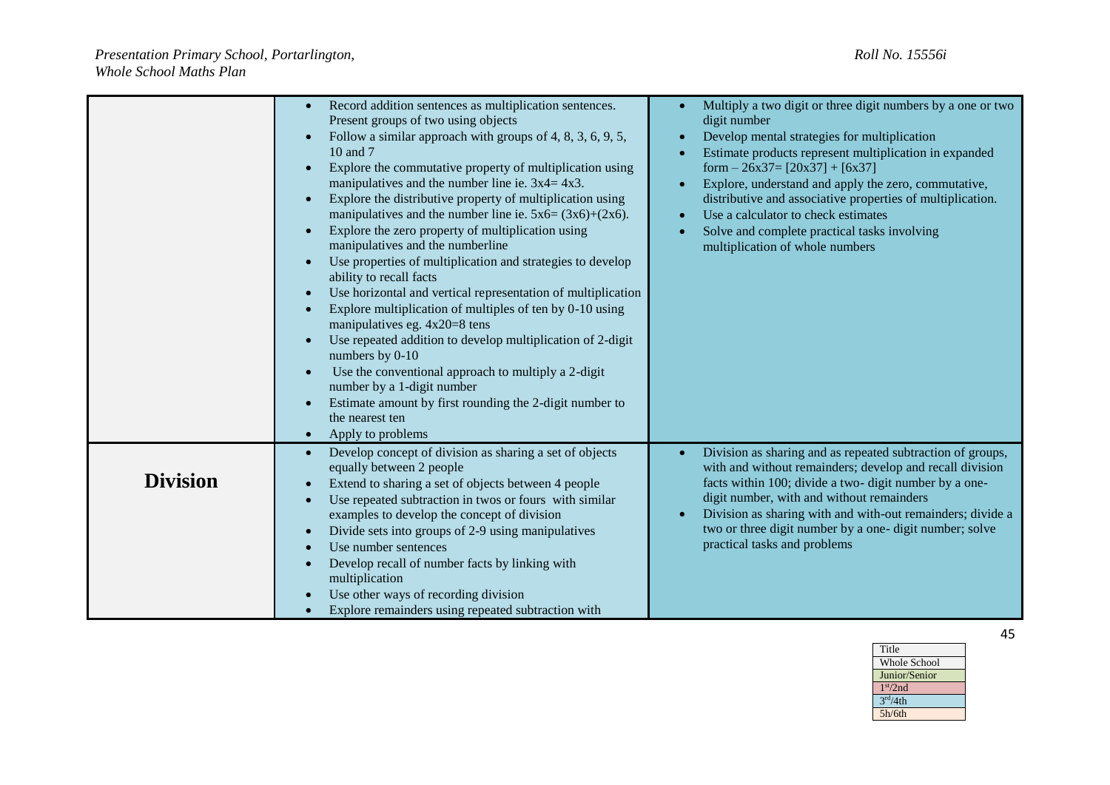|                 | Record addition sentences as multiplication sentences.<br>Present groups of two using objects<br>Follow a similar approach with groups of 4, 8, 3, 6, 9, 5,<br>$\bullet$<br>10 and 7<br>Explore the commutative property of multiplication using<br>$\bullet$<br>manipulatives and the number line ie. $3x4 = 4x3$ .<br>Explore the distributive property of multiplication using<br>$\bullet$<br>manipulatives and the number line ie. $5x6 = (3x6)+(2x6)$ .<br>Explore the zero property of multiplication using<br>$\bullet$<br>manipulatives and the numberline<br>Use properties of multiplication and strategies to develop<br>$\bullet$<br>ability to recall facts | Multiply a two digit or three digit numbers by a one or two<br>digit number<br>Develop mental strategies for multiplication<br>Estimate products represent multiplication in expanded<br>form $-26x37=[20x37]+[6x37]$<br>Explore, understand and apply the zero, commutative,<br>distributive and associative properties of multiplication.<br>Use a calculator to check estimates<br>Solve and complete practical tasks involving<br>multiplication of whole numbers |
|-----------------|---------------------------------------------------------------------------------------------------------------------------------------------------------------------------------------------------------------------------------------------------------------------------------------------------------------------------------------------------------------------------------------------------------------------------------------------------------------------------------------------------------------------------------------------------------------------------------------------------------------------------------------------------------------------------|-----------------------------------------------------------------------------------------------------------------------------------------------------------------------------------------------------------------------------------------------------------------------------------------------------------------------------------------------------------------------------------------------------------------------------------------------------------------------|
|                 | Use horizontal and vertical representation of multiplication<br>$\bullet$<br>Explore multiplication of multiples of ten by 0-10 using<br>$\bullet$<br>manipulatives eg. 4x20=8 tens<br>Use repeated addition to develop multiplication of 2-digit<br>$\bullet$<br>numbers by 0-10<br>Use the conventional approach to multiply a 2-digit<br>$\bullet$<br>number by a 1-digit number<br>Estimate amount by first rounding the 2-digit number to<br>$\bullet$<br>the nearest ten<br>Apply to problems<br>$\bullet$                                                                                                                                                          |                                                                                                                                                                                                                                                                                                                                                                                                                                                                       |
| <b>Division</b> | Develop concept of division as sharing a set of objects<br>$\bullet$<br>equally between 2 people<br>Extend to sharing a set of objects between 4 people<br>$\bullet$<br>Use repeated subtraction in twos or fours with similar<br>$\bullet$<br>examples to develop the concept of division<br>Divide sets into groups of 2-9 using manipulatives<br>$\bullet$<br>Use number sentences<br>$\bullet$<br>Develop recall of number facts by linking with<br>$\bullet$<br>multiplication<br>Use other ways of recording division<br>$\bullet$<br>Explore remainders using repeated subtraction with                                                                            | Division as sharing and as repeated subtraction of groups,<br>with and without remainders; develop and recall division<br>facts within 100; divide a two- digit number by a one-<br>digit number, with and without remainders<br>Division as sharing with and with-out remainders; divide a<br>two or three digit number by a one- digit number; solve<br>practical tasks and problems                                                                                |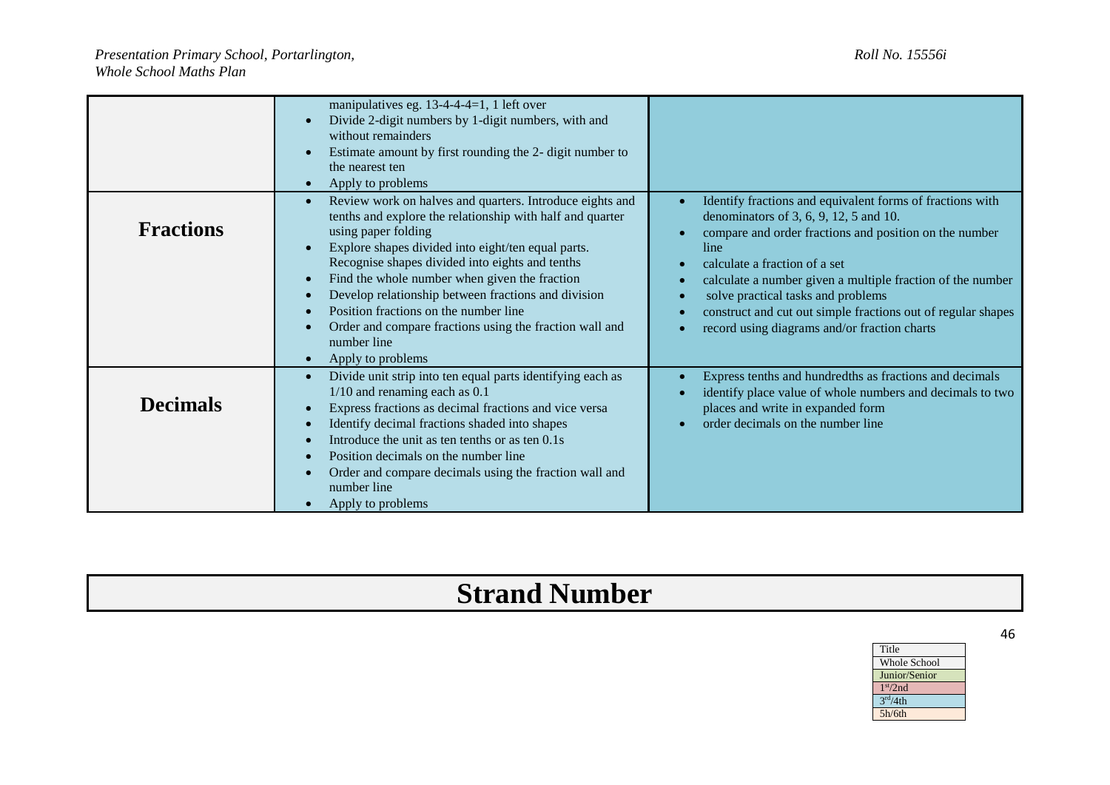|                  | manipulatives eg. 13-4-4-4=1, 1 left over<br>Divide 2-digit numbers by 1-digit numbers, with and<br>without remainders<br>Estimate amount by first rounding the 2- digit number to<br>the nearest ten<br>Apply to problems                                                                                                                                                                                                                                                                            |                                                                                                                                                                                                                                                                                                                                                                                                                                                                   |
|------------------|-------------------------------------------------------------------------------------------------------------------------------------------------------------------------------------------------------------------------------------------------------------------------------------------------------------------------------------------------------------------------------------------------------------------------------------------------------------------------------------------------------|-------------------------------------------------------------------------------------------------------------------------------------------------------------------------------------------------------------------------------------------------------------------------------------------------------------------------------------------------------------------------------------------------------------------------------------------------------------------|
| <b>Fractions</b> | Review work on halves and quarters. Introduce eights and<br>tenths and explore the relationship with half and quarter<br>using paper folding<br>Explore shapes divided into eight/ten equal parts.<br>Recognise shapes divided into eights and tenths<br>Find the whole number when given the fraction<br>Develop relationship between fractions and division<br>Position fractions on the number line<br>Order and compare fractions using the fraction wall and<br>number line<br>Apply to problems | Identify fractions and equivalent forms of fractions with<br>$\bullet$<br>denominators of 3, 6, 9, 12, 5 and 10.<br>compare and order fractions and position on the number<br>line<br>calculate a fraction of a set<br>$\bullet$<br>calculate a number given a multiple fraction of the number<br>$\bullet$<br>solve practical tasks and problems<br>construct and cut out simple fractions out of regular shapes<br>record using diagrams and/or fraction charts |
| <b>Decimals</b>  | Divide unit strip into ten equal parts identifying each as<br>$\bullet$<br>$1/10$ and renaming each as $0.1$<br>Express fractions as decimal fractions and vice versa<br>Identify decimal fractions shaded into shapes<br>Introduce the unit as ten tenths or as ten 0.1s<br>Position decimals on the number line<br>Order and compare decimals using the fraction wall and<br>number line<br>Apply to problems                                                                                       | Express tenths and hundredths as fractions and decimals<br>$\bullet$<br>identify place value of whole numbers and decimals to two<br>places and write in expanded form<br>order decimals on the number line                                                                                                                                                                                                                                                       |

## **Strand Number**

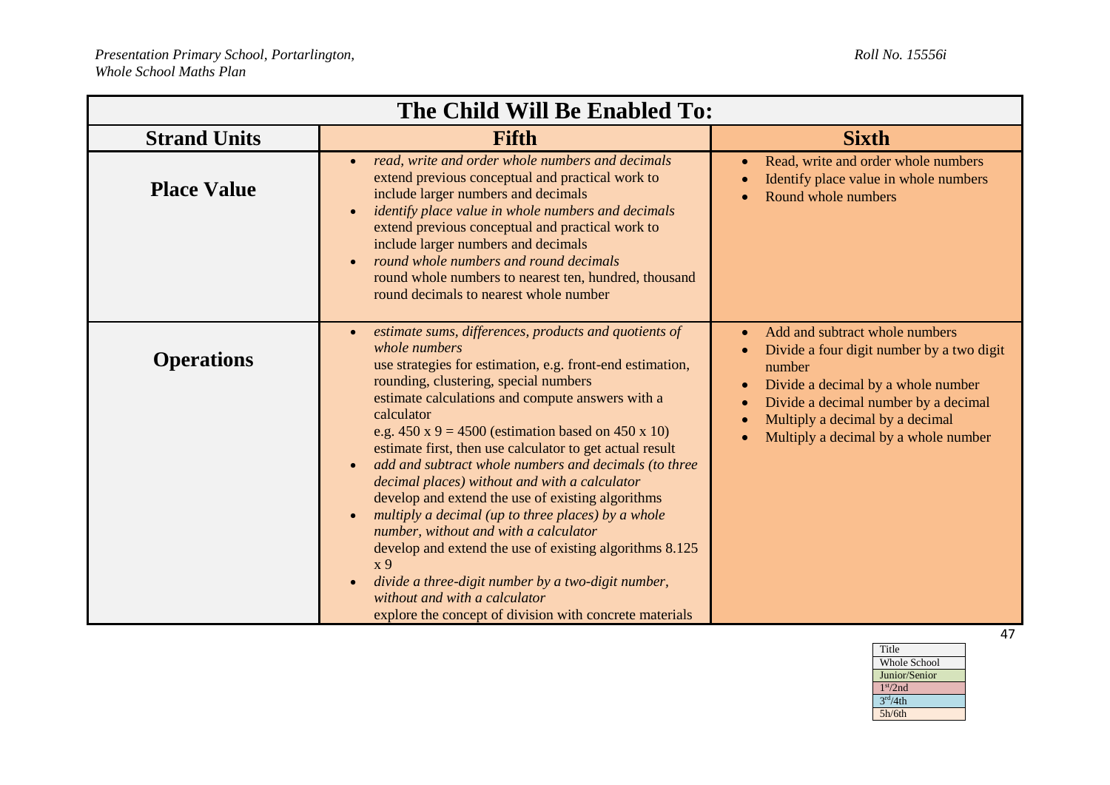| The Child Will Be Enabled To: |                                                                                                                                                                                                                                                                                                                                                                                                                                                                                                                                                                                                                                                                                                                                                                                                                                                                                                        |                                                                                                                                                                                                                                                                                                    |
|-------------------------------|--------------------------------------------------------------------------------------------------------------------------------------------------------------------------------------------------------------------------------------------------------------------------------------------------------------------------------------------------------------------------------------------------------------------------------------------------------------------------------------------------------------------------------------------------------------------------------------------------------------------------------------------------------------------------------------------------------------------------------------------------------------------------------------------------------------------------------------------------------------------------------------------------------|----------------------------------------------------------------------------------------------------------------------------------------------------------------------------------------------------------------------------------------------------------------------------------------------------|
| <b>Strand Units</b>           | <b>Fifth</b>                                                                                                                                                                                                                                                                                                                                                                                                                                                                                                                                                                                                                                                                                                                                                                                                                                                                                           | <b>Sixth</b>                                                                                                                                                                                                                                                                                       |
| <b>Place Value</b>            | read, write and order whole numbers and decimals<br>$\bullet$<br>extend previous conceptual and practical work to<br>include larger numbers and decimals<br><i>identify place value in whole numbers and decimals</i><br>$\bullet$<br>extend previous conceptual and practical work to<br>include larger numbers and decimals<br>round whole numbers and round decimals<br>$\bullet$<br>round whole numbers to nearest ten, hundred, thousand<br>round decimals to nearest whole number                                                                                                                                                                                                                                                                                                                                                                                                                | Read, write and order whole numbers<br>$\bullet$<br>Identify place value in whole numbers<br>Round whole numbers                                                                                                                                                                                   |
| <b>Operations</b>             | estimate sums, differences, products and quotients of<br>$\bullet$<br>whole numbers<br>use strategies for estimation, e.g. front-end estimation,<br>rounding, clustering, special numbers<br>estimate calculations and compute answers with a<br>calculator<br>e.g. $450 \times 9 = 4500$ (estimation based on $450 \times 10$ )<br>estimate first, then use calculator to get actual result<br>add and subtract whole numbers and decimals (to three<br>decimal places) without and with a calculator<br>develop and extend the use of existing algorithms<br>multiply a decimal (up to three places) by a whole<br>number, without and with a calculator<br>develop and extend the use of existing algorithms 8.125<br>x <sub>9</sub><br>divide a three-digit number by a two-digit number,<br>$\bullet$<br>without and with a calculator<br>explore the concept of division with concrete materials | Add and subtract whole numbers<br>$\bullet$<br>Divide a four digit number by a two digit<br>number<br>Divide a decimal by a whole number<br>$\bullet$<br>Divide a decimal number by a decimal<br>$\bullet$<br>Multiply a decimal by a decimal<br>Multiply a decimal by a whole number<br>$\bullet$ |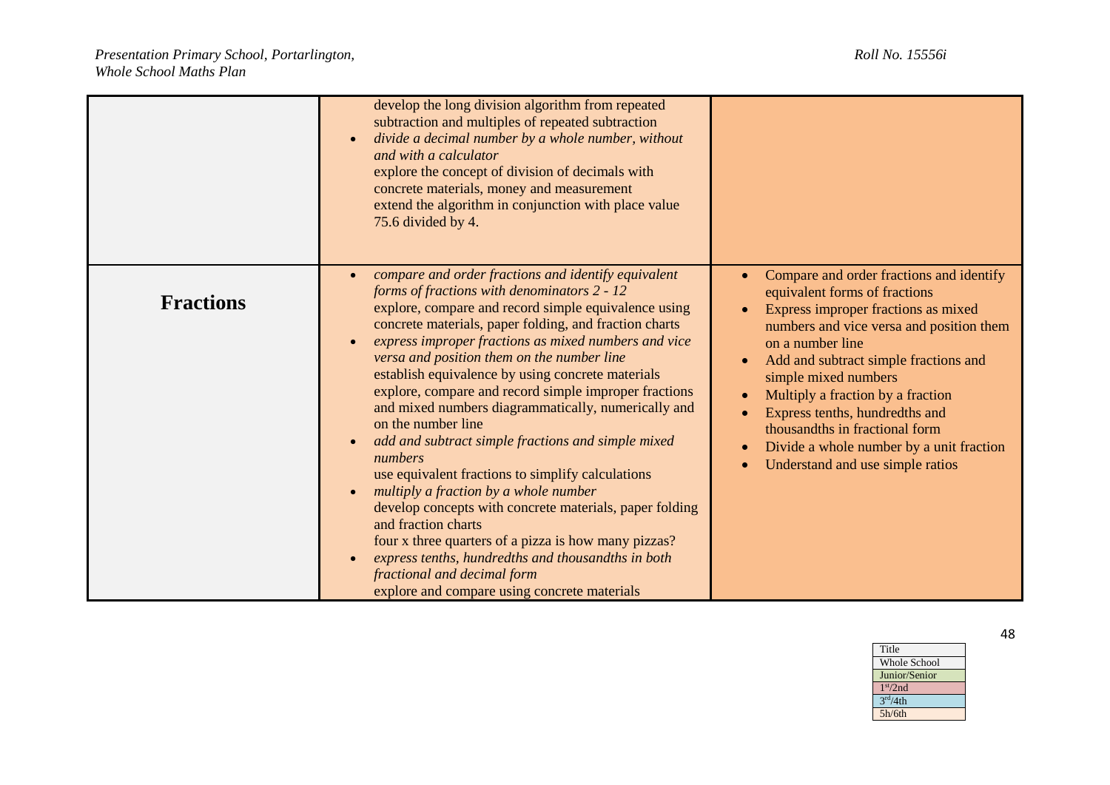|                  | develop the long division algorithm from repeated<br>subtraction and multiples of repeated subtraction<br>divide a decimal number by a whole number, without<br>and with a calculator<br>explore the concept of division of decimals with<br>concrete materials, money and measurement<br>extend the algorithm in conjunction with place value<br>75.6 divided by 4.                                                                                                                                                                                                                                                                                                                                                                                                                                                                                                                                                                                                             |                                                                                                                                                                                                                                                                                                                                                                                                                                                                                                |
|------------------|----------------------------------------------------------------------------------------------------------------------------------------------------------------------------------------------------------------------------------------------------------------------------------------------------------------------------------------------------------------------------------------------------------------------------------------------------------------------------------------------------------------------------------------------------------------------------------------------------------------------------------------------------------------------------------------------------------------------------------------------------------------------------------------------------------------------------------------------------------------------------------------------------------------------------------------------------------------------------------|------------------------------------------------------------------------------------------------------------------------------------------------------------------------------------------------------------------------------------------------------------------------------------------------------------------------------------------------------------------------------------------------------------------------------------------------------------------------------------------------|
| <b>Fractions</b> | compare and order fractions and identify equivalent<br>$\bullet$<br>forms of fractions with denominators 2 - 12<br>explore, compare and record simple equivalence using<br>concrete materials, paper folding, and fraction charts<br>express improper fractions as mixed numbers and vice<br>versa and position them on the number line<br>establish equivalence by using concrete materials<br>explore, compare and record simple improper fractions<br>and mixed numbers diagrammatically, numerically and<br>on the number line<br>add and subtract simple fractions and simple mixed<br>numbers<br>use equivalent fractions to simplify calculations<br>multiply a fraction by a whole number<br>develop concepts with concrete materials, paper folding<br>and fraction charts<br>four x three quarters of a pizza is how many pizzas?<br>express tenths, hundredths and thousandths in both<br>fractional and decimal form<br>explore and compare using concrete materials | Compare and order fractions and identify<br>equivalent forms of fractions<br>Express improper fractions as mixed<br>$\bullet$<br>numbers and vice versa and position them<br>on a number line<br>Add and subtract simple fractions and<br>$\bullet$<br>simple mixed numbers<br>Multiply a fraction by a fraction<br>$\bullet$<br>Express tenths, hundredths and<br>thousandths in fractional form<br>Divide a whole number by a unit fraction<br>$\bullet$<br>Understand and use simple ratios |

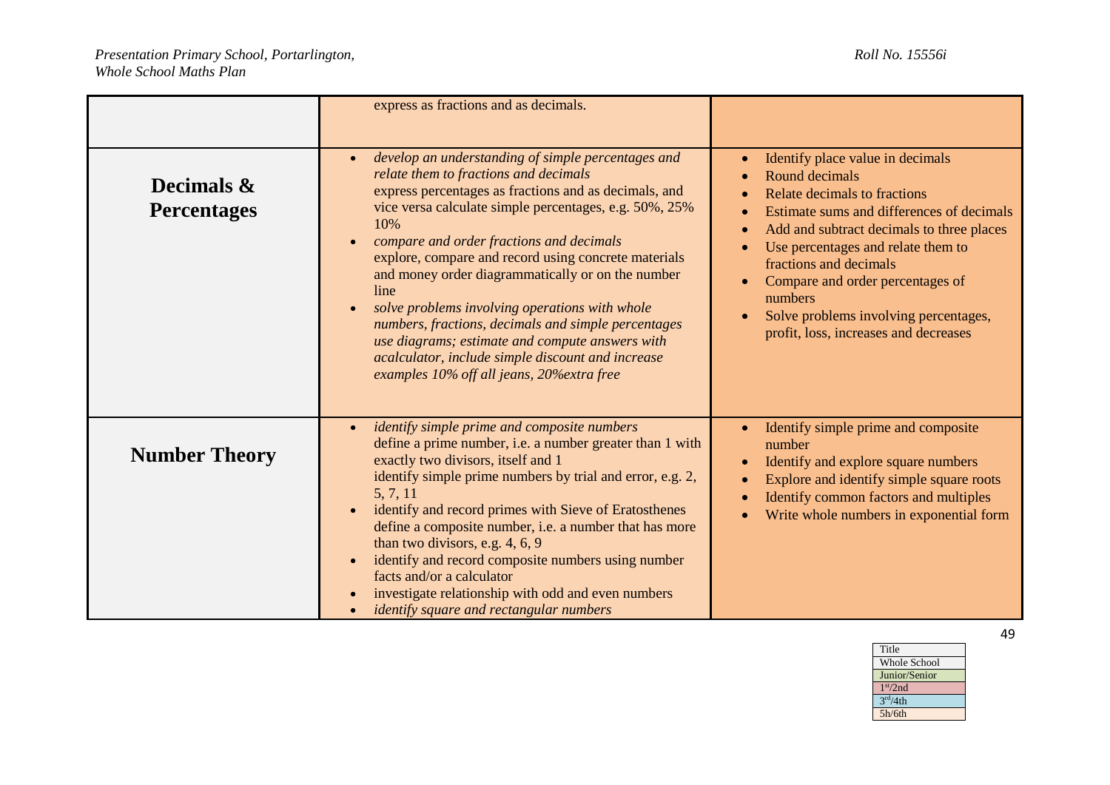|                                  | express as fractions and as decimals.                                                                                                                                                                                                                                                                                                                                                                                                                                                                                                                                                                                                                              |                                                                                                                                                                                                                                                                                                                                                                                                                                                                          |
|----------------------------------|--------------------------------------------------------------------------------------------------------------------------------------------------------------------------------------------------------------------------------------------------------------------------------------------------------------------------------------------------------------------------------------------------------------------------------------------------------------------------------------------------------------------------------------------------------------------------------------------------------------------------------------------------------------------|--------------------------------------------------------------------------------------------------------------------------------------------------------------------------------------------------------------------------------------------------------------------------------------------------------------------------------------------------------------------------------------------------------------------------------------------------------------------------|
| Decimals &<br><b>Percentages</b> | develop an understanding of simple percentages and<br>$\bullet$<br>relate them to fractions and decimals<br>express percentages as fractions and as decimals, and<br>vice versa calculate simple percentages, e.g. 50%, 25%<br>10%<br>compare and order fractions and decimals<br>explore, compare and record using concrete materials<br>and money order diagrammatically or on the number<br>line<br>solve problems involving operations with whole<br>numbers, fractions, decimals and simple percentages<br>use diagrams; estimate and compute answers with<br>acalculator, include simple discount and increase<br>examples 10% off all jeans, 20% extra free | Identify place value in decimals<br>$\bullet$<br>Round decimals<br>Relate decimals to fractions<br>$\bullet$<br>Estimate sums and differences of decimals<br>$\bullet$<br>Add and subtract decimals to three places<br>$\bullet$<br>Use percentages and relate them to<br>$\bullet$<br>fractions and decimals<br>Compare and order percentages of<br>$\bullet$<br>numbers<br>Solve problems involving percentages,<br>$\bullet$<br>profit, loss, increases and decreases |
| <b>Number Theory</b>             | <i>identify simple prime and composite numbers</i><br>$\bullet$<br>define a prime number, i.e. a number greater than 1 with<br>exactly two divisors, itself and 1<br>identify simple prime numbers by trial and error, e.g. 2,<br>5, 7, 11<br>identify and record primes with Sieve of Eratosthenes<br>define a composite number, i.e. a number that has more<br>than two divisors, e.g. 4, 6, 9<br>identify and record composite numbers using number<br>$\bullet$<br>facts and/or a calculator<br>investigate relationship with odd and even numbers<br><i>identify square and rectangular numbers</i><br>$\bullet$                                              | Identify simple prime and composite<br>$\bullet$<br>number<br>Identify and explore square numbers<br>$\bullet$<br>Explore and identify simple square roots<br>$\bullet$<br>Identify common factors and multiples<br>$\bullet$<br>Write whole numbers in exponential form<br>$\bullet$                                                                                                                                                                                    |

Whole School Junior/Senior

Title

1 st/2nd  $3<sup>rd</sup>/4th$ 5h/6th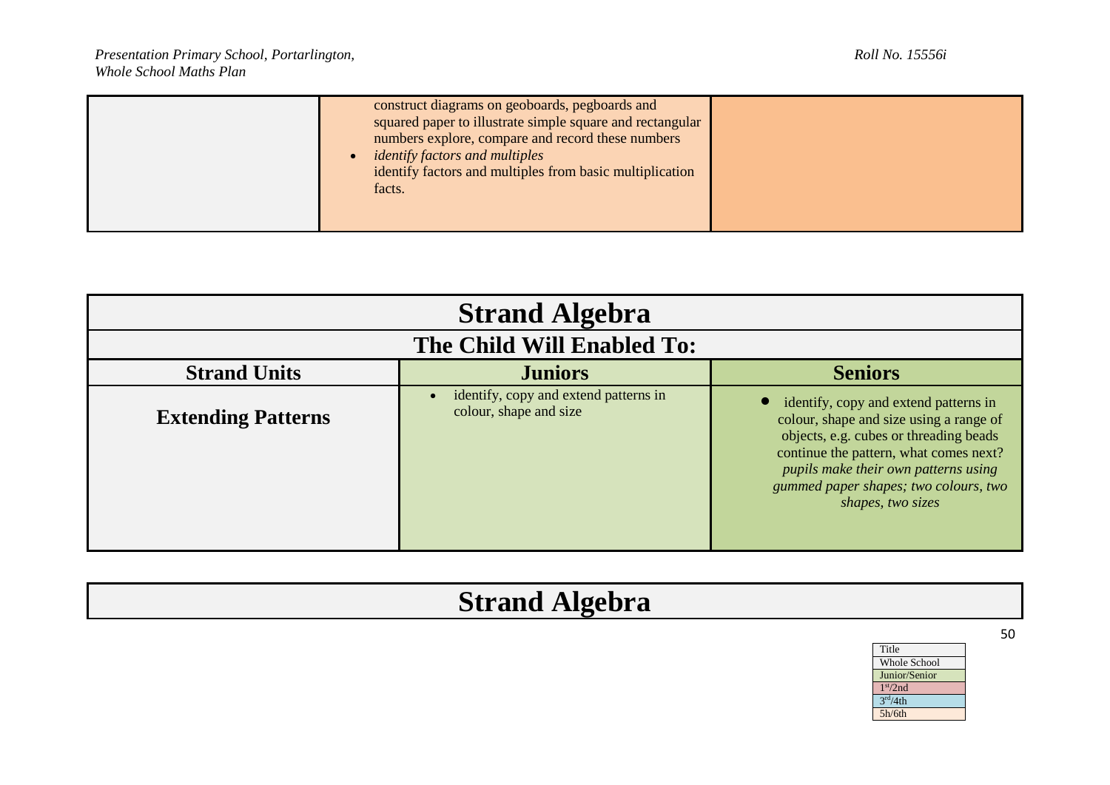| construct diagrams on geoboards, pegboards and<br>squared paper to illustrate simple square and rectangular<br>numbers explore, compare and record these numbers<br><i>identify factors and multiples</i><br>identify factors and multiples from basic multiplication<br>facts. |  |
|---------------------------------------------------------------------------------------------------------------------------------------------------------------------------------------------------------------------------------------------------------------------------------|--|
|---------------------------------------------------------------------------------------------------------------------------------------------------------------------------------------------------------------------------------------------------------------------------------|--|

| <b>Strand Algebra</b><br>The Child Will Enabled To: |                                                                 |                                                                                                                                                                                                                                                                            |                                                         |
|-----------------------------------------------------|-----------------------------------------------------------------|----------------------------------------------------------------------------------------------------------------------------------------------------------------------------------------------------------------------------------------------------------------------------|---------------------------------------------------------|
|                                                     |                                                                 |                                                                                                                                                                                                                                                                            | <b>Seniors</b><br><b>Strand Units</b><br><b>Juniors</b> |
| <b>Extending Patterns</b>                           | identify, copy and extend patterns in<br>colour, shape and size | identify, copy and extend patterns in<br>colour, shape and size using a range of<br>objects, e.g. cubes or threading beads<br>continue the pattern, what comes next?<br>pupils make their own patterns using<br>gummed paper shapes; two colours, two<br>shapes, two sizes |                                                         |

| <b>Strand Algebra</b> |
|-----------------------|
|                       |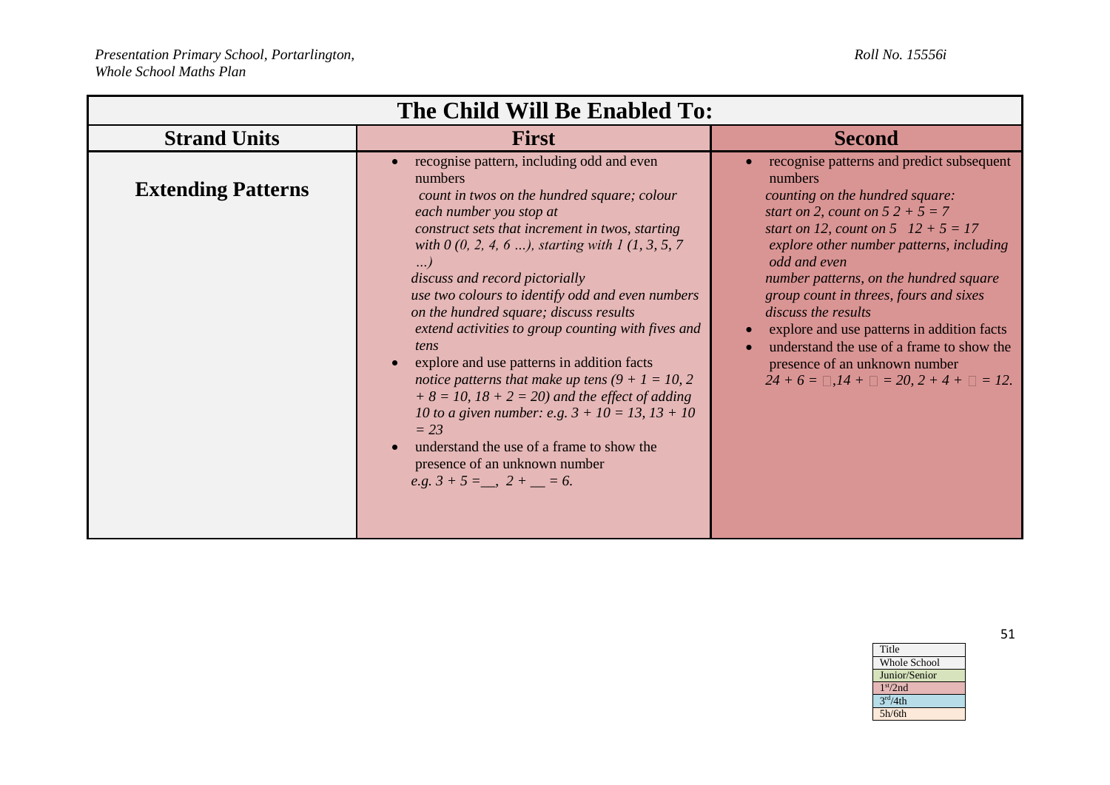| The Child Will Be Enabled To: |                                                                                                                                                                                                                                                                                                                                                                                                                                                                                                                                                                                                                                                                                           |                                                                                                                                                                                                                                                                                                                                                                                                 |
|-------------------------------|-------------------------------------------------------------------------------------------------------------------------------------------------------------------------------------------------------------------------------------------------------------------------------------------------------------------------------------------------------------------------------------------------------------------------------------------------------------------------------------------------------------------------------------------------------------------------------------------------------------------------------------------------------------------------------------------|-------------------------------------------------------------------------------------------------------------------------------------------------------------------------------------------------------------------------------------------------------------------------------------------------------------------------------------------------------------------------------------------------|
| <b>Strand Units</b>           | <b>First</b>                                                                                                                                                                                                                                                                                                                                                                                                                                                                                                                                                                                                                                                                              | <b>Second</b>                                                                                                                                                                                                                                                                                                                                                                                   |
| <b>Extending Patterns</b>     | recognise pattern, including odd and even<br>numbers<br>count in twos on the hundred square; colour<br>each number you stop at                                                                                                                                                                                                                                                                                                                                                                                                                                                                                                                                                            | recognise patterns and predict subsequent<br>numbers<br>counting on the hundred square:<br>start on 2, count on $52 + 5 = 7$                                                                                                                                                                                                                                                                    |
|                               | construct sets that increment in twos, starting<br>with $0 (0, 2, 4, 6 )$ , starting with 1 (1, 3, 5, 7)<br>$\ldots$<br>discuss and record pictorially<br>use two colours to identify odd and even numbers<br>on the hundred square; discuss results<br>extend activities to group counting with fives and<br>tens<br>explore and use patterns in addition facts<br>$\bullet$<br>notice patterns that make up tens $(9 + 1 = 10, 2)$<br>$+ 8 = 10, 18 + 2 = 20$ and the effect of adding<br>10 to a given number: e.g. $3 + 10 = 13$ , $13 + 10$<br>$= 23$<br>understand the use of a frame to show the<br>$\bullet$<br>presence of an unknown number<br>e.g. $3 + 5 =$ , $2 +$ = $= 6$ . | start on 12, count on $5$ 12 + $5 = 17$<br>explore other number patterns, including<br>odd and even<br>number patterns, on the hundred square<br>group count in threes, fours and sixes<br>discuss the results<br>explore and use patterns in addition facts<br>understand the use of a frame to show the<br>presence of an unknown number<br>$24 + 6 = 3$ , $14 + 3 = 20$ , $2 + 4 + 3 = 12$ . |

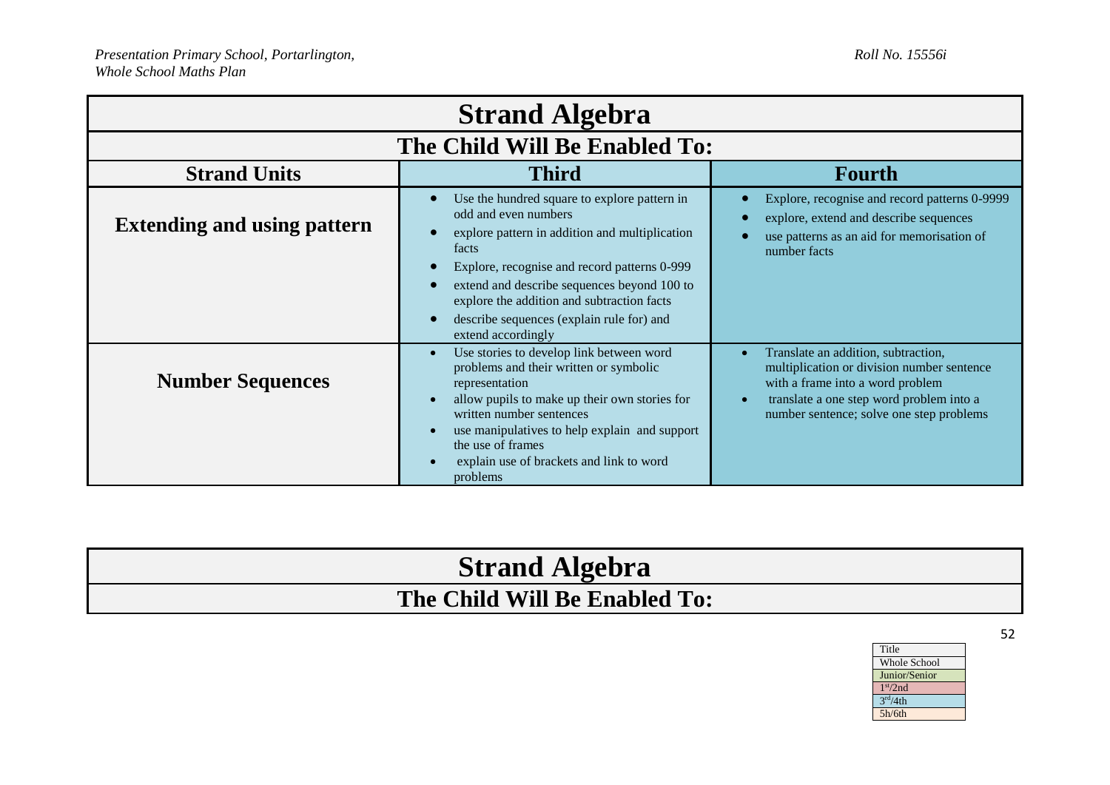| <b>Strand Algebra</b>              |                                                                                                                                                                                                                                                                                                                                                 |                                                                                                                                                                                                               |  |
|------------------------------------|-------------------------------------------------------------------------------------------------------------------------------------------------------------------------------------------------------------------------------------------------------------------------------------------------------------------------------------------------|---------------------------------------------------------------------------------------------------------------------------------------------------------------------------------------------------------------|--|
| The Child Will Be Enabled To:      |                                                                                                                                                                                                                                                                                                                                                 |                                                                                                                                                                                                               |  |
| <b>Strand Units</b>                | <b>Third</b>                                                                                                                                                                                                                                                                                                                                    | <b>Fourth</b>                                                                                                                                                                                                 |  |
| <b>Extending and using pattern</b> | Use the hundred square to explore pattern in<br>odd and even numbers<br>explore pattern in addition and multiplication<br>facts<br>Explore, recognise and record patterns 0-999<br>extend and describe sequences beyond 100 to<br>explore the addition and subtraction facts<br>describe sequences (explain rule for) and<br>extend accordingly | Explore, recognise and record patterns 0-9999<br>explore, extend and describe sequences<br>use patterns as an aid for memorisation of<br>number facts                                                         |  |
| <b>Number Sequences</b>            | Use stories to develop link between word<br>problems and their written or symbolic<br>representation<br>allow pupils to make up their own stories for<br>written number sentences<br>use manipulatives to help explain and support<br>the use of frames<br>explain use of brackets and link to word<br>problems                                 | Translate an addition, subtraction,<br>multiplication or division number sentence<br>with a frame into a word problem<br>translate a one step word problem into a<br>number sentence; solve one step problems |  |

| <b>Strand Algebra</b>         |  |
|-------------------------------|--|
| The Child Will Be Enabled To: |  |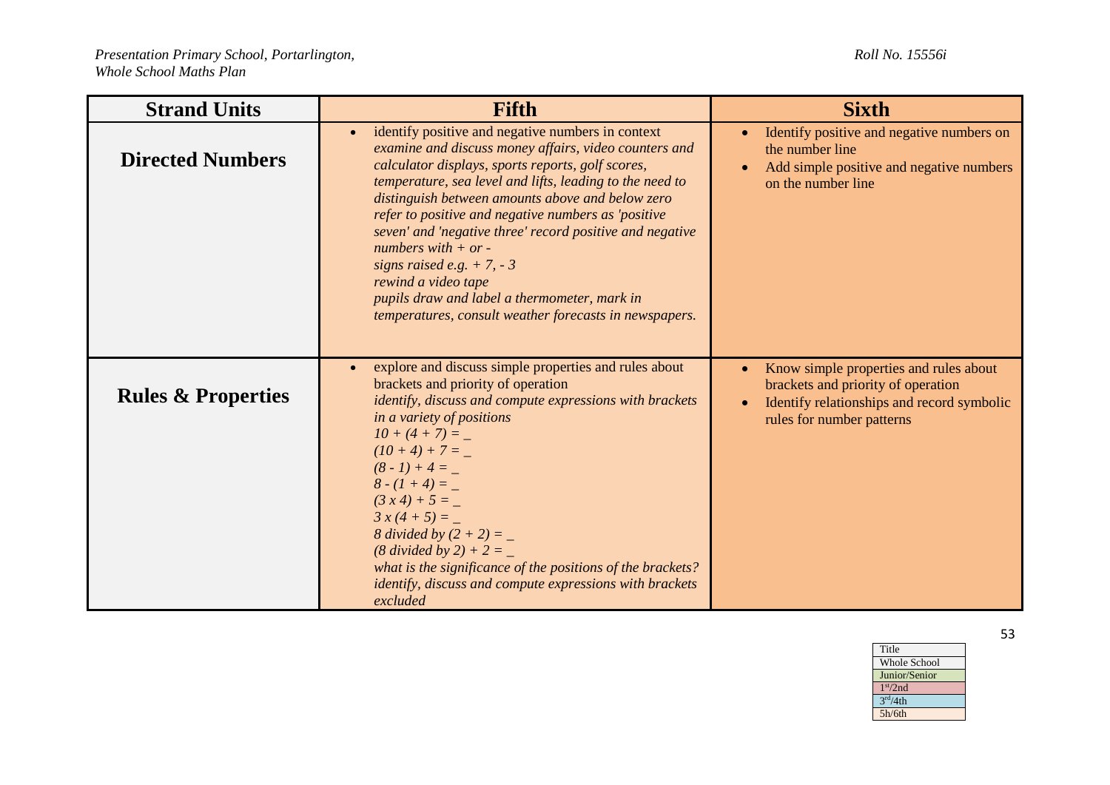| <b>Strand Units</b>           | <b>Fifth</b>                                                                                                                                                                                                                                                                                                                                                                                                                                                                                                                                                                                | <b>Sixth</b>                                                                                                                                                                      |
|-------------------------------|---------------------------------------------------------------------------------------------------------------------------------------------------------------------------------------------------------------------------------------------------------------------------------------------------------------------------------------------------------------------------------------------------------------------------------------------------------------------------------------------------------------------------------------------------------------------------------------------|-----------------------------------------------------------------------------------------------------------------------------------------------------------------------------------|
| <b>Directed Numbers</b>       | identify positive and negative numbers in context<br>examine and discuss money affairs, video counters and<br>calculator displays, sports reports, golf scores,<br>temperature, sea level and lifts, leading to the need to<br>distinguish between amounts above and below zero<br>refer to positive and negative numbers as 'positive<br>seven' and 'negative three' record positive and negative<br>numbers with $+$ or -<br>signs raised e.g. $+ 7, -3$<br>rewind a video tape<br>pupils draw and label a thermometer, mark in<br>temperatures, consult weather forecasts in newspapers. | Identify positive and negative numbers on<br>$\bullet$<br>the number line<br>Add simple positive and negative numbers<br>$\bullet$<br>on the number line                          |
| <b>Rules &amp; Properties</b> | explore and discuss simple properties and rules about<br>brackets and priority of operation<br>identify, discuss and compute expressions with brackets<br>in a variety of positions<br>$10 + (4 + 7) =$<br>$(10 + 4) + 7 =$<br>$(8-1)+4=-$<br>$8-(1+4) =$<br>$(3x4) + 5 =$<br>$3x(4+5) =$<br>8 divided by $(2 + 2) =$<br>$(8 \div 8 \div 2) + 2 =$<br>what is the significance of the positions of the brackets?<br><i>identify, discuss and compute expressions with brackets</i><br>excluded                                                                                              | Know simple properties and rules about<br>$\bullet$<br>brackets and priority of operation<br>Identify relationships and record symbolic<br>$\bullet$<br>rules for number patterns |

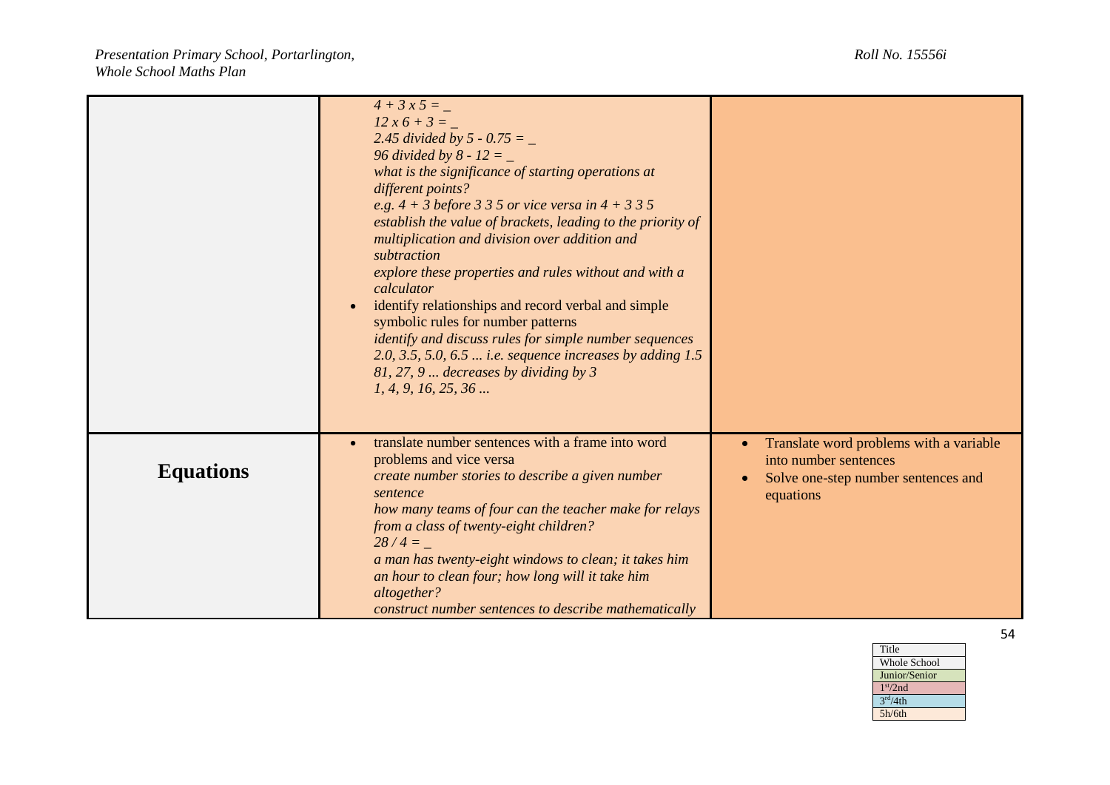|                  | $4 + 3x5 =$<br>$12x6+3=$<br>2.45 divided by 5 - 0.75 = $_{-}$<br>96 divided by 8 - 12 = $_{-}$<br>what is the significance of starting operations at<br>different points?<br>e.g. $4 + 3$ before 3 3 5 or vice versa in $4 + 335$<br>establish the value of brackets, leading to the priority of<br>multiplication and division over addition and<br>subtraction<br>explore these properties and rules without and with a<br>calculator<br>identify relationships and record verbal and simple<br>$\bullet$<br>symbolic rules for number patterns<br>identify and discuss rules for simple number sequences<br>2.0, 3.5, 5.0, 6.5 <i>i.e.</i> sequence increases by adding 1.5<br>81, 27, 9  decreases by dividing by 3<br>1, 4, 9, 16, 25, 36 |                                                                                                                                                |
|------------------|------------------------------------------------------------------------------------------------------------------------------------------------------------------------------------------------------------------------------------------------------------------------------------------------------------------------------------------------------------------------------------------------------------------------------------------------------------------------------------------------------------------------------------------------------------------------------------------------------------------------------------------------------------------------------------------------------------------------------------------------|------------------------------------------------------------------------------------------------------------------------------------------------|
| <b>Equations</b> | translate number sentences with a frame into word<br>problems and vice versa<br>create number stories to describe a given number<br>sentence<br>how many teams of four can the teacher make for relays<br>from a class of twenty-eight children?<br>$28/4 =$<br>a man has twenty-eight windows to clean; it takes him<br>an hour to clean four; how long will it take him<br>altogether?<br>construct number sentences to describe mathematically                                                                                                                                                                                                                                                                                              | Translate word problems with a variable<br>$\bullet$<br>into number sentences<br>Solve one-step number sentences and<br>$\bullet$<br>equations |

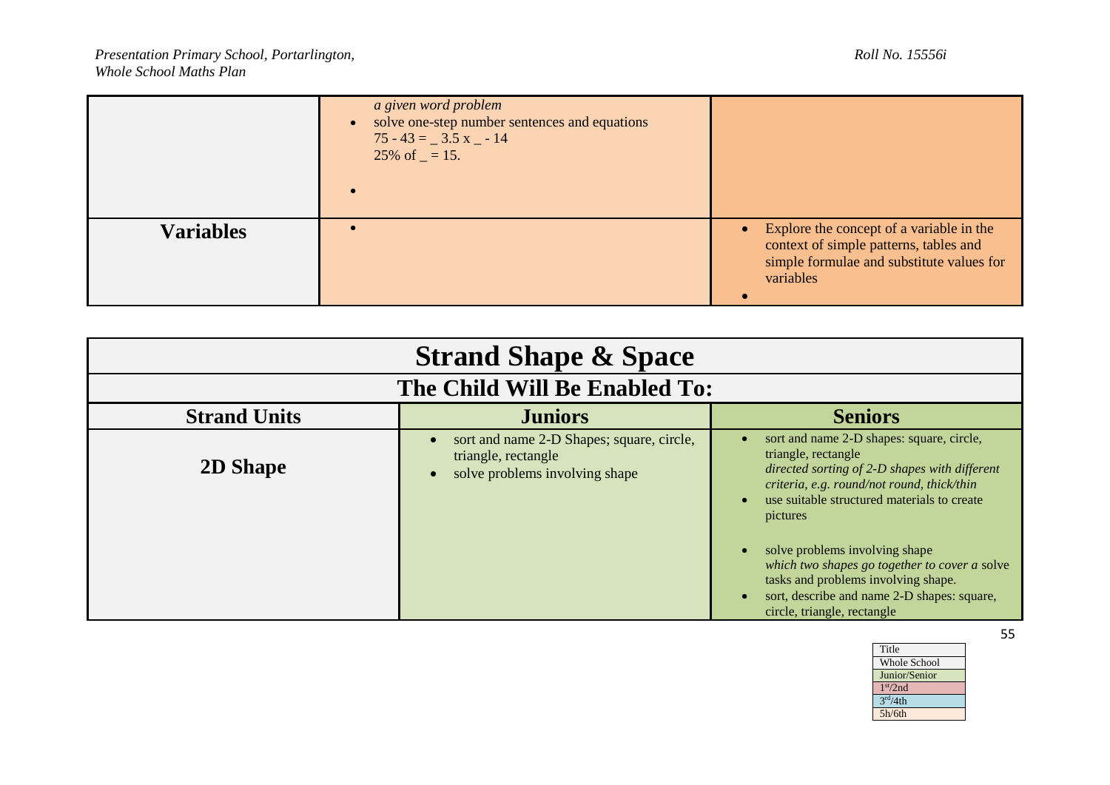|                  | a given word problem<br>solve one-step number sentences and equations<br>$\bullet$<br>$75 - 43 = 3.5$ x $-14$<br>25% of $=$ 15. |                                                                                                                                                |
|------------------|---------------------------------------------------------------------------------------------------------------------------------|------------------------------------------------------------------------------------------------------------------------------------------------|
| <b>Variables</b> |                                                                                                                                 | • Explore the concept of a variable in the<br>context of simple patterns, tables and<br>simple formulae and substitute values for<br>variables |

| <b>Strand Shape &amp; Space</b> |                                                                                                    |                                                                                                                                                                                                                                                                                                                                         |
|---------------------------------|----------------------------------------------------------------------------------------------------|-----------------------------------------------------------------------------------------------------------------------------------------------------------------------------------------------------------------------------------------------------------------------------------------------------------------------------------------|
| The Child Will Be Enabled To:   |                                                                                                    |                                                                                                                                                                                                                                                                                                                                         |
| <b>Strand Units</b>             | <b>Juniors</b>                                                                                     | <b>Seniors</b>                                                                                                                                                                                                                                                                                                                          |
| <b>2D Shape</b>                 | sort and name 2-D Shapes; square, circle,<br>triangle, rectangle<br>solve problems involving shape | sort and name 2-D shapes: square, circle,<br>triangle, rectangle<br>directed sorting of 2-D shapes with different<br>criteria, e.g. round/not round, thick/thin<br>use suitable structured materials to create<br>$\bullet$<br>pictures<br>solve problems involving shape<br>$\bullet$<br>which two shapes go together to cover a solve |
|                                 |                                                                                                    | tasks and problems involving shape.<br>sort, describe and name 2-D shapes: square,<br>$\bullet$<br>circle, triangle, rectangle                                                                                                                                                                                                          |

| Title                        |
|------------------------------|
| <b>Whole School</b>          |
| Junior/Senior                |
| 1 <sup>st</sup> /2nd         |
| $\overline{3}^{\rm rd}/4$ th |
| 5h/6th                       |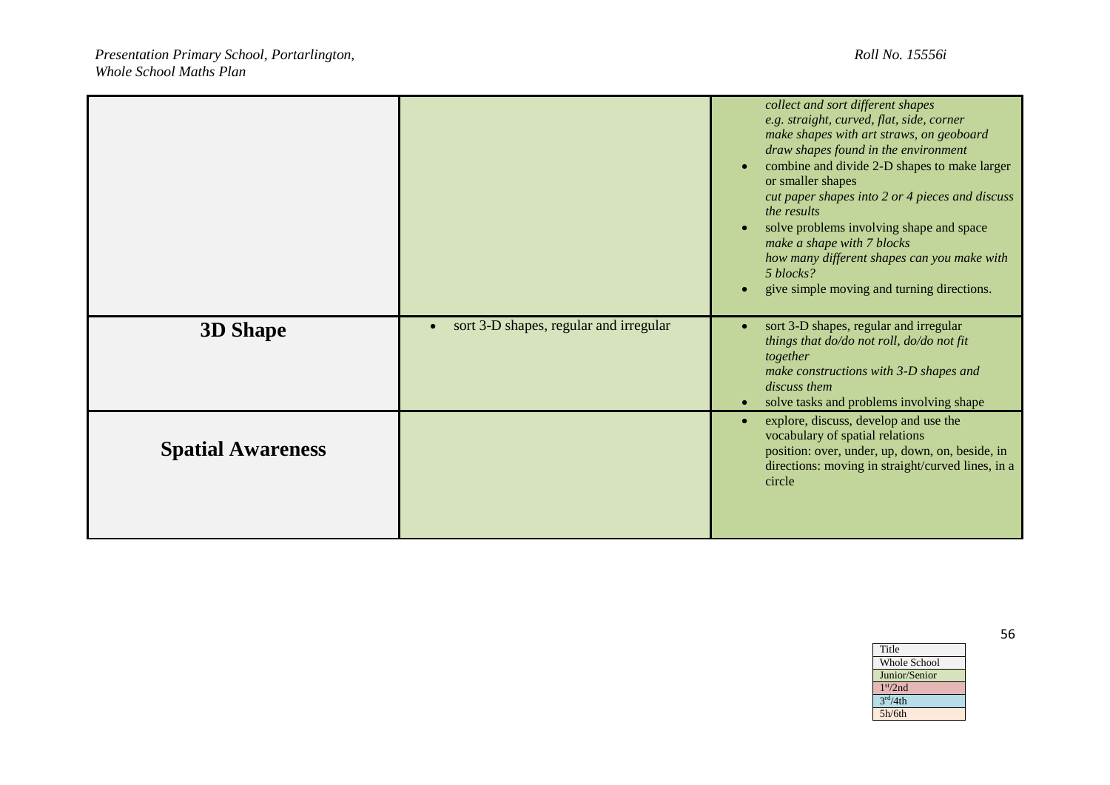|                          |                                                     | collect and sort different shapes<br>e.g. straight, curved, flat, side, corner<br>make shapes with art straws, on geoboard<br>draw shapes found in the environment<br>combine and divide 2-D shapes to make larger<br>$\bullet$<br>or smaller shapes<br>cut paper shapes into 2 or 4 pieces and discuss<br>the results<br>solve problems involving shape and space<br>$\bullet$<br>make a shape with 7 blocks<br>how many different shapes can you make with<br>5 blocks?<br>give simple moving and turning directions.<br>$\bullet$ |
|--------------------------|-----------------------------------------------------|--------------------------------------------------------------------------------------------------------------------------------------------------------------------------------------------------------------------------------------------------------------------------------------------------------------------------------------------------------------------------------------------------------------------------------------------------------------------------------------------------------------------------------------|
| <b>3D Shape</b>          | sort 3-D shapes, regular and irregular<br>$\bullet$ | sort 3-D shapes, regular and irregular<br>$\bullet$<br>things that do/do not roll, do/do not fit<br>together<br>make constructions with 3-D shapes and<br>discuss them<br>solve tasks and problems involving shape<br>$\bullet$                                                                                                                                                                                                                                                                                                      |
| <b>Spatial Awareness</b> |                                                     | explore, discuss, develop and use the<br>$\bullet$<br>vocabulary of spatial relations<br>position: over, under, up, down, on, beside, in<br>directions: moving in straight/curved lines, in a<br>circle                                                                                                                                                                                                                                                                                                                              |

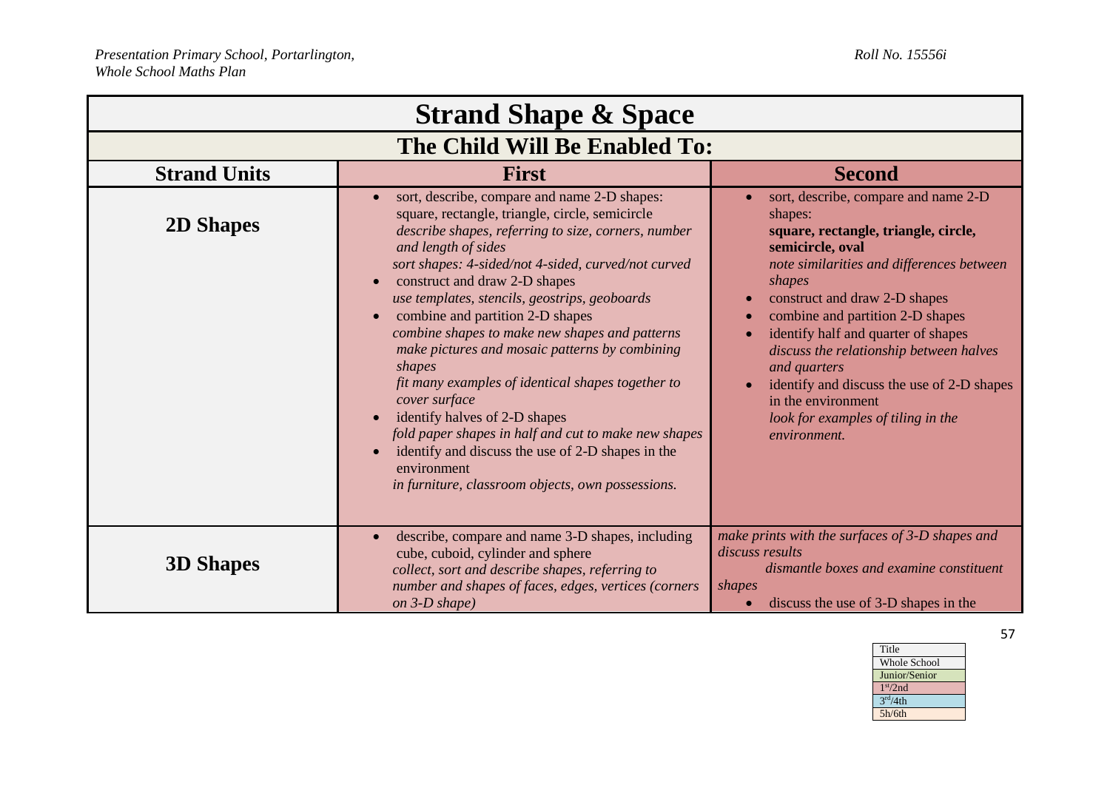| <b>Strand Shape &amp; Space</b> |                                                                                                                                                                                                                                                                                                                                                                                                                                                                                                                                                                                                                                                                                                                                                                                            |                                                                                                                                                                                                                                                                                                                                                                                                                                                                                  |
|---------------------------------|--------------------------------------------------------------------------------------------------------------------------------------------------------------------------------------------------------------------------------------------------------------------------------------------------------------------------------------------------------------------------------------------------------------------------------------------------------------------------------------------------------------------------------------------------------------------------------------------------------------------------------------------------------------------------------------------------------------------------------------------------------------------------------------------|----------------------------------------------------------------------------------------------------------------------------------------------------------------------------------------------------------------------------------------------------------------------------------------------------------------------------------------------------------------------------------------------------------------------------------------------------------------------------------|
| The Child Will Be Enabled To:   |                                                                                                                                                                                                                                                                                                                                                                                                                                                                                                                                                                                                                                                                                                                                                                                            |                                                                                                                                                                                                                                                                                                                                                                                                                                                                                  |
| <b>Strand Units</b>             | <b>First</b>                                                                                                                                                                                                                                                                                                                                                                                                                                                                                                                                                                                                                                                                                                                                                                               | <b>Second</b>                                                                                                                                                                                                                                                                                                                                                                                                                                                                    |
| <b>2D Shapes</b>                | sort, describe, compare and name 2-D shapes:<br>square, rectangle, triangle, circle, semicircle<br>describe shapes, referring to size, corners, number<br>and length of sides<br>sort shapes: 4-sided/not 4-sided, curved/not curved<br>construct and draw 2-D shapes<br>use templates, stencils, geostrips, geoboards<br>combine and partition 2-D shapes<br>combine shapes to make new shapes and patterns<br>make pictures and mosaic patterns by combining<br>shapes<br>fit many examples of identical shapes together to<br>cover surface<br>identify halves of 2-D shapes<br>$\bullet$<br>fold paper shapes in half and cut to make new shapes<br>identify and discuss the use of 2-D shapes in the<br>$\bullet$<br>environment<br>in furniture, classroom objects, own possessions. | sort, describe, compare and name 2-D<br>shapes:<br>square, rectangle, triangle, circle,<br>semicircle, oval<br>note similarities and differences between<br>shapes<br>construct and draw 2-D shapes<br>$\bullet$<br>combine and partition 2-D shapes<br>identify half and quarter of shapes<br>discuss the relationship between halves<br>and quarters<br>identify and discuss the use of 2-D shapes<br>in the environment<br>look for examples of tiling in the<br>environment. |
| <b>3D Shapes</b>                | describe, compare and name 3-D shapes, including<br>$\bullet$<br>cube, cuboid, cylinder and sphere<br>collect, sort and describe shapes, referring to<br>number and shapes of faces, edges, vertices (corners<br>on 3-D shape)                                                                                                                                                                                                                                                                                                                                                                                                                                                                                                                                                             | make prints with the surfaces of 3-D shapes and<br>discuss results<br>dismantle boxes and examine constituent<br>shapes<br>discuss the use of 3-D shapes in the<br>$\bullet$                                                                                                                                                                                                                                                                                                     |

| Title                |
|----------------------|
| <b>Whole School</b>  |
| Junior/Senior        |
| 1 <sup>st</sup> /2nd |
| 3 <sup>rd</sup> /4th |
| 5h/6th               |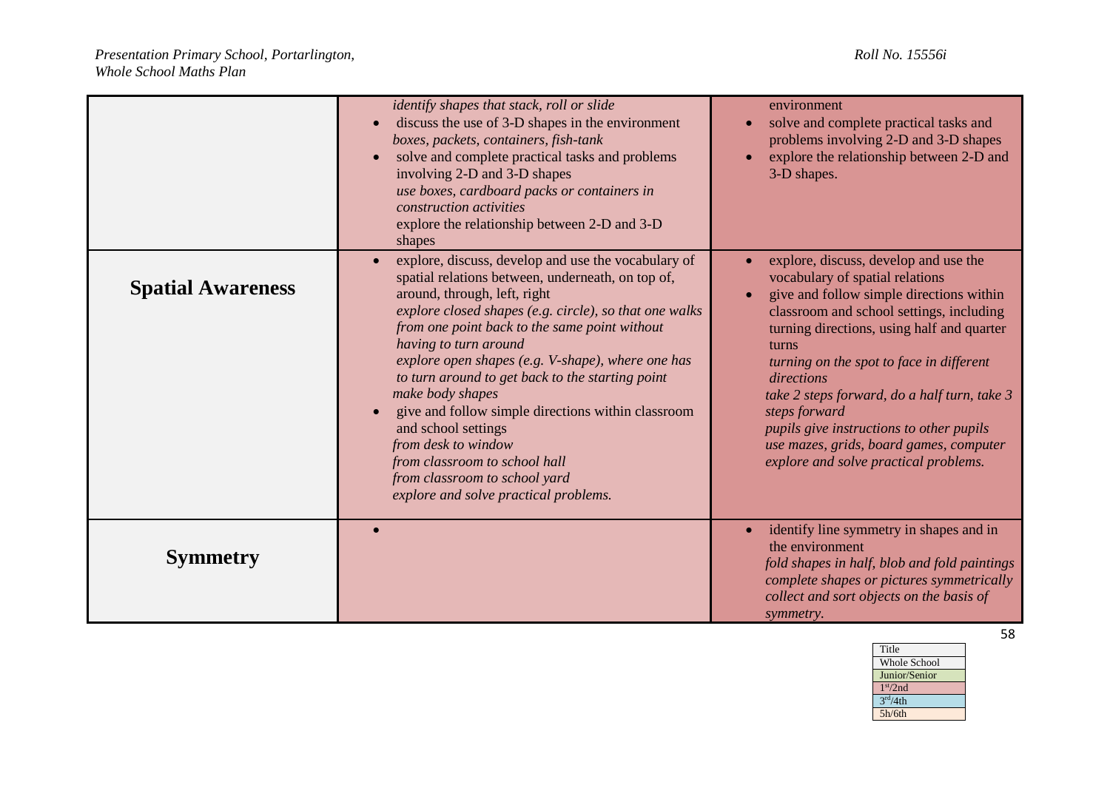|                          | identify shapes that stack, roll or slide<br>discuss the use of 3-D shapes in the environment<br>$\bullet$<br>boxes, packets, containers, fish-tank<br>solve and complete practical tasks and problems<br>$\bullet$<br>involving 2-D and 3-D shapes<br>use boxes, cardboard packs or containers in<br>construction activities<br>explore the relationship between 2-D and 3-D<br>shapes                                                                                                                                                                                                                                               | environment<br>solve and complete practical tasks and<br>problems involving 2-D and 3-D shapes<br>explore the relationship between 2-D and<br>3-D shapes.                                                                                                                                                                                                                                                                                                                          |
|--------------------------|---------------------------------------------------------------------------------------------------------------------------------------------------------------------------------------------------------------------------------------------------------------------------------------------------------------------------------------------------------------------------------------------------------------------------------------------------------------------------------------------------------------------------------------------------------------------------------------------------------------------------------------|------------------------------------------------------------------------------------------------------------------------------------------------------------------------------------------------------------------------------------------------------------------------------------------------------------------------------------------------------------------------------------------------------------------------------------------------------------------------------------|
| <b>Spatial Awareness</b> | explore, discuss, develop and use the vocabulary of<br>$\bullet$<br>spatial relations between, underneath, on top of,<br>around, through, left, right<br>explore closed shapes (e.g. circle), so that one walks<br>from one point back to the same point without<br>having to turn around<br>explore open shapes (e.g. V-shape), where one has<br>to turn around to get back to the starting point<br>make body shapes<br>give and follow simple directions within classroom<br>and school settings<br>from desk to window<br>from classroom to school hall<br>from classroom to school yard<br>explore and solve practical problems. | explore, discuss, develop and use the<br>vocabulary of spatial relations<br>give and follow simple directions within<br>classroom and school settings, including<br>turning directions, using half and quarter<br>turns<br>turning on the spot to face in different<br>directions<br>take 2 steps forward, do a half turn, take 3<br>steps forward<br>pupils give instructions to other pupils<br>use mazes, grids, board games, computer<br>explore and solve practical problems. |
| <b>Symmetry</b>          |                                                                                                                                                                                                                                                                                                                                                                                                                                                                                                                                                                                                                                       | identify line symmetry in shapes and in<br>the environment<br>fold shapes in half, blob and fold paintings<br>complete shapes or pictures symmetrically<br>collect and sort objects on the basis of<br>symmetry.                                                                                                                                                                                                                                                                   |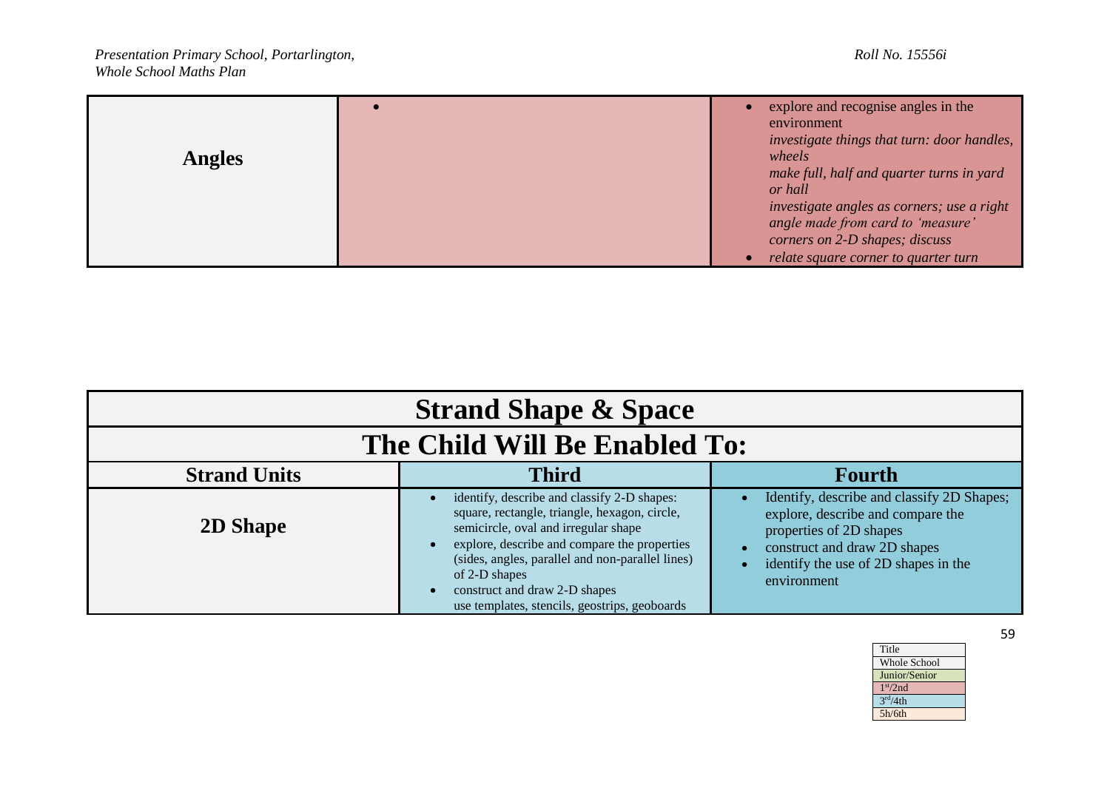| <b>Angles</b> | explore and recognise angles in the<br>environment<br>investigate things that turn: door handles,<br>wheels<br>make full, half and quarter turns in yard<br>or hall |
|---------------|---------------------------------------------------------------------------------------------------------------------------------------------------------------------|
|               | investigate angles as corners; use a right<br>angle made from card to 'measure'<br>corners on 2-D shapes; discuss                                                   |
|               | relate square corner to quarter turn                                                                                                                                |

| <b>Strand Shape &amp; Space</b> |                                                                                                                                                                                                                                                                                                                                                          |                                                                                                                                                                                                   |
|---------------------------------|----------------------------------------------------------------------------------------------------------------------------------------------------------------------------------------------------------------------------------------------------------------------------------------------------------------------------------------------------------|---------------------------------------------------------------------------------------------------------------------------------------------------------------------------------------------------|
| The Child Will Be Enabled To:   |                                                                                                                                                                                                                                                                                                                                                          |                                                                                                                                                                                                   |
| <b>Strand Units</b>             | <b>Third</b>                                                                                                                                                                                                                                                                                                                                             | <b>Fourth</b>                                                                                                                                                                                     |
| <b>2D Shape</b>                 | identify, describe and classify 2-D shapes:<br>square, rectangle, triangle, hexagon, circle,<br>semicircle, oval and irregular shape<br>explore, describe and compare the properties<br>(sides, angles, parallel and non-parallel lines)<br>of 2-D shapes<br>construct and draw 2-D shapes<br>$\bullet$<br>use templates, stencils, geostrips, geoboards | Identify, describe and classify 2D Shapes;<br>explore, describe and compare the<br>properties of 2D shapes<br>construct and draw 2D shapes<br>identify the use of 2D shapes in the<br>environment |

*Presentation Primary School, Portarlington, Roll No. 15556i Whole School Maths Plan*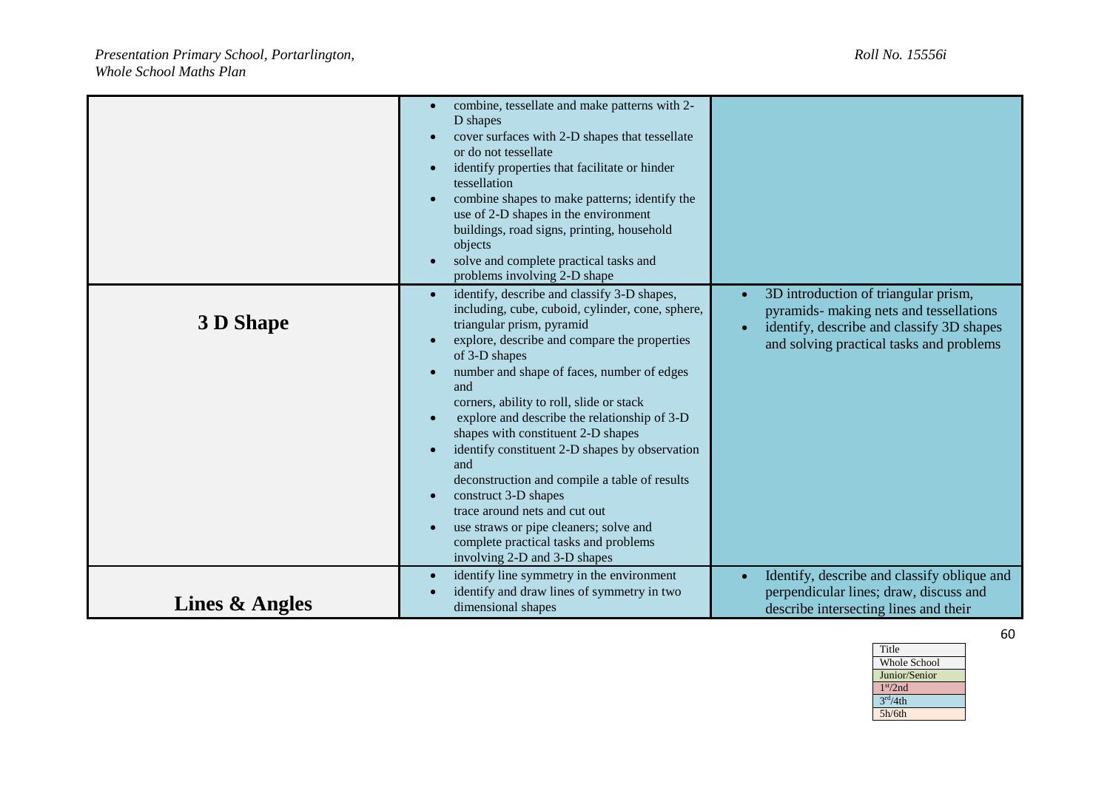|                  | combine, tessellate and make patterns with 2-<br>$\bullet$<br>D shapes<br>cover surfaces with 2-D shapes that tessellate<br>or do not tessellate<br>identify properties that facilitate or hinder<br>$\bullet$<br>tessellation<br>combine shapes to make patterns; identify the<br>use of 2-D shapes in the environment<br>buildings, road signs, printing, household<br>objects<br>solve and complete practical tasks and<br>problems involving 2-D shape                                                                                                                                                                                                                                                                                  |                                                                                                                                                                                                    |
|------------------|---------------------------------------------------------------------------------------------------------------------------------------------------------------------------------------------------------------------------------------------------------------------------------------------------------------------------------------------------------------------------------------------------------------------------------------------------------------------------------------------------------------------------------------------------------------------------------------------------------------------------------------------------------------------------------------------------------------------------------------------|----------------------------------------------------------------------------------------------------------------------------------------------------------------------------------------------------|
| <b>3 D Shape</b> | identify, describe and classify 3-D shapes,<br>$\bullet$<br>including, cube, cuboid, cylinder, cone, sphere,<br>triangular prism, pyramid<br>explore, describe and compare the properties<br>$\bullet$<br>of 3-D shapes<br>number and shape of faces, number of edges<br>and<br>corners, ability to roll, slide or stack<br>explore and describe the relationship of 3-D<br>$\bullet$<br>shapes with constituent 2-D shapes<br>identify constituent 2-D shapes by observation<br>$\bullet$<br>and<br>deconstruction and compile a table of results<br>construct 3-D shapes<br>$\bullet$<br>trace around nets and cut out<br>use straws or pipe cleaners; solve and<br>complete practical tasks and problems<br>involving 2-D and 3-D shapes | 3D introduction of triangular prism,<br>$\bullet$<br>pyramids- making nets and tessellations<br>identify, describe and classify 3D shapes<br>$\bullet$<br>and solving practical tasks and problems |
| Lines & Angles   | identify line symmetry in the environment<br>$\bullet$<br>identify and draw lines of symmetry in two<br>dimensional shapes                                                                                                                                                                                                                                                                                                                                                                                                                                                                                                                                                                                                                  | Identify, describe and classify oblique and<br>perpendicular lines; draw, discuss and<br>describe intersecting lines and their                                                                     |

Title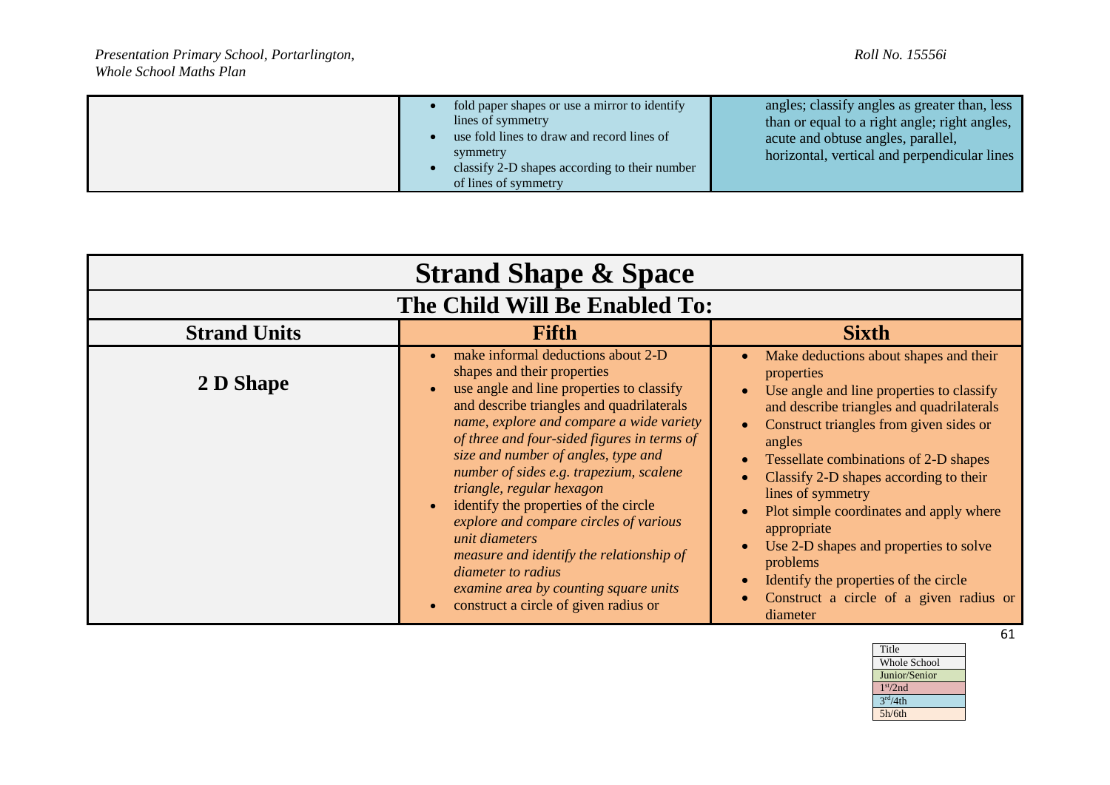| fold paper shapes or use a mirror to identify<br>lines of symmetry<br>use fold lines to draw and record lines of<br>symmetry<br>classify 2-D shapes according to their number<br>of lines of symmetry | angles; classify angles as greater than, less<br>than or equal to a right angle; right angles,<br>acute and obtuse angles, parallel,<br>horizontal, vertical and perpendicular lines |
|-------------------------------------------------------------------------------------------------------------------------------------------------------------------------------------------------------|--------------------------------------------------------------------------------------------------------------------------------------------------------------------------------------|
|-------------------------------------------------------------------------------------------------------------------------------------------------------------------------------------------------------|--------------------------------------------------------------------------------------------------------------------------------------------------------------------------------------|

| <b>Strand Shape &amp; Space</b> |                                                                                                                                                                                                                                                                                                                                                                                                                                                                                                                                                                                                                                                                              |                                                                                                                                                                                                                                                                                                                                                                                                                                                                                                                                                                                 |
|---------------------------------|------------------------------------------------------------------------------------------------------------------------------------------------------------------------------------------------------------------------------------------------------------------------------------------------------------------------------------------------------------------------------------------------------------------------------------------------------------------------------------------------------------------------------------------------------------------------------------------------------------------------------------------------------------------------------|---------------------------------------------------------------------------------------------------------------------------------------------------------------------------------------------------------------------------------------------------------------------------------------------------------------------------------------------------------------------------------------------------------------------------------------------------------------------------------------------------------------------------------------------------------------------------------|
| The Child Will Be Enabled To:   |                                                                                                                                                                                                                                                                                                                                                                                                                                                                                                                                                                                                                                                                              |                                                                                                                                                                                                                                                                                                                                                                                                                                                                                                                                                                                 |
| <b>Strand Units</b>             | Fifth                                                                                                                                                                                                                                                                                                                                                                                                                                                                                                                                                                                                                                                                        | <b>Sixth</b>                                                                                                                                                                                                                                                                                                                                                                                                                                                                                                                                                                    |
| 2 D Shape                       | make informal deductions about 2-D<br>$\bullet$<br>shapes and their properties<br>use angle and line properties to classify<br>and describe triangles and quadrilaterals<br>name, explore and compare a wide variety<br>of three and four-sided figures in terms of<br>size and number of angles, type and<br>number of sides e.g. trapezium, scalene<br>triangle, regular hexagon<br>identify the properties of the circle<br>$\bullet$<br>explore and compare circles of various<br>unit diameters<br>measure and identify the relationship of<br><i>diameter to radius</i><br>examine area by counting square units<br>construct a circle of given radius or<br>$\bullet$ | Make deductions about shapes and their<br>$\bullet$<br>properties<br>Use angle and line properties to classify<br>$\bullet$<br>and describe triangles and quadrilaterals<br>Construct triangles from given sides or<br>$\bullet$<br>angles<br>Tessellate combinations of 2-D shapes<br>Classify 2-D shapes according to their<br>lines of symmetry<br>Plot simple coordinates and apply where<br>appropriate<br>Use 2-D shapes and properties to solve<br>problems<br>Identify the properties of the circle<br>$\bullet$<br>Construct a circle of a given radius or<br>diameter |

| Title                   |
|-------------------------|
| Whole School            |
| Junior/Senior           |
| 1 <sup>st</sup> /2nd    |
| $\overline{3^{rd}}/4th$ |
| 5h/6th                  |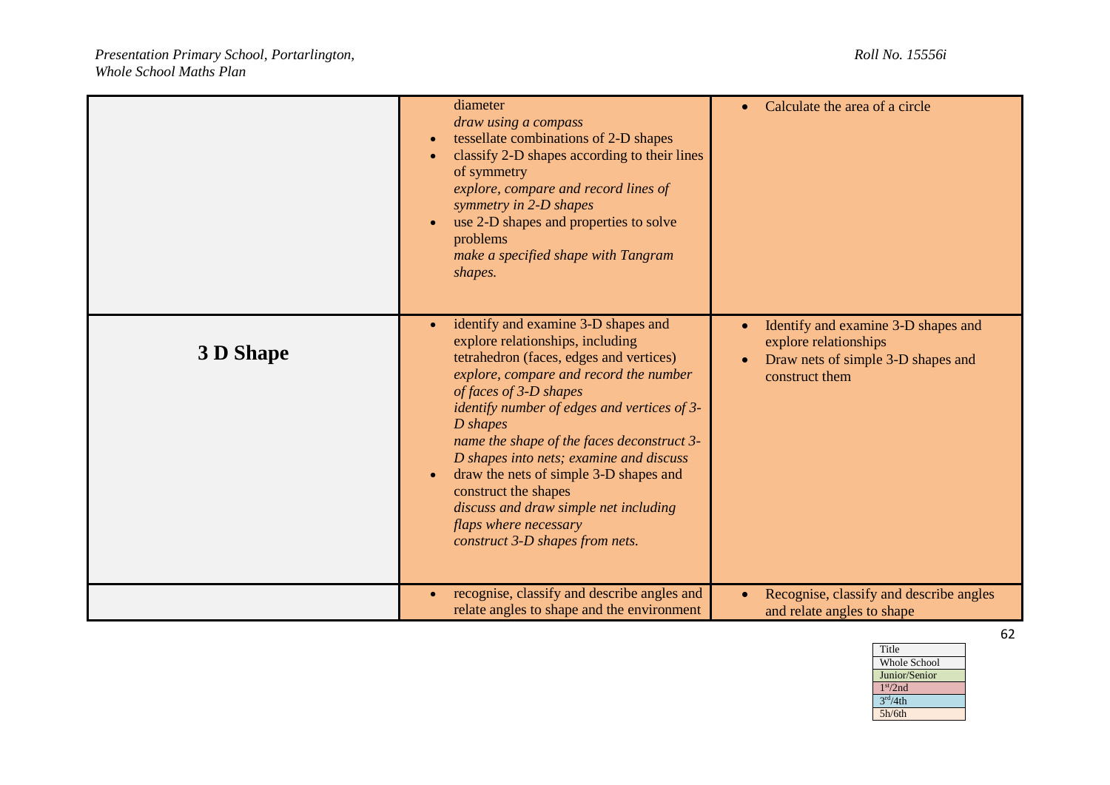|                  | diameter<br>draw using a compass<br>tessellate combinations of 2-D shapes<br>$\bullet$<br>classify 2-D shapes according to their lines<br>of symmetry<br>explore, compare and record lines of<br>symmetry in 2-D shapes<br>use 2-D shapes and properties to solve<br>problems<br>make a specified shape with Tangram<br>shapes.                                                                                                                                                                                   | Calculate the area of a circle<br>$\bullet$                                                                                                    |
|------------------|-------------------------------------------------------------------------------------------------------------------------------------------------------------------------------------------------------------------------------------------------------------------------------------------------------------------------------------------------------------------------------------------------------------------------------------------------------------------------------------------------------------------|------------------------------------------------------------------------------------------------------------------------------------------------|
| <b>3 D Shape</b> | identify and examine 3-D shapes and<br>explore relationships, including<br>tetrahedron (faces, edges and vertices)<br>explore, compare and record the number<br>of faces of 3-D shapes<br>identify number of edges and vertices of 3-<br>D shapes<br>name the shape of the faces deconstruct 3-<br>D shapes into nets; examine and discuss<br>draw the nets of simple 3-D shapes and<br>construct the shapes<br>discuss and draw simple net including<br>flaps where necessary<br>construct 3-D shapes from nets. | Identify and examine 3-D shapes and<br>$\bullet$<br>explore relationships<br>Draw nets of simple 3-D shapes and<br>$\bullet$<br>construct them |
|                  | recognise, classify and describe angles and<br>relate angles to shape and the environment                                                                                                                                                                                                                                                                                                                                                                                                                         | Recognise, classify and describe angles<br>$\bullet$<br>and relate angles to shape                                                             |

| Title                   |
|-------------------------|
| <b>Whole School</b>     |
| Junior/Senior           |
| 1 <sup>st</sup> /2nd    |
| $\overline{3^{rd}}/4th$ |
| 5h/6th                  |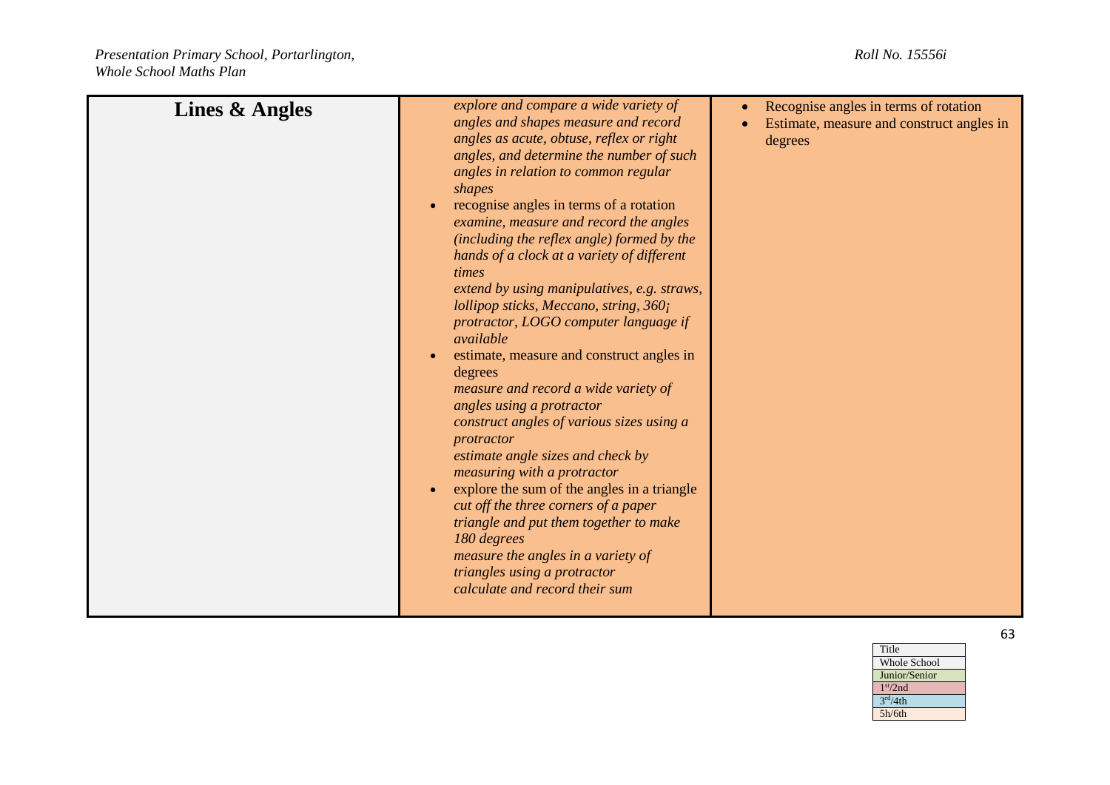| Lines & Angles | explore and compare a wide variety of<br>angles and shapes measure and record<br>angles as acute, obtuse, reflex or right<br>angles, and determine the number of such<br>angles in relation to common regular<br>shapes<br>recognise angles in terms of a rotation<br>examine, measure and record the angles<br>(including the reflex angle) formed by the<br>hands of a clock at a variety of different<br>times<br>extend by using manipulatives, e.g. straws,<br>lollipop sticks, Meccano, string, $360i$<br>protractor, LOGO computer language if<br>available<br>estimate, measure and construct angles in<br>degrees<br>measure and record a wide variety of<br>angles using a protractor<br>construct angles of various sizes using a<br>protractor<br>estimate angle sizes and check by<br>measuring with a protractor<br>explore the sum of the angles in a triangle<br>cut off the three corners of a paper<br>triangle and put them together to make<br>180 degrees<br>measure the angles in a variety of<br>triangles using a protractor<br>calculate and record their sum | Recognise angles in terms of rotation<br>Estimate, measure and construct angles in<br>degrees |
|----------------|----------------------------------------------------------------------------------------------------------------------------------------------------------------------------------------------------------------------------------------------------------------------------------------------------------------------------------------------------------------------------------------------------------------------------------------------------------------------------------------------------------------------------------------------------------------------------------------------------------------------------------------------------------------------------------------------------------------------------------------------------------------------------------------------------------------------------------------------------------------------------------------------------------------------------------------------------------------------------------------------------------------------------------------------------------------------------------------|-----------------------------------------------------------------------------------------------|
|----------------|----------------------------------------------------------------------------------------------------------------------------------------------------------------------------------------------------------------------------------------------------------------------------------------------------------------------------------------------------------------------------------------------------------------------------------------------------------------------------------------------------------------------------------------------------------------------------------------------------------------------------------------------------------------------------------------------------------------------------------------------------------------------------------------------------------------------------------------------------------------------------------------------------------------------------------------------------------------------------------------------------------------------------------------------------------------------------------------|-----------------------------------------------------------------------------------------------|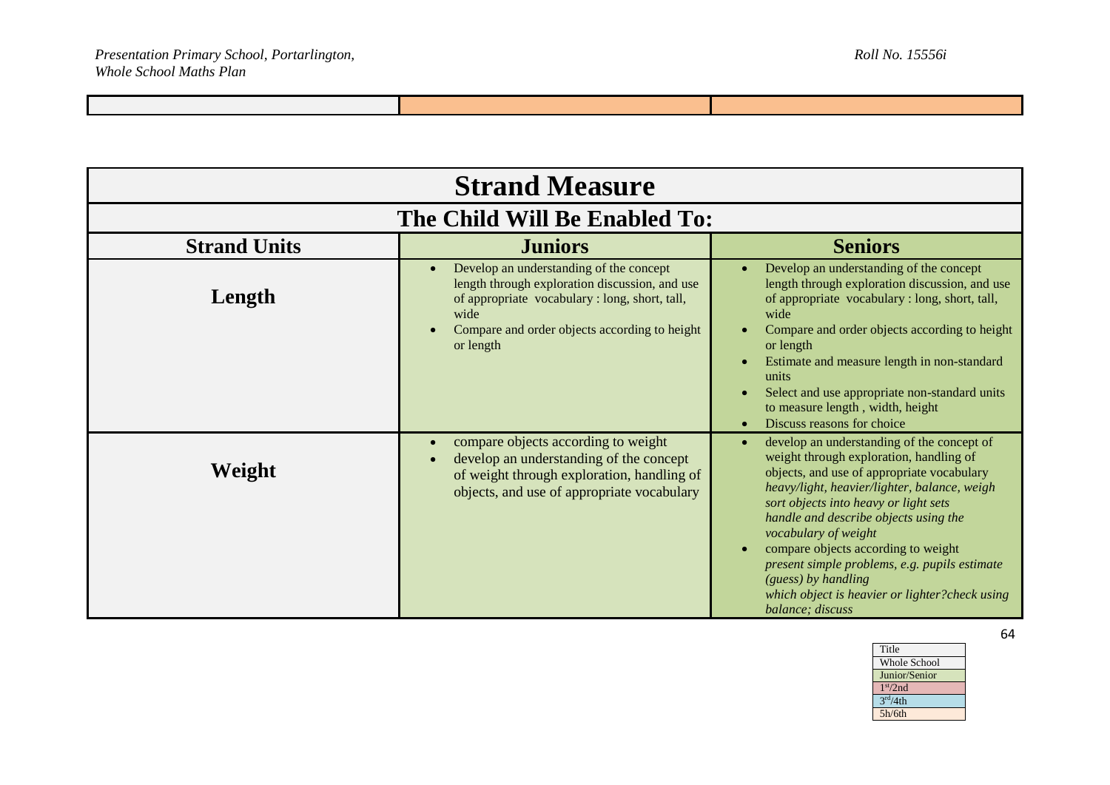| <b>Strand Measure</b>         |                                                                                                                                                                                                                                |                                                                                                                                                                                                                                                                                                                                                                                                                                                                                                              |
|-------------------------------|--------------------------------------------------------------------------------------------------------------------------------------------------------------------------------------------------------------------------------|--------------------------------------------------------------------------------------------------------------------------------------------------------------------------------------------------------------------------------------------------------------------------------------------------------------------------------------------------------------------------------------------------------------------------------------------------------------------------------------------------------------|
| The Child Will Be Enabled To: |                                                                                                                                                                                                                                |                                                                                                                                                                                                                                                                                                                                                                                                                                                                                                              |
| <b>Strand Units</b>           | <b>Juniors</b>                                                                                                                                                                                                                 | <b>Seniors</b>                                                                                                                                                                                                                                                                                                                                                                                                                                                                                               |
| Length                        | Develop an understanding of the concept<br>$\bullet$<br>length through exploration discussion, and use<br>of appropriate vocabulary : long, short, tall,<br>wide<br>Compare and order objects according to height<br>or length | Develop an understanding of the concept<br>$\bullet$<br>length through exploration discussion, and use<br>of appropriate vocabulary : long, short, tall,<br>wide<br>Compare and order objects according to height<br>or length<br>Estimate and measure length in non-standard<br>$\bullet$<br>units<br>Select and use appropriate non-standard units<br>$\bullet$<br>to measure length, width, height<br>Discuss reasons for choice<br>$\bullet$                                                             |
| Weight                        | compare objects according to weight<br>$\bullet$<br>develop an understanding of the concept<br>$\bullet$<br>of weight through exploration, handling of<br>objects, and use of appropriate vocabulary                           | develop an understanding of the concept of<br>$\bullet$<br>weight through exploration, handling of<br>objects, and use of appropriate vocabulary<br>heavy/light, heavier/lighter, balance, weigh<br>sort objects into heavy or light sets<br>handle and describe objects using the<br>vocabulary of weight<br>compare objects according to weight<br>$\bullet$<br>present simple problems, e.g. pupils estimate<br>(guess) by handling<br>which object is heavier or lighter?check using<br>balance; discuss |

| Title                |
|----------------------|
| Whole School         |
| Junior/Senior        |
| 1 <sup>st</sup> /2nd |
| 3 <sup>rd</sup> /4th |
| 5h/6th               |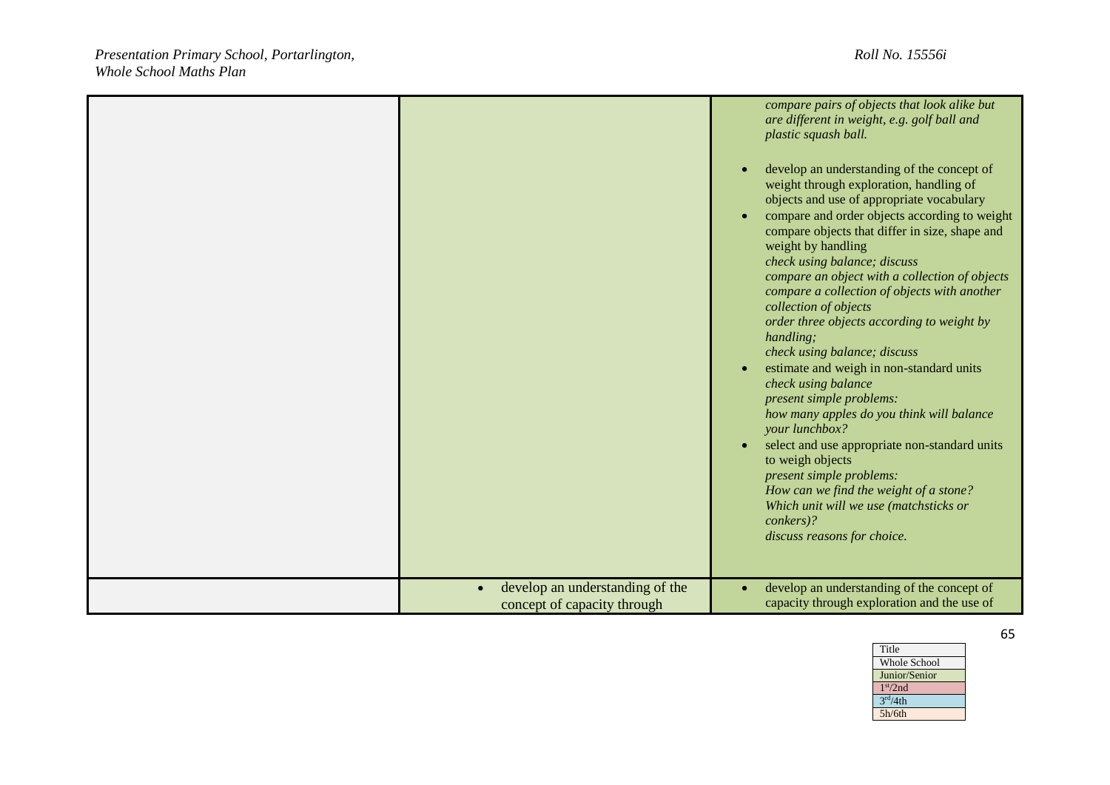|                                                                             | compare pairs of objects that look alike but<br>are different in weight, e.g. golf ball and<br>plastic squash ball.<br>develop an understanding of the concept of<br>$\bullet$<br>weight through exploration, handling of<br>objects and use of appropriate vocabulary<br>compare and order objects according to weight<br>$\bullet$<br>compare objects that differ in size, shape and<br>weight by handling<br>check using balance; discuss<br>compare an object with a collection of objects<br>compare a collection of objects with another<br>collection of objects<br>order three objects according to weight by<br>handling;<br>check using balance; discuss<br>estimate and weigh in non-standard units<br>$\bullet$<br>check using balance<br>present simple problems:<br>how many apples do you think will balance<br>your lunchbox?<br>select and use appropriate non-standard units<br>$\bullet$<br>to weigh objects<br>present simple problems:<br>How can we find the weight of a stone?<br>Which unit will we use (matchsticks or<br>conkers)?<br>discuss reasons for choice. |
|-----------------------------------------------------------------------------|---------------------------------------------------------------------------------------------------------------------------------------------------------------------------------------------------------------------------------------------------------------------------------------------------------------------------------------------------------------------------------------------------------------------------------------------------------------------------------------------------------------------------------------------------------------------------------------------------------------------------------------------------------------------------------------------------------------------------------------------------------------------------------------------------------------------------------------------------------------------------------------------------------------------------------------------------------------------------------------------------------------------------------------------------------------------------------------------|
| develop an understanding of the<br>$\bullet$<br>concept of capacity through | develop an understanding of the concept of<br>capacity through exploration and the use of                                                                                                                                                                                                                                                                                                                                                                                                                                                                                                                                                                                                                                                                                                                                                                                                                                                                                                                                                                                                   |

Whole School Junior/Senior

Title

1 st/2nd  $3<sup>rd</sup>/4th$ 5h/6th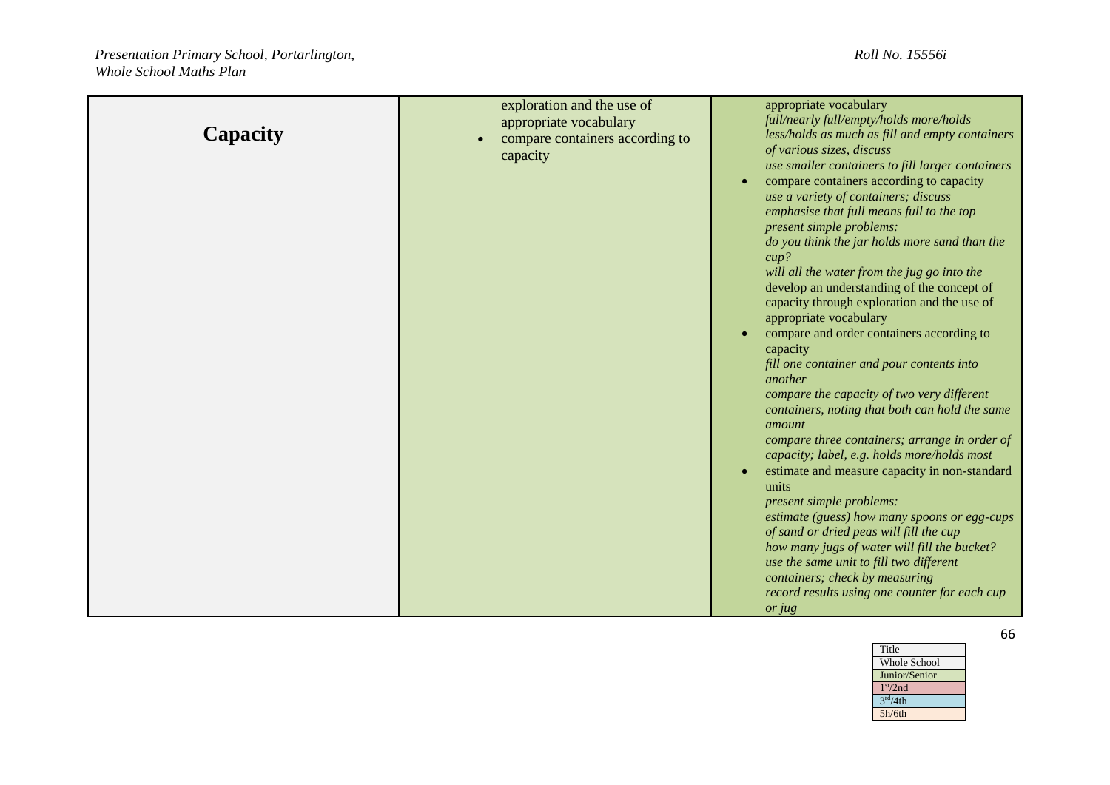| Capacity | exploration and the use of<br>appropriate vocabulary<br>compare containers according to<br>$\bullet$<br>capacity | appropriate vocabulary<br>full/nearly full/empty/holds more/holds<br>less/holds as much as fill and empty containers<br>of various sizes, discuss<br>use smaller containers to fill larger containers                                                                                                                                                                                                                                                                                                                                                                                                                                                                                                                                                                                                                                                                                                                                                                                                                                                                                                                     |
|----------|------------------------------------------------------------------------------------------------------------------|---------------------------------------------------------------------------------------------------------------------------------------------------------------------------------------------------------------------------------------------------------------------------------------------------------------------------------------------------------------------------------------------------------------------------------------------------------------------------------------------------------------------------------------------------------------------------------------------------------------------------------------------------------------------------------------------------------------------------------------------------------------------------------------------------------------------------------------------------------------------------------------------------------------------------------------------------------------------------------------------------------------------------------------------------------------------------------------------------------------------------|
|          |                                                                                                                  | compare containers according to capacity<br>$\bullet$<br>use a variety of containers; discuss<br>emphasise that full means full to the top<br>present simple problems:<br>do you think the jar holds more sand than the<br>$cup$ ?<br>will all the water from the jug go into the<br>develop an understanding of the concept of<br>capacity through exploration and the use of<br>appropriate vocabulary<br>compare and order containers according to<br>$\bullet$<br>capacity<br>fill one container and pour contents into<br>another<br>compare the capacity of two very different<br>containers, noting that both can hold the same<br>amount<br>compare three containers; arrange in order of<br>capacity; label, e.g. holds more/holds most<br>estimate and measure capacity in non-standard<br>units<br>present simple problems:<br>estimate (guess) how many spoons or egg-cups<br>of sand or dried peas will fill the cup<br>how many jugs of water will fill the bucket?<br>use the same unit to fill two different<br>containers; check by measuring<br>record results using one counter for each cup<br>or jug |

| Title                |
|----------------------|
| <b>Whole School</b>  |
| Junior/Senior        |
| 1 <sup>st</sup> /2nd |
| 3 <sup>rd</sup> /4th |
| 5h/6th               |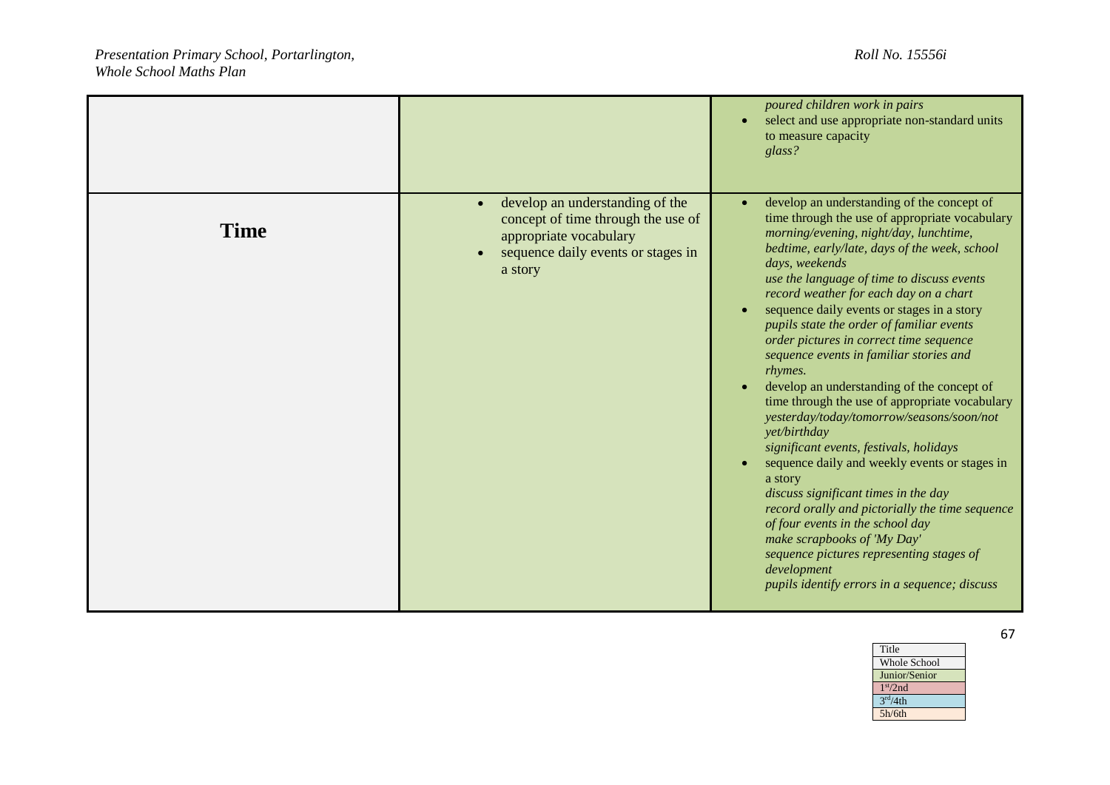|             |                                                                                                                                                                            | poured children work in pairs<br>select and use appropriate non-standard units<br>to measure capacity<br>glass?                                                                                                                                                                                                                                                                                                                                                                                                                                                                                                                                                                                                                                                                                                                                                                                                                                                                                                                                          |
|-------------|----------------------------------------------------------------------------------------------------------------------------------------------------------------------------|----------------------------------------------------------------------------------------------------------------------------------------------------------------------------------------------------------------------------------------------------------------------------------------------------------------------------------------------------------------------------------------------------------------------------------------------------------------------------------------------------------------------------------------------------------------------------------------------------------------------------------------------------------------------------------------------------------------------------------------------------------------------------------------------------------------------------------------------------------------------------------------------------------------------------------------------------------------------------------------------------------------------------------------------------------|
| <b>Time</b> | develop an understanding of the<br>$\bullet$<br>concept of time through the use of<br>appropriate vocabulary<br>sequence daily events or stages in<br>$\bullet$<br>a story | develop an understanding of the concept of<br>time through the use of appropriate vocabulary<br>morning/evening, night/day, lunchtime,<br>bedtime, early/late, days of the week, school<br>days, weekends<br>use the language of time to discuss events<br>record weather for each day on a chart<br>sequence daily events or stages in a story<br>pupils state the order of familiar events<br>order pictures in correct time sequence<br>sequence events in familiar stories and<br>rhymes.<br>develop an understanding of the concept of<br>time through the use of appropriate vocabulary<br>yesterday/today/tomorrow/seasons/soon/not<br>yet/birthday<br>significant events, festivals, holidays<br>sequence daily and weekly events or stages in<br>$\bullet$<br>a story<br>discuss significant times in the day<br>record orally and pictorially the time sequence<br>of four events in the school day<br>make scrapbooks of 'My Day'<br>sequence pictures representing stages of<br>development<br>pupils identify errors in a sequence; discuss |

| Title                |
|----------------------|
| <b>Whole School</b>  |
| Junior/Senior        |
| 1 <sup>st</sup> /2nd |
| 3 <sup>rd</sup> /4th |
| 5h/6th               |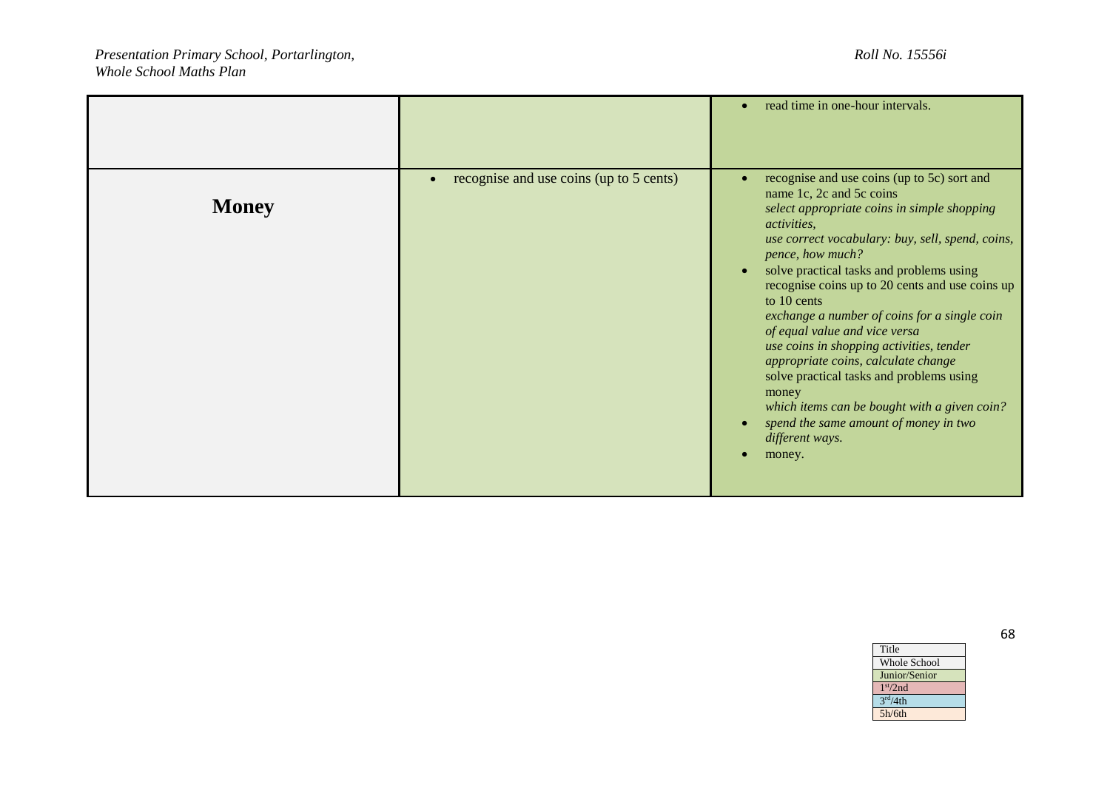|              |                                                      | read time in one-hour intervals.<br>$\bullet$                                                                                                                                                                                                                                                                                                                                                                                                                                                                                                                                                                                                                                                                            |
|--------------|------------------------------------------------------|--------------------------------------------------------------------------------------------------------------------------------------------------------------------------------------------------------------------------------------------------------------------------------------------------------------------------------------------------------------------------------------------------------------------------------------------------------------------------------------------------------------------------------------------------------------------------------------------------------------------------------------------------------------------------------------------------------------------------|
| <b>Money</b> | recognise and use coins (up to 5 cents)<br>$\bullet$ | recognise and use coins (up to 5c) sort and<br>$\bullet$<br>name 1c, 2c and 5c coins<br>select appropriate coins in simple shopping<br><i>activities.</i><br>use correct vocabulary: buy, sell, spend, coins,<br>pence, how much?<br>solve practical tasks and problems using<br>$\bullet$<br>recognise coins up to 20 cents and use coins up<br>to 10 cents<br>exchange a number of coins for a single coin<br>of equal value and vice versa<br>use coins in shopping activities, tender<br>appropriate coins, calculate change<br>solve practical tasks and problems using<br>money<br>which items can be bought with a given coin?<br>spend the same amount of money in two<br>$\bullet$<br>different ways.<br>money. |

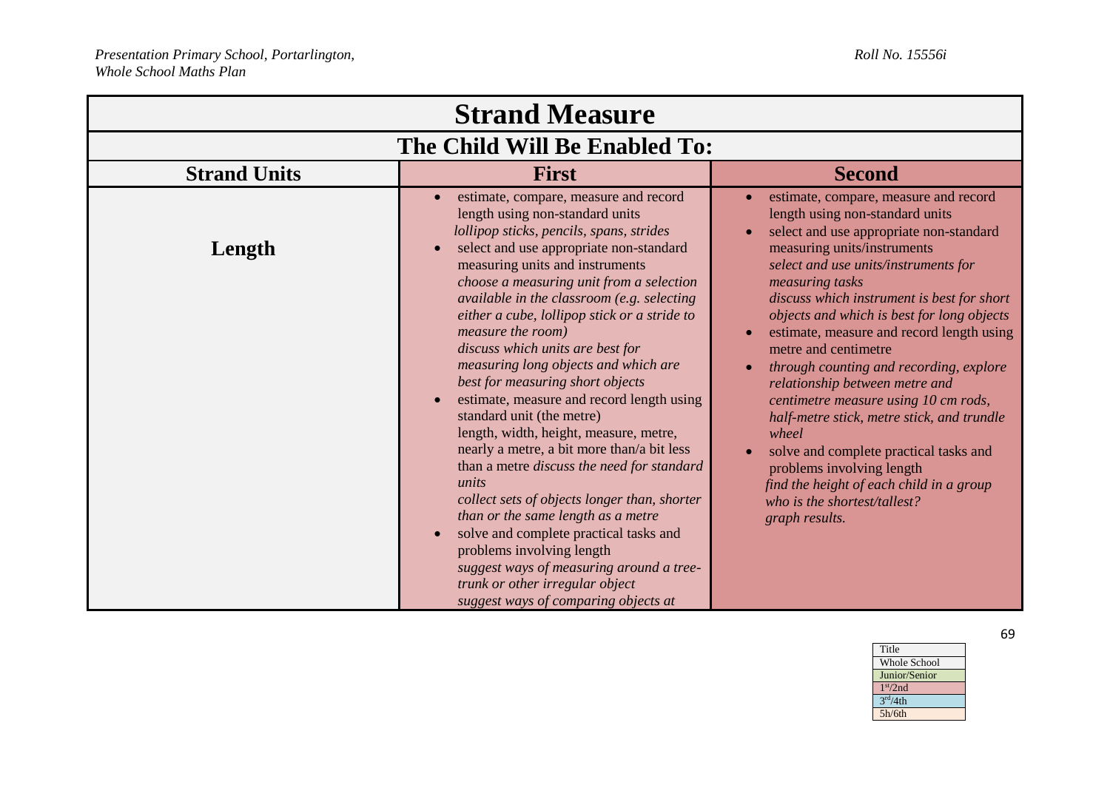| <b>Strand Measure</b>         |                                                                                                                                                                                                                                                                                                                                                                                                                                                                                                                                                                                                                                                                                                                                                                                                                                                                                                                                                        |                                                                                                                                                                                                                                                                                                                                                                                                                                                                                                                                                                                                                                                                                                                                 |  |  |
|-------------------------------|--------------------------------------------------------------------------------------------------------------------------------------------------------------------------------------------------------------------------------------------------------------------------------------------------------------------------------------------------------------------------------------------------------------------------------------------------------------------------------------------------------------------------------------------------------------------------------------------------------------------------------------------------------------------------------------------------------------------------------------------------------------------------------------------------------------------------------------------------------------------------------------------------------------------------------------------------------|---------------------------------------------------------------------------------------------------------------------------------------------------------------------------------------------------------------------------------------------------------------------------------------------------------------------------------------------------------------------------------------------------------------------------------------------------------------------------------------------------------------------------------------------------------------------------------------------------------------------------------------------------------------------------------------------------------------------------------|--|--|
| The Child Will Be Enabled To: |                                                                                                                                                                                                                                                                                                                                                                                                                                                                                                                                                                                                                                                                                                                                                                                                                                                                                                                                                        |                                                                                                                                                                                                                                                                                                                                                                                                                                                                                                                                                                                                                                                                                                                                 |  |  |
| <b>Strand Units</b>           | <b>First</b>                                                                                                                                                                                                                                                                                                                                                                                                                                                                                                                                                                                                                                                                                                                                                                                                                                                                                                                                           | <b>Second</b>                                                                                                                                                                                                                                                                                                                                                                                                                                                                                                                                                                                                                                                                                                                   |  |  |
| Length                        | estimate, compare, measure and record<br>length using non-standard units<br>lollipop sticks, pencils, spans, strides<br>select and use appropriate non-standard<br>measuring units and instruments<br>choose a measuring unit from a selection<br>available in the classroom (e.g. selecting<br>either a cube, lollipop stick or a stride to<br>measure the room)<br>discuss which units are best for<br>measuring long objects and which are<br>best for measuring short objects<br>estimate, measure and record length using<br>standard unit (the metre)<br>length, width, height, measure, metre,<br>nearly a metre, a bit more than/a bit less<br>than a metre discuss the need for standard<br>units<br>collect sets of objects longer than, shorter<br>than or the same length as a metre<br>solve and complete practical tasks and<br>problems involving length<br>suggest ways of measuring around a tree-<br>trunk or other irregular object | estimate, compare, measure and record<br>length using non-standard units<br>select and use appropriate non-standard<br>measuring units/instruments<br>select and use units/instruments for<br>measuring tasks<br>discuss which instrument is best for short<br>objects and which is best for long objects<br>estimate, measure and record length using<br>metre and centimetre<br>through counting and recording, explore<br>relationship between metre and<br>centimetre measure using 10 cm rods,<br>half-metre stick, metre stick, and trundle<br>wheel<br>solve and complete practical tasks and<br>problems involving length<br>find the height of each child in a group<br>who is the shortest/tallest?<br>graph results. |  |  |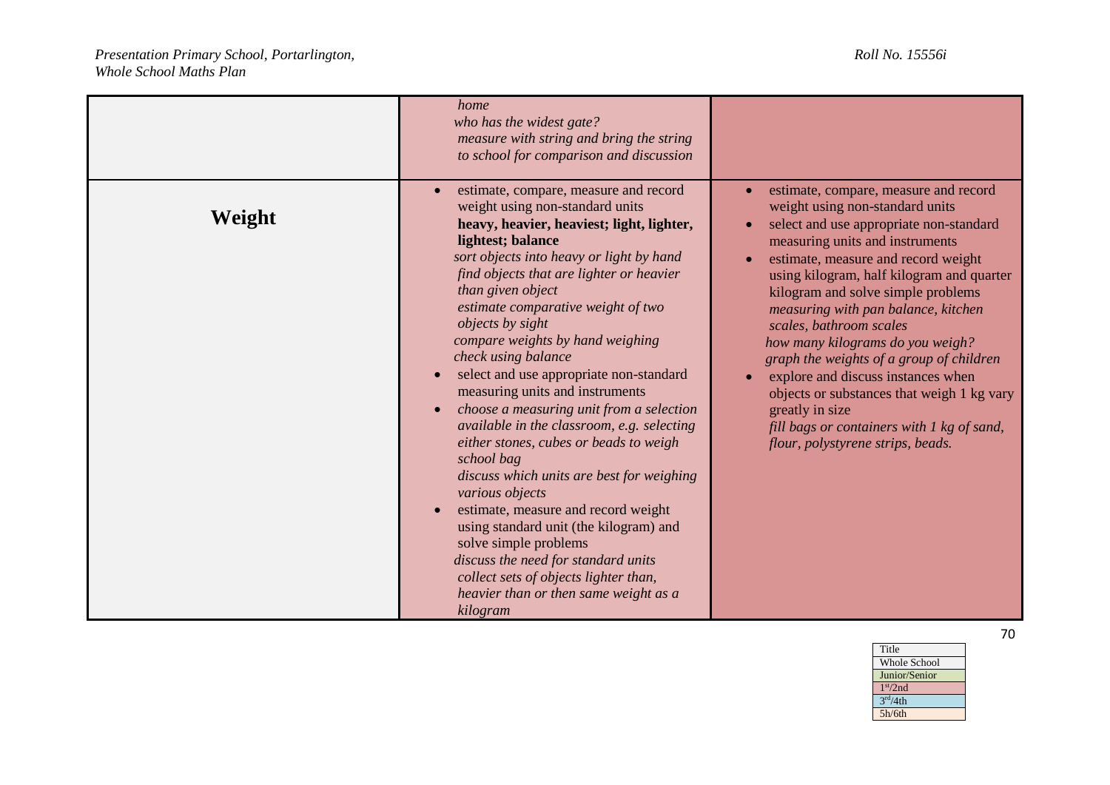|        | home<br>who has the widest gate?<br>measure with string and bring the string<br>to school for comparison and discussion                                                                                                                                                                                                                                                                                                                                                                                                                                                                                                                                                                                                                                                                                                                                                                                                            |                                                                                                                                                                                                                                                                                                                                                                                                                                                                                                                                                                                                                                                                     |
|--------|------------------------------------------------------------------------------------------------------------------------------------------------------------------------------------------------------------------------------------------------------------------------------------------------------------------------------------------------------------------------------------------------------------------------------------------------------------------------------------------------------------------------------------------------------------------------------------------------------------------------------------------------------------------------------------------------------------------------------------------------------------------------------------------------------------------------------------------------------------------------------------------------------------------------------------|---------------------------------------------------------------------------------------------------------------------------------------------------------------------------------------------------------------------------------------------------------------------------------------------------------------------------------------------------------------------------------------------------------------------------------------------------------------------------------------------------------------------------------------------------------------------------------------------------------------------------------------------------------------------|
| Weight | estimate, compare, measure and record<br>weight using non-standard units<br>heavy, heavier, heaviest; light, lighter,<br>lightest; balance<br>sort objects into heavy or light by hand<br>find objects that are lighter or heavier<br>than given object<br>estimate comparative weight of two<br><i>objects by sight</i><br>compare weights by hand weighing<br>check using balance<br>select and use appropriate non-standard<br>measuring units and instruments<br>choose a measuring unit from a selection<br>available in the classroom, e.g. selecting<br>either stones, cubes or beads to weigh<br>school bag<br>discuss which units are best for weighing<br>various objects<br>estimate, measure and record weight<br>using standard unit (the kilogram) and<br>solve simple problems<br>discuss the need for standard units<br>collect sets of objects lighter than,<br>heavier than or then same weight as a<br>kilogram | estimate, compare, measure and record<br>weight using non-standard units<br>select and use appropriate non-standard<br>$\bullet$<br>measuring units and instruments<br>estimate, measure and record weight<br>$\bullet$<br>using kilogram, half kilogram and quarter<br>kilogram and solve simple problems<br>measuring with pan balance, kitchen<br>scales, bathroom scales<br>how many kilograms do you weigh?<br>graph the weights of a group of children<br>explore and discuss instances when<br>$\bullet$<br>objects or substances that weigh 1 kg vary<br>greatly in size<br>fill bags or containers with 1 kg of sand,<br>flour, polystyrene strips, beads. |

Whole School Junior/Senior

Title

1 st/2nd  $3<sup>rd</sup>/4th$ 5h/6th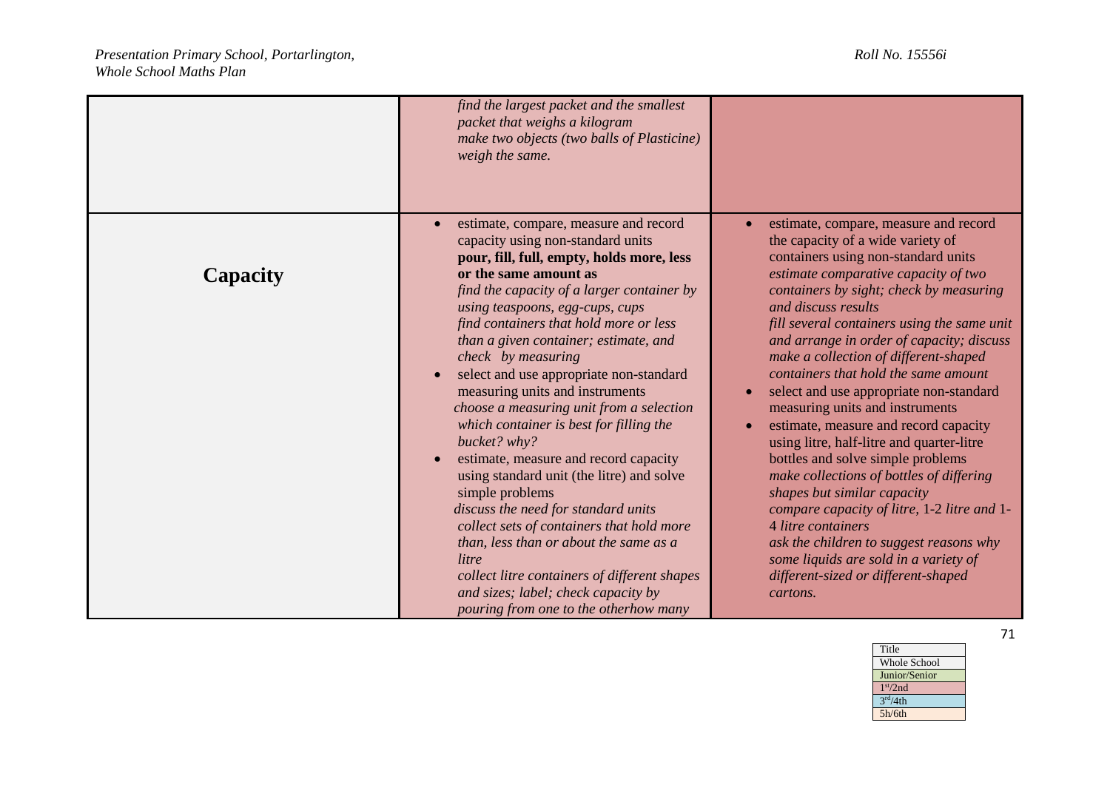|          | find the largest packet and the smallest<br>packet that weighs a kilogram<br>make two objects (two balls of Plasticine)<br>weigh the same.                                                                                                                                                                                                                                                                                                                                                                                                                                                                                                                                                                                                                                                                                                                                                                      |                                                                                                                                                                                                                                                                                                                                                                                                                                                                                                                                                                                                                                                                                                                                                                                                                                                                                                          |
|----------|-----------------------------------------------------------------------------------------------------------------------------------------------------------------------------------------------------------------------------------------------------------------------------------------------------------------------------------------------------------------------------------------------------------------------------------------------------------------------------------------------------------------------------------------------------------------------------------------------------------------------------------------------------------------------------------------------------------------------------------------------------------------------------------------------------------------------------------------------------------------------------------------------------------------|----------------------------------------------------------------------------------------------------------------------------------------------------------------------------------------------------------------------------------------------------------------------------------------------------------------------------------------------------------------------------------------------------------------------------------------------------------------------------------------------------------------------------------------------------------------------------------------------------------------------------------------------------------------------------------------------------------------------------------------------------------------------------------------------------------------------------------------------------------------------------------------------------------|
| Capacity | estimate, compare, measure and record<br>capacity using non-standard units<br>pour, fill, full, empty, holds more, less<br>or the same amount as<br>find the capacity of a larger container by<br>using teaspoons, egg-cups, cups<br>find containers that hold more or less<br>than a given container; estimate, and<br>check by measuring<br>select and use appropriate non-standard<br>measuring units and instruments<br>choose a measuring unit from a selection<br>which container is best for filling the<br>bucket? why?<br>estimate, measure and record capacity<br>using standard unit (the litre) and solve<br>simple problems<br>discuss the need for standard units<br>collect sets of containers that hold more<br>than, less than or about the same as a<br>litre<br>collect litre containers of different shapes<br>and sizes; label; check capacity by<br>pouring from one to the otherhow many | estimate, compare, measure and record<br>the capacity of a wide variety of<br>containers using non-standard units<br>estimate comparative capacity of two<br>containers by sight; check by measuring<br>and discuss results<br>fill several containers using the same unit<br>and arrange in order of capacity; discuss<br>make a collection of different-shaped<br>containers that hold the same amount<br>select and use appropriate non-standard<br>measuring units and instruments<br>estimate, measure and record capacity<br>using litre, half-litre and quarter-litre<br>bottles and solve simple problems<br>make collections of bottles of differing<br>shapes but similar capacity<br>compare capacity of litre, 1-2 litre and 1-<br>4 litre containers<br>ask the children to suggest reasons why<br>some liquids are sold in a variety of<br>different-sized or different-shaped<br>cartons. |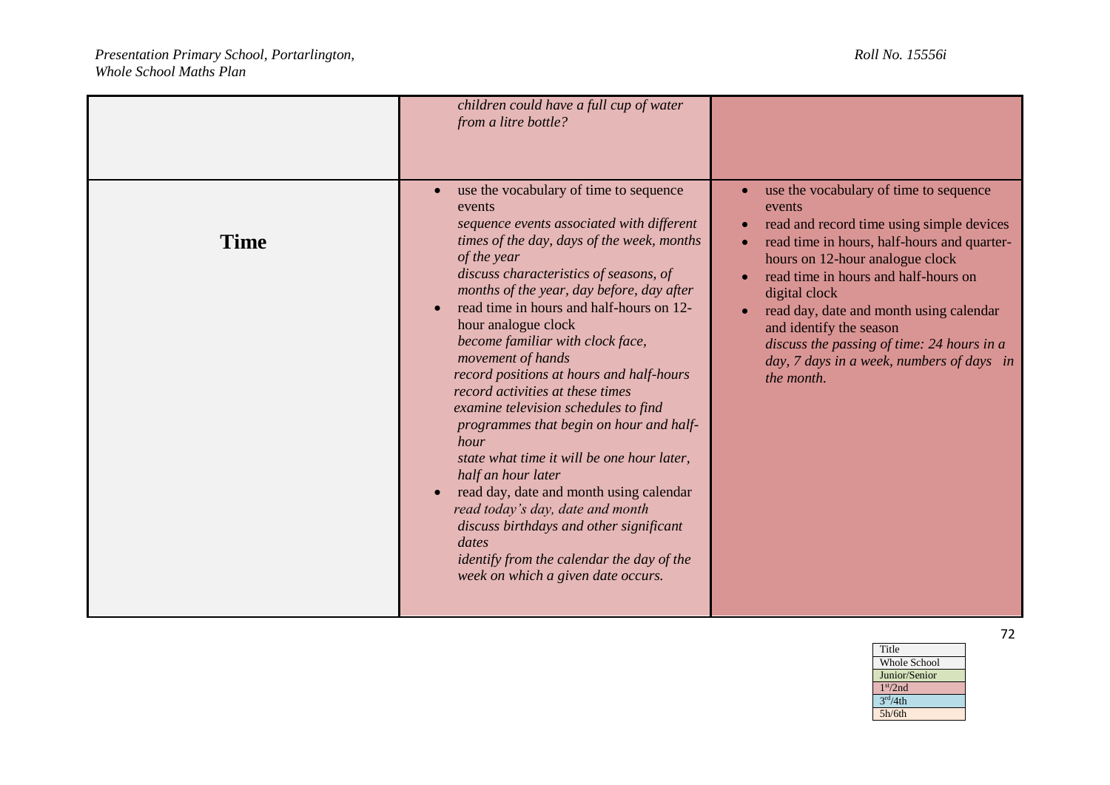|             | children could have a full cup of water<br>from a litre bottle?                                                                                                                                                                                                                                                                                                                                                                                                                                                                                                                                                                                                                                                                                                                                                                                    |                                                                                                                                                                                                                                                                                                                                                                                                                                      |
|-------------|----------------------------------------------------------------------------------------------------------------------------------------------------------------------------------------------------------------------------------------------------------------------------------------------------------------------------------------------------------------------------------------------------------------------------------------------------------------------------------------------------------------------------------------------------------------------------------------------------------------------------------------------------------------------------------------------------------------------------------------------------------------------------------------------------------------------------------------------------|--------------------------------------------------------------------------------------------------------------------------------------------------------------------------------------------------------------------------------------------------------------------------------------------------------------------------------------------------------------------------------------------------------------------------------------|
| <b>Time</b> | use the vocabulary of time to sequence<br>events<br>sequence events associated with different<br>times of the day, days of the week, months<br>of the year<br>discuss characteristics of seasons, of<br>months of the year, day before, day after<br>read time in hours and half-hours on 12-<br>hour analogue clock<br>become familiar with clock face,<br>movement of hands<br>record positions at hours and half-hours<br>record activities at these times<br>examine television schedules to find<br>programmes that begin on hour and half-<br>hour<br>state what time it will be one hour later,<br>half an hour later<br>read day, date and month using calendar<br>read today's day, date and month<br>discuss birthdays and other significant<br>dates<br>identify from the calendar the day of the<br>week on which a given date occurs. | use the vocabulary of time to sequence<br>events<br>read and record time using simple devices<br>read time in hours, half-hours and quarter-<br>$\bullet$<br>hours on 12-hour analogue clock<br>read time in hours and half-hours on<br>digital clock<br>read day, date and month using calendar<br>and identify the season<br>discuss the passing of time: 24 hours in a<br>day, 7 days in a week, numbers of days in<br>the month. |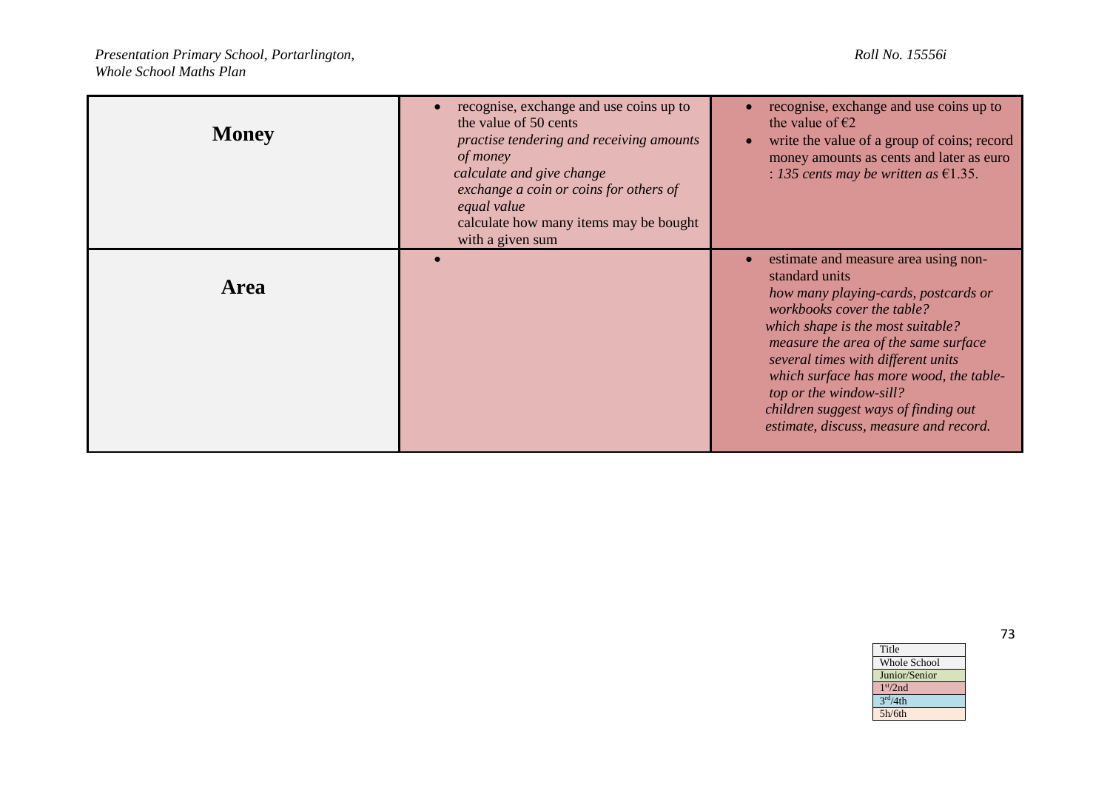| <b>Money</b> | recognise, exchange and use coins up to<br>the value of 50 cents<br>practise tendering and receiving amounts<br>of money<br>calculate and give change<br>exchange a coin or coins for others of<br>equal value<br>calculate how many items may be bought<br>with a given sum | recognise, exchange and use coins up to<br>the value of $\epsilon$ 2<br>write the value of a group of coins; record<br>money amounts as cents and later as euro<br>: 135 cents may be written as $£1.35$ .                                                                                                                                                                                              |
|--------------|------------------------------------------------------------------------------------------------------------------------------------------------------------------------------------------------------------------------------------------------------------------------------|---------------------------------------------------------------------------------------------------------------------------------------------------------------------------------------------------------------------------------------------------------------------------------------------------------------------------------------------------------------------------------------------------------|
| <b>Area</b>  |                                                                                                                                                                                                                                                                              | estimate and measure area using non-<br>standard units<br>how many playing-cards, postcards or<br>workbooks cover the table?<br>which shape is the most suitable?<br>measure the area of the same surface<br>several times with different units<br>which surface has more wood, the table-<br>top or the window-sill?<br>children suggest ways of finding out<br>estimate, discuss, measure and record. |

Title Whole School Junior/Senior 1 st/2nd  $3<sup>rd</sup>/4th$ 5h/6th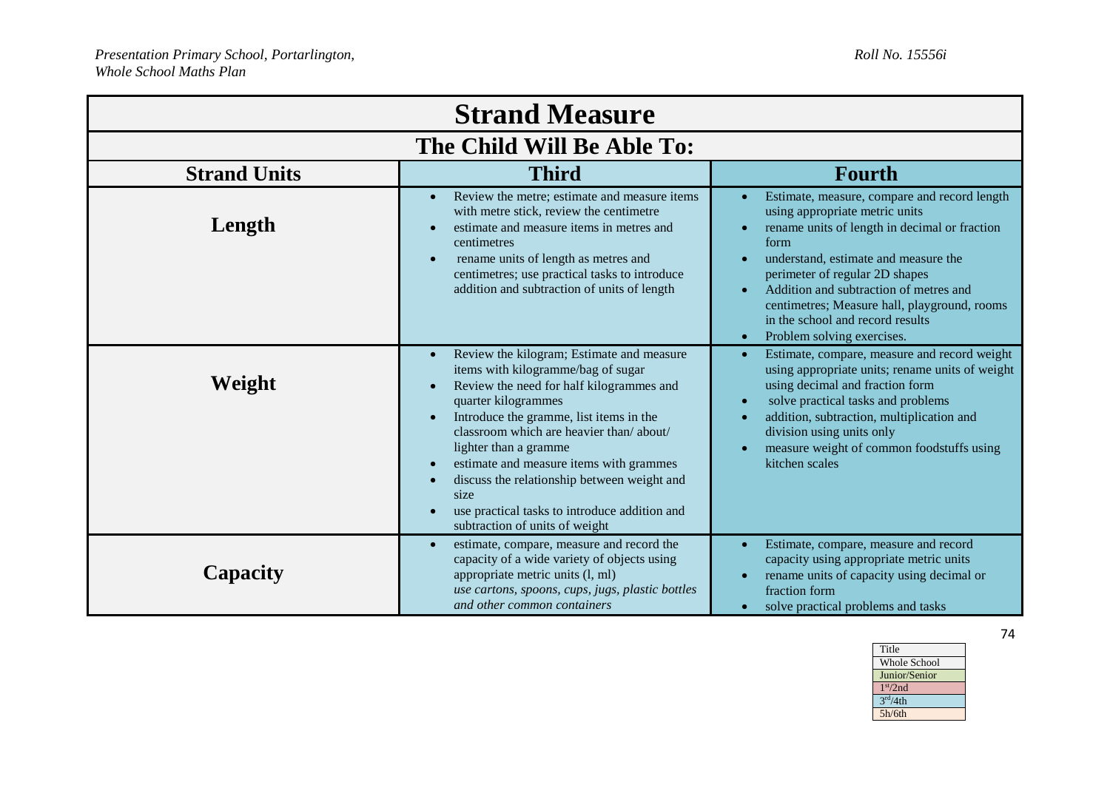| <b>Strand Measure</b>      |                                                                                                                                                                                                                                                                                                                                                                                                                                                        |                                                                                                                                                                                                                                                                                                                                                                                                                                   |
|----------------------------|--------------------------------------------------------------------------------------------------------------------------------------------------------------------------------------------------------------------------------------------------------------------------------------------------------------------------------------------------------------------------------------------------------------------------------------------------------|-----------------------------------------------------------------------------------------------------------------------------------------------------------------------------------------------------------------------------------------------------------------------------------------------------------------------------------------------------------------------------------------------------------------------------------|
| The Child Will Be Able To: |                                                                                                                                                                                                                                                                                                                                                                                                                                                        |                                                                                                                                                                                                                                                                                                                                                                                                                                   |
| <b>Strand Units</b>        | <b>Third</b>                                                                                                                                                                                                                                                                                                                                                                                                                                           | <b>Fourth</b>                                                                                                                                                                                                                                                                                                                                                                                                                     |
| Length                     | Review the metre; estimate and measure items<br>with metre stick, review the centimetre<br>estimate and measure items in metres and<br>centimetres<br>rename units of length as metres and<br>centimetres; use practical tasks to introduce<br>addition and subtraction of units of length                                                                                                                                                             | Estimate, measure, compare and record length<br>using appropriate metric units<br>rename units of length in decimal or fraction<br>$\bullet$<br>form<br>understand, estimate and measure the<br>$\bullet$<br>perimeter of regular 2D shapes<br>Addition and subtraction of metres and<br>$\bullet$<br>centimetres; Measure hall, playground, rooms<br>in the school and record results<br>Problem solving exercises.<br>$\bullet$ |
| Weight                     | Review the kilogram; Estimate and measure<br>items with kilogramme/bag of sugar<br>Review the need for half kilogrammes and<br>quarter kilogrammes<br>Introduce the gramme, list items in the<br>classroom which are heavier than/about/<br>lighter than a gramme<br>estimate and measure items with grammes<br>discuss the relationship between weight and<br>size<br>use practical tasks to introduce addition and<br>subtraction of units of weight | Estimate, compare, measure and record weight<br>$\bullet$<br>using appropriate units; rename units of weight<br>using decimal and fraction form<br>solve practical tasks and problems<br>$\bullet$<br>addition, subtraction, multiplication and<br>$\bullet$<br>division using units only<br>measure weight of common foodstuffs using<br>kitchen scales                                                                          |
| Capacity                   | estimate, compare, measure and record the<br>capacity of a wide variety of objects using<br>appropriate metric units (l, ml)<br>use cartons, spoons, cups, jugs, plastic bottles<br>and other common containers                                                                                                                                                                                                                                        | Estimate, compare, measure and record<br>$\bullet$<br>capacity using appropriate metric units<br>rename units of capacity using decimal or<br>$\bullet$<br>fraction form<br>solve practical problems and tasks<br>$\bullet$                                                                                                                                                                                                       |

| Title                |
|----------------------|
| <b>Whole School</b>  |
| Junior/Senior        |
| 1 <sup>st</sup> /2nd |
| 3 <sup>rd</sup> /4th |
| 5h/6th               |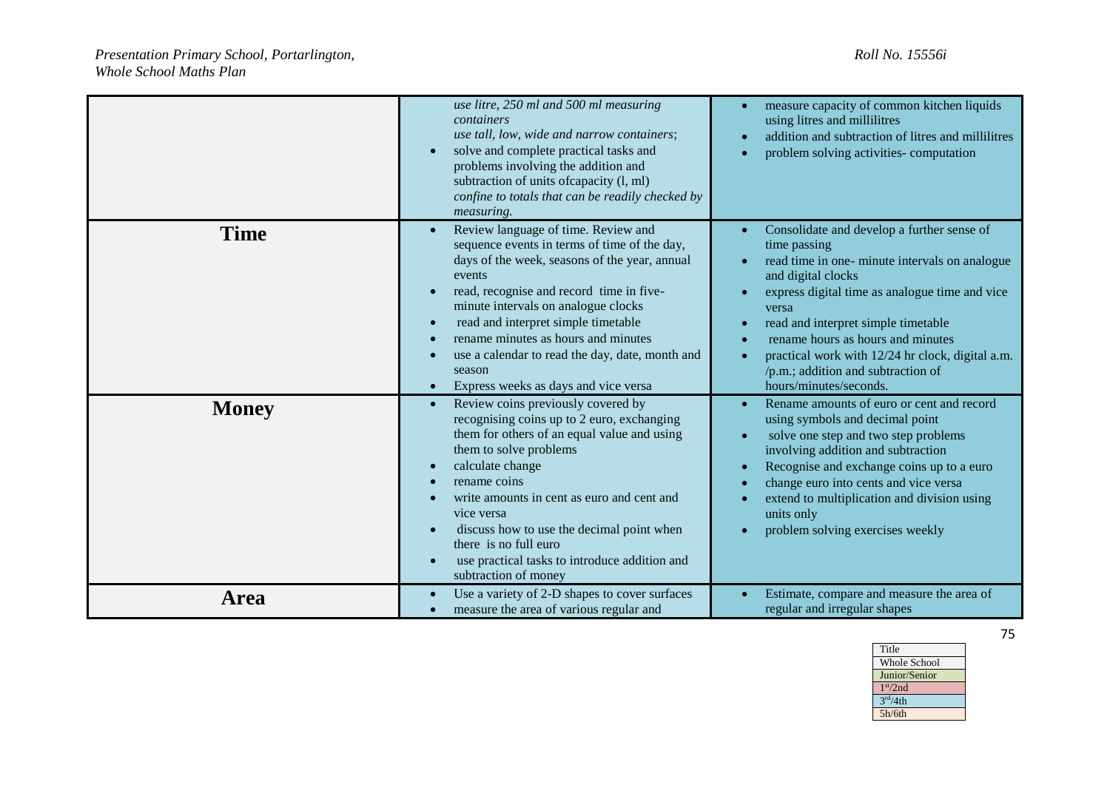|              | use litre, 250 ml and 500 ml measuring<br>containers<br>use tall, low, wide and narrow containers;<br>solve and complete practical tasks and<br>problems involving the addition and<br>subtraction of units of capacity (l, ml)<br>confine to totals that can be readily checked by<br>measuring.                                                                                                                                 | measure capacity of common kitchen liquids<br>using litres and millilitres<br>addition and subtraction of litres and millilitres<br>problem solving activities-computation<br>×                                                                                                                                                                                                               |
|--------------|-----------------------------------------------------------------------------------------------------------------------------------------------------------------------------------------------------------------------------------------------------------------------------------------------------------------------------------------------------------------------------------------------------------------------------------|-----------------------------------------------------------------------------------------------------------------------------------------------------------------------------------------------------------------------------------------------------------------------------------------------------------------------------------------------------------------------------------------------|
| <b>Time</b>  | Review language of time. Review and<br>sequence events in terms of time of the day,<br>days of the week, seasons of the year, annual<br>events<br>read, recognise and record time in five-<br>minute intervals on analogue clocks<br>read and interpret simple timetable<br>$\bullet$<br>rename minutes as hours and minutes<br>use a calendar to read the day, date, month and<br>season<br>Express weeks as days and vice versa | Consolidate and develop a further sense of<br>time passing<br>read time in one- minute intervals on analogue<br>and digital clocks<br>express digital time as analogue time and vice<br>versa<br>read and interpret simple timetable<br>rename hours as hours and minutes<br>practical work with 12/24 hr clock, digital a.m.<br>/p.m.; addition and subtraction of<br>hours/minutes/seconds. |
| <b>Money</b> | Review coins previously covered by<br>recognising coins up to 2 euro, exchanging<br>them for others of an equal value and using<br>them to solve problems<br>calculate change<br>rename coins<br>write amounts in cent as euro and cent and<br>vice versa<br>discuss how to use the decimal point when<br>there is no full euro<br>use practical tasks to introduce addition and<br>subtraction of money                          | Rename amounts of euro or cent and record<br>using symbols and decimal point<br>solve one step and two step problems<br>involving addition and subtraction<br>Recognise and exchange coins up to a euro<br><b>C</b><br>change euro into cents and vice versa<br>extend to multiplication and division using<br>units only<br>problem solving exercises weekly                                 |
| <b>Area</b>  | Use a variety of 2-D shapes to cover surfaces<br>measure the area of various regular and                                                                                                                                                                                                                                                                                                                                          | Estimate, compare and measure the area of<br>regular and irregular shapes                                                                                                                                                                                                                                                                                                                     |

Title Whole School Junior/Senior 1 st/2nd  $3<sup>rd</sup>/4th$ 5h/6th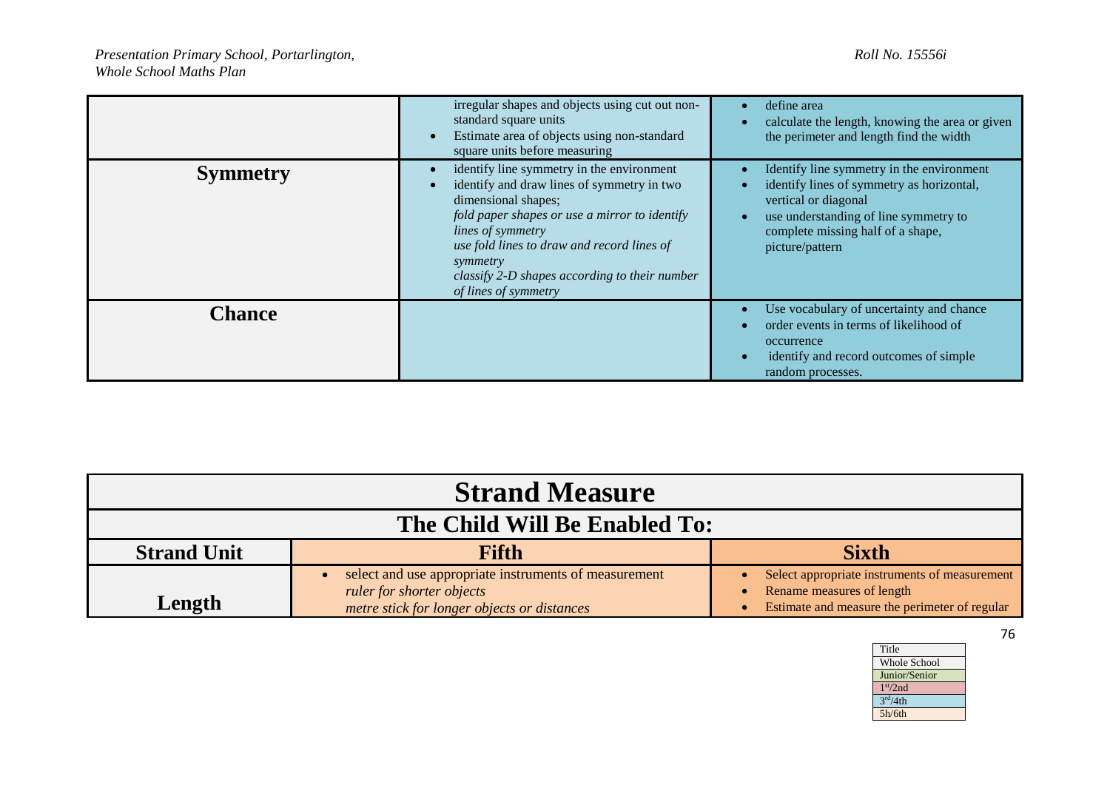|                 | irregular shapes and objects using cut out non-<br>standard square units<br>Estimate area of objects using non-standard<br>square units before measuring                                                                                                                                                                       | define area<br>calculate the length, knowing the area or given<br>the perimeter and length find the width                                                                                                       |
|-----------------|--------------------------------------------------------------------------------------------------------------------------------------------------------------------------------------------------------------------------------------------------------------------------------------------------------------------------------|-----------------------------------------------------------------------------------------------------------------------------------------------------------------------------------------------------------------|
| <b>Symmetry</b> | identify line symmetry in the environment<br>identify and draw lines of symmetry in two<br>dimensional shapes;<br>fold paper shapes or use a mirror to identify<br><i>lines of symmetry</i><br>use fold lines to draw and record lines of<br>symmetry<br>classify 2-D shapes according to their number<br>of lines of symmetry | Identify line symmetry in the environment<br>identify lines of symmetry as horizontal,<br>vertical or diagonal<br>use understanding of line symmetry to<br>complete missing half of a shape,<br>picture/pattern |
| <b>Chance</b>   |                                                                                                                                                                                                                                                                                                                                | Use vocabulary of uncertainty and chance<br>order events in terms of likelihood of<br>occurrence<br>identify and record outcomes of simple<br>random processes.                                                 |

| <b>Strand Measure</b>         |                                                                                                                                   |                                                                                                                             |
|-------------------------------|-----------------------------------------------------------------------------------------------------------------------------------|-----------------------------------------------------------------------------------------------------------------------------|
| The Child Will Be Enabled To: |                                                                                                                                   |                                                                                                                             |
| <b>Strand Unit</b>            | <b>Fifth</b>                                                                                                                      | <b>Sixth</b>                                                                                                                |
| Length                        | select and use appropriate instruments of measurement<br>ruler for shorter objects<br>metre stick for longer objects or distances | Select appropriate instruments of measurement<br>Rename measures of length<br>Estimate and measure the perimeter of regular |

| Title                |
|----------------------|
| <b>Whole School</b>  |
| Junior/Senior        |
| 1 <sup>st</sup> /2nd |
| 3 <sup>rd</sup> /4th |
| 5h/6th               |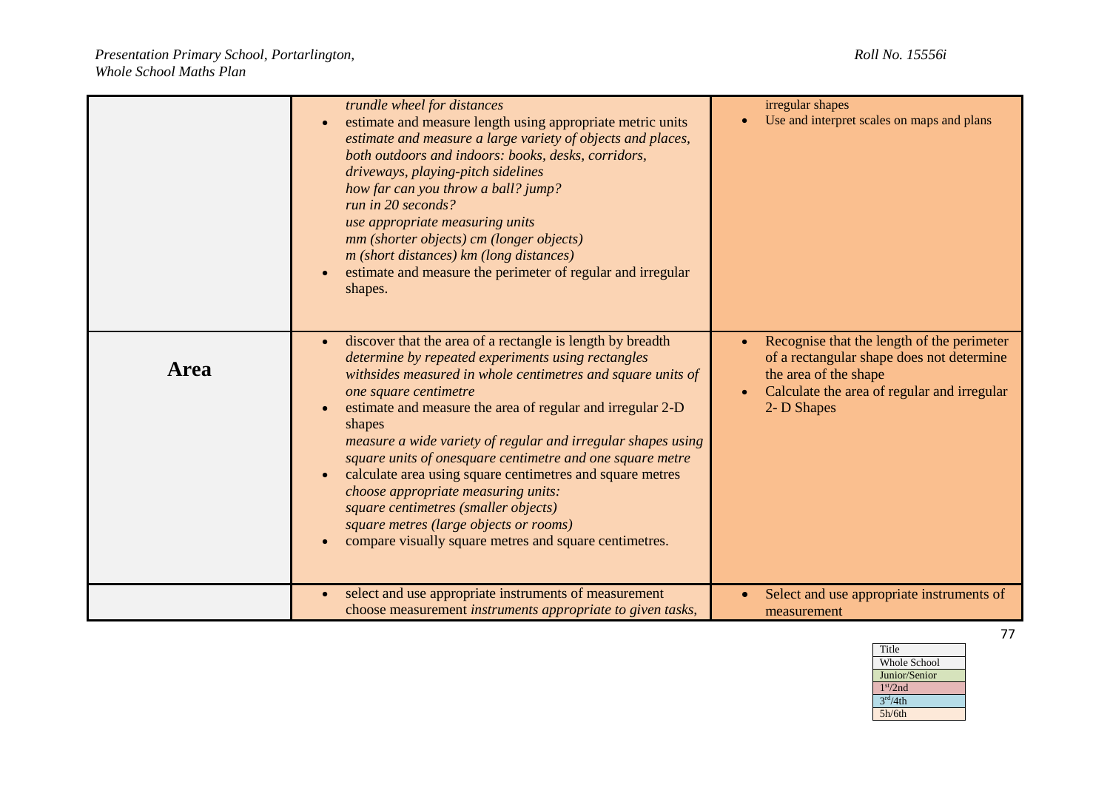|             | trundle wheel for distances<br>estimate and measure length using appropriate metric units<br>estimate and measure a large variety of objects and places,<br>both outdoors and indoors: books, desks, corridors,<br>driveways, playing-pitch sidelines<br>how far can you throw a ball? jump?<br>run in 20 seconds?<br>use appropriate measuring units<br>mm (shorter objects) cm (longer objects)<br>m (short distances) km (long distances)<br>estimate and measure the perimeter of regular and irregular<br>shapes.                                                                                                                                        | irregular shapes<br>Use and interpret scales on maps and plans                                                                                                                              |
|-------------|---------------------------------------------------------------------------------------------------------------------------------------------------------------------------------------------------------------------------------------------------------------------------------------------------------------------------------------------------------------------------------------------------------------------------------------------------------------------------------------------------------------------------------------------------------------------------------------------------------------------------------------------------------------|---------------------------------------------------------------------------------------------------------------------------------------------------------------------------------------------|
| <b>Area</b> | discover that the area of a rectangle is length by breadth<br>determine by repeated experiments using rectangles<br>withsides measured in whole centimetres and square units of<br>one square centimetre<br>estimate and measure the area of regular and irregular 2-D<br>shapes<br>measure a wide variety of regular and irregular shapes using<br>square units of onesquare centimetre and one square metre<br>calculate area using square centimetres and square metres<br>choose appropriate measuring units:<br>square centimetres (smaller objects)<br>square metres (large objects or rooms)<br>compare visually square metres and square centimetres. | Recognise that the length of the perimeter<br>of a rectangular shape does not determine<br>the area of the shape<br>Calculate the area of regular and irregular<br>$\bullet$<br>2- D Shapes |
|             | select and use appropriate instruments of measurement<br>choose measurement instruments appropriate to given tasks,                                                                                                                                                                                                                                                                                                                                                                                                                                                                                                                                           | Select and use appropriate instruments of<br>measurement                                                                                                                                    |

Whole School Junior/Senior

Title

1 st/2nd  $3<sup>rd</sup>/4th$ 5h/6th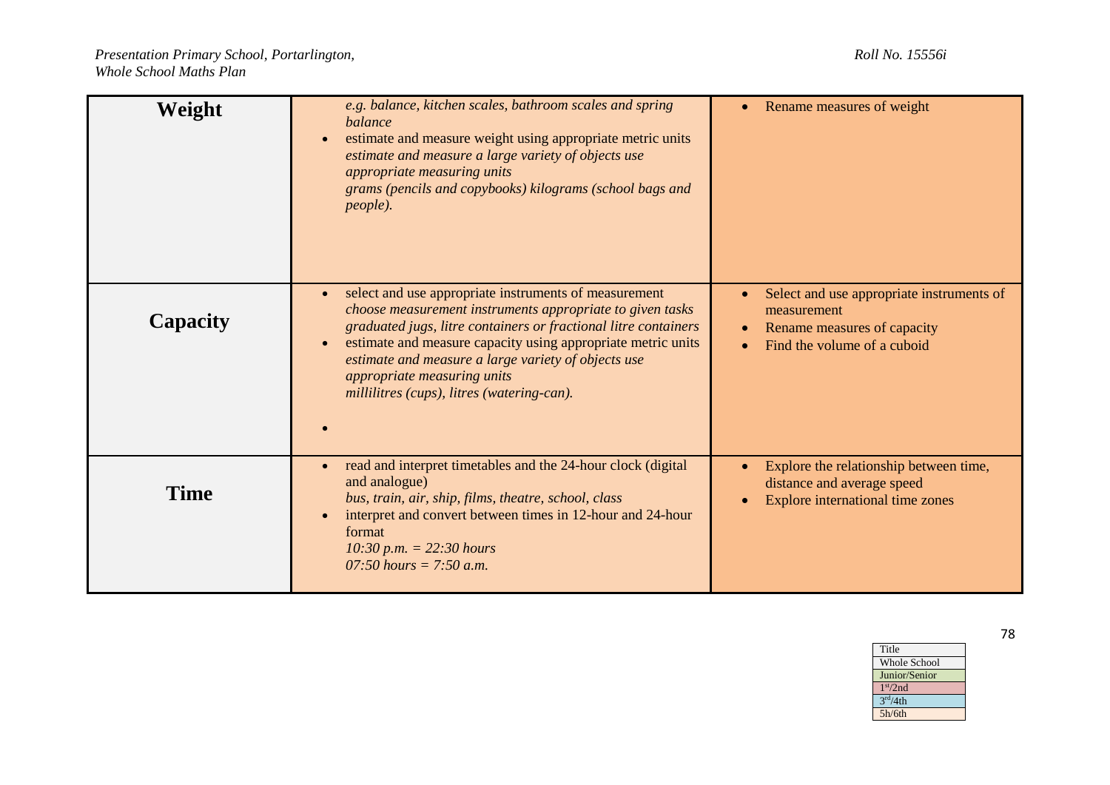| Weight      | e.g. balance, kitchen scales, bathroom scales and spring<br>balance<br>estimate and measure weight using appropriate metric units<br>$\bullet$<br>estimate and measure a large variety of objects use<br>appropriate measuring units<br>grams (pencils and copybooks) kilograms (school bags and<br>people).                                                                                                        | Rename measures of weight                                                                                                           |
|-------------|---------------------------------------------------------------------------------------------------------------------------------------------------------------------------------------------------------------------------------------------------------------------------------------------------------------------------------------------------------------------------------------------------------------------|-------------------------------------------------------------------------------------------------------------------------------------|
| Capacity    | select and use appropriate instruments of measurement<br>$\bullet$<br>choose measurement instruments appropriate to given tasks<br>graduated jugs, litre containers or fractional litre containers<br>estimate and measure capacity using appropriate metric units<br>$\bullet$<br>estimate and measure a large variety of objects use<br>appropriate measuring units<br>millilitres (cups), litres (watering-can). | Select and use appropriate instruments of<br>measurement<br>Rename measures of capacity<br>$\bullet$<br>Find the volume of a cuboid |
| <b>Time</b> | read and interpret timetables and the 24-hour clock (digital<br>$\bullet$<br>and analogue)<br>bus, train, air, ship, films, theatre, school, class<br>interpret and convert between times in 12-hour and 24-hour<br>$\bullet$<br>format<br>$10:30$ p.m. = 22:30 hours<br>07:50 hours = 7:50 a.m.                                                                                                                    | Explore the relationship between time,<br>distance and average speed<br>Explore international time zones                            |

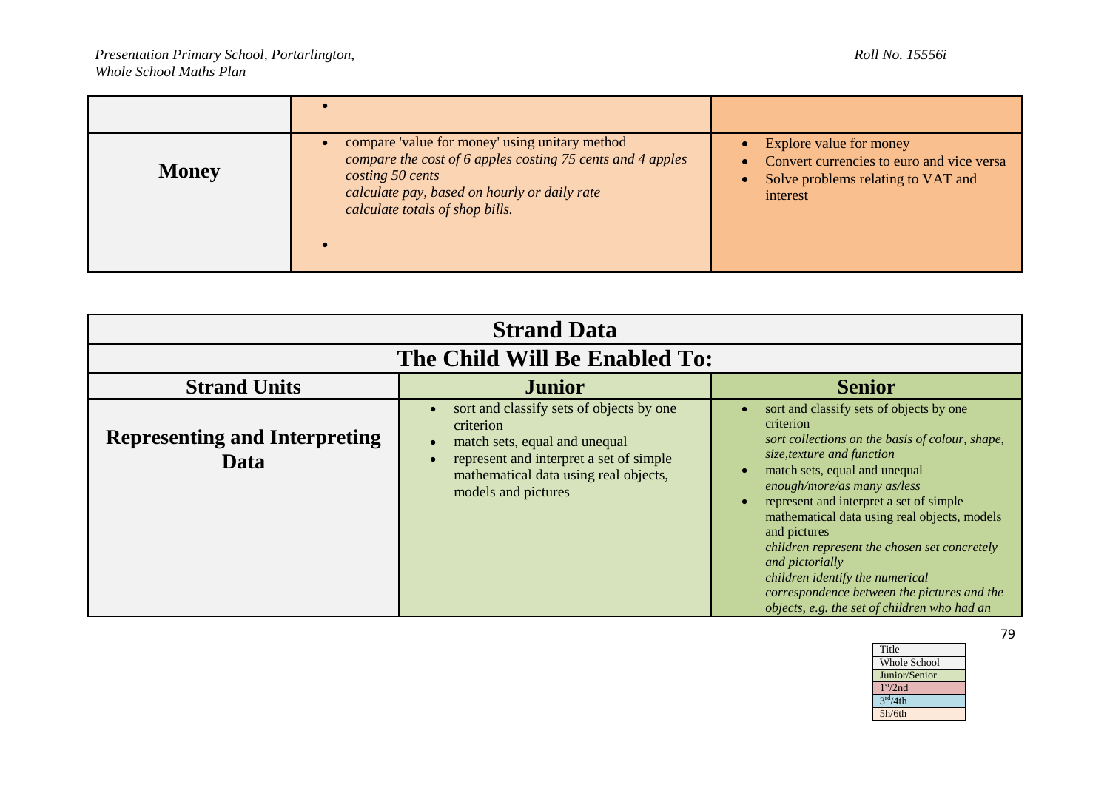| <b>Money</b> | compare 'value for money' using unitary method<br>compare the cost of 6 apples costing 75 cents and 4 apples<br>costing 50 cents<br>calculate pay, based on hourly or daily rate<br>calculate totals of shop bills. | Explore value for money<br>Convert currencies to euro and vice versa<br>Solve problems relating to VAT and<br>$\bullet$<br>interest |
|--------------|---------------------------------------------------------------------------------------------------------------------------------------------------------------------------------------------------------------------|-------------------------------------------------------------------------------------------------------------------------------------|

| <b>Strand Data</b>                           |                                                                                                                                                                                                   |                                                                                                                                                                                                                                                                                                                                                                                                                                                                                                                        |
|----------------------------------------------|---------------------------------------------------------------------------------------------------------------------------------------------------------------------------------------------------|------------------------------------------------------------------------------------------------------------------------------------------------------------------------------------------------------------------------------------------------------------------------------------------------------------------------------------------------------------------------------------------------------------------------------------------------------------------------------------------------------------------------|
|                                              | The Child Will Be Enabled To:                                                                                                                                                                     |                                                                                                                                                                                                                                                                                                                                                                                                                                                                                                                        |
| <b>Strand Units</b>                          | <b>Junior</b>                                                                                                                                                                                     | <b>Senior</b>                                                                                                                                                                                                                                                                                                                                                                                                                                                                                                          |
| <b>Representing and Interpreting</b><br>Data | sort and classify sets of objects by one<br>criterion<br>match sets, equal and unequal<br>represent and interpret a set of simple<br>mathematical data using real objects,<br>models and pictures | sort and classify sets of objects by one<br>criterion<br>sort collections on the basis of colour, shape,<br>size, texture and function<br>match sets, equal and unequal<br>enough/more/as many as/less<br>represent and interpret a set of simple<br>mathematical data using real objects, models<br>and pictures<br>children represent the chosen set concretely<br>and pictorially<br>children identify the numerical<br>correspondence between the pictures and the<br>objects, e.g. the set of children who had an |

| Title                |
|----------------------|
| <b>Whole School</b>  |
| Junior/Senior        |
| 1 <sup>st</sup> /2nd |
| 3 <sup>rd</sup> /4th |
| 5h/6th               |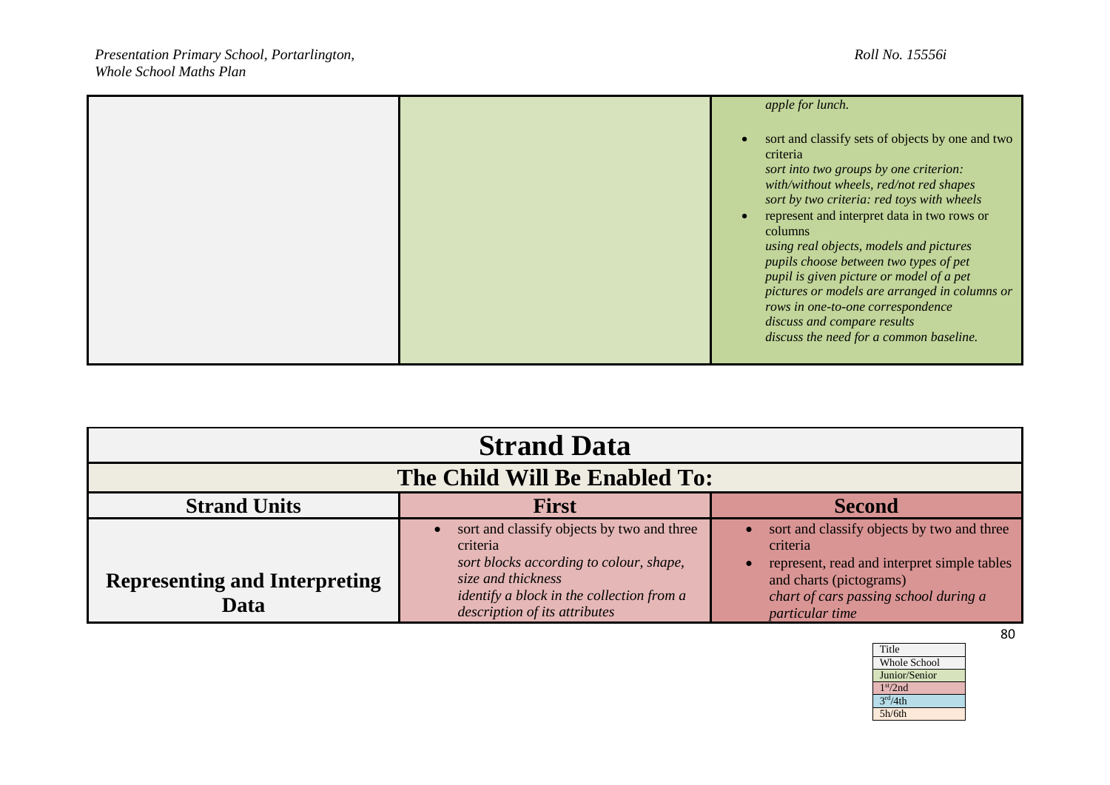|  | apple for lunch.                                                                                                                                                                                                                                                                                                                                                                                                                                                                                                                                           |
|--|------------------------------------------------------------------------------------------------------------------------------------------------------------------------------------------------------------------------------------------------------------------------------------------------------------------------------------------------------------------------------------------------------------------------------------------------------------------------------------------------------------------------------------------------------------|
|  | sort and classify sets of objects by one and two<br>criteria<br>sort into two groups by one criterion:<br>with/without wheels, red/not red shapes<br>sort by two criteria: red toys with wheels<br>represent and interpret data in two rows or<br>columns<br>using real objects, models and pictures<br>pupils choose between two types of pet<br>pupil is given picture or model of a pet<br>pictures or models are arranged in columns or<br>rows in one-to-one correspondence<br>discuss and compare results<br>discuss the need for a common baseline. |

| <b>Strand Data</b>                           |                                                                                                                                                                                                              |                                                                                                                                                                                              |
|----------------------------------------------|--------------------------------------------------------------------------------------------------------------------------------------------------------------------------------------------------------------|----------------------------------------------------------------------------------------------------------------------------------------------------------------------------------------------|
| The Child Will Be Enabled To:                |                                                                                                                                                                                                              |                                                                                                                                                                                              |
| <b>Strand Units</b>                          | <b>First</b>                                                                                                                                                                                                 | <b>Second</b>                                                                                                                                                                                |
| <b>Representing and Interpreting</b><br>Data | sort and classify objects by two and three<br>criteria<br>sort blocks according to colour, shape,<br>size and thickness<br><i>identify a block in the collection from a</i><br>description of its attributes | sort and classify objects by two and three<br>criteria<br>represent, read and interpret simple tables<br>and charts (pictograms)<br>chart of cars passing school during a<br>particular time |

| Title                |
|----------------------|
| <b>Whole School</b>  |
| Junior/Senior        |
| 1 <sup>st</sup> /2nd |
| 3 <sup>rd</sup> /4th |
| 5h/6th               |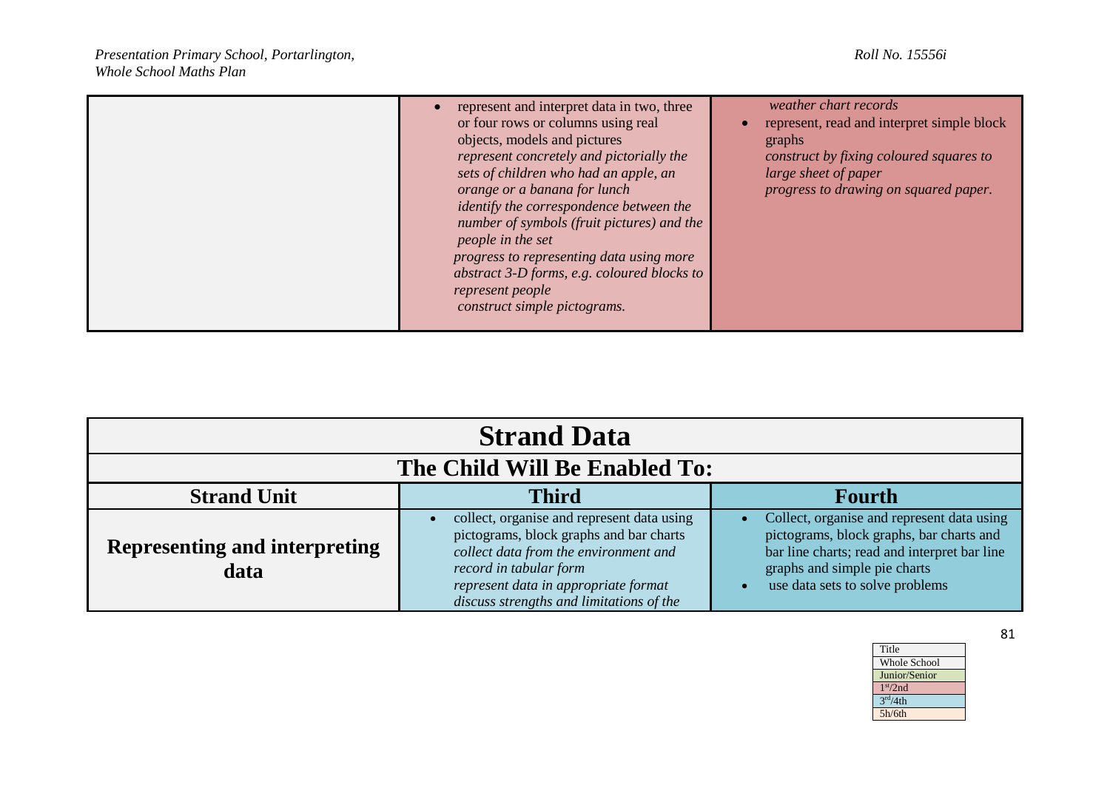|  | represent and interpret data in two, three<br>or four rows or columns using real<br>objects, models and pictures<br>represent concretely and pictorially the<br>sets of children who had an apple, an<br>orange or a banana for lunch<br>identify the correspondence between the<br>number of symbols (fruit pictures) and the<br>people in the set<br>progress to representing data using more<br>abstract 3-D forms, e.g. coloured blocks to<br>represent people<br>construct simple pictograms. | weather chart records<br>represent, read and interpret simple block<br>graphs<br>construct by fixing coloured squares to<br>large sheet of paper<br>progress to drawing on squared paper. |
|--|----------------------------------------------------------------------------------------------------------------------------------------------------------------------------------------------------------------------------------------------------------------------------------------------------------------------------------------------------------------------------------------------------------------------------------------------------------------------------------------------------|-------------------------------------------------------------------------------------------------------------------------------------------------------------------------------------------|
|--|----------------------------------------------------------------------------------------------------------------------------------------------------------------------------------------------------------------------------------------------------------------------------------------------------------------------------------------------------------------------------------------------------------------------------------------------------------------------------------------------------|-------------------------------------------------------------------------------------------------------------------------------------------------------------------------------------------|

| <b>Strand Data</b>                           |                                                                                                                                                                                                                                              |                                                                                                                                                                                                           |
|----------------------------------------------|----------------------------------------------------------------------------------------------------------------------------------------------------------------------------------------------------------------------------------------------|-----------------------------------------------------------------------------------------------------------------------------------------------------------------------------------------------------------|
| The Child Will Be Enabled To:                |                                                                                                                                                                                                                                              |                                                                                                                                                                                                           |
| <b>Strand Unit</b>                           | <b>Third</b>                                                                                                                                                                                                                                 | <b>Fourth</b>                                                                                                                                                                                             |
| <b>Representing and interpreting</b><br>data | collect, organise and represent data using<br>pictograms, block graphs and bar charts<br>collect data from the environment and<br>record in tabular form<br>represent data in appropriate format<br>discuss strengths and limitations of the | Collect, organise and represent data using<br>pictograms, block graphs, bar charts and<br>bar line charts; read and interpret bar line<br>graphs and simple pie charts<br>use data sets to solve problems |

| Title                   |
|-------------------------|
| <b>Whole School</b>     |
| Junior/Senior           |
| 1 <sup>st</sup> /2nd    |
| $\overline{3^{rd}}/4th$ |
| 5h/6th                  |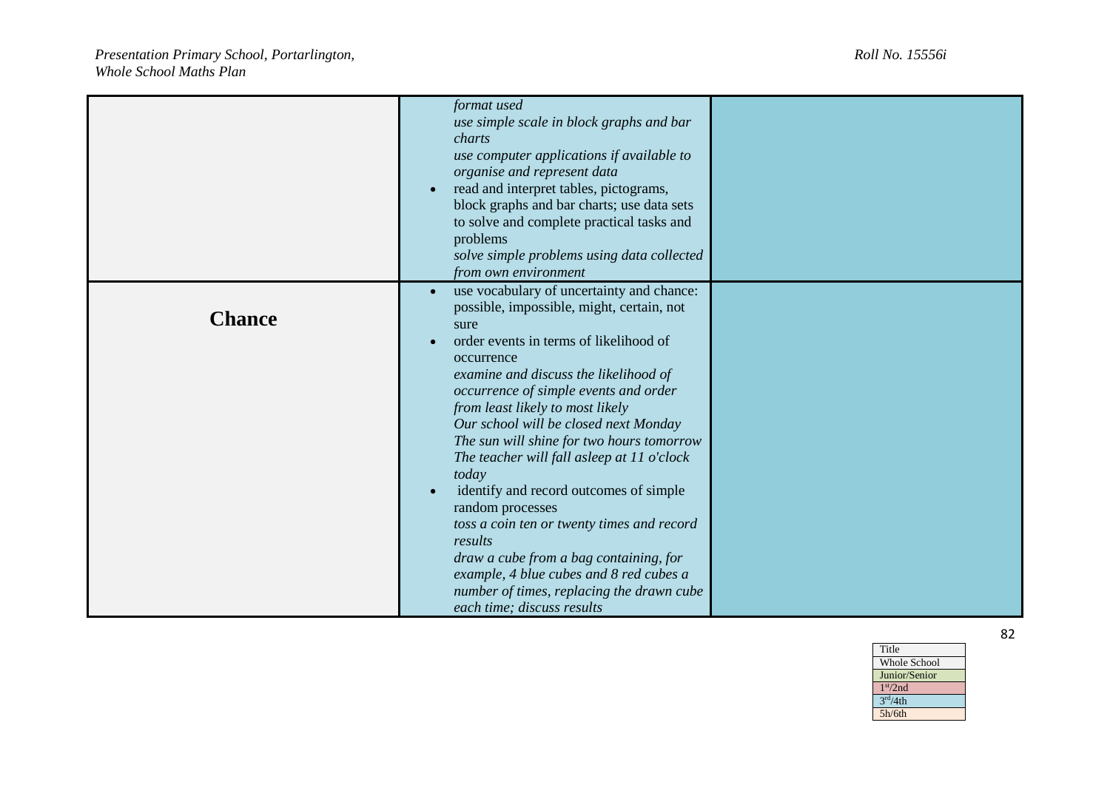|               | format used<br>use simple scale in block graphs and bar<br>charts<br>use computer applications if available to<br>organise and represent data<br>read and interpret tables, pictograms,<br>$\bullet$<br>block graphs and bar charts; use data sets<br>to solve and complete practical tasks and<br>problems<br>solve simple problems using data collected<br>from own environment                                                                                                                                                                                                                                                                                                                                                          |  |
|---------------|--------------------------------------------------------------------------------------------------------------------------------------------------------------------------------------------------------------------------------------------------------------------------------------------------------------------------------------------------------------------------------------------------------------------------------------------------------------------------------------------------------------------------------------------------------------------------------------------------------------------------------------------------------------------------------------------------------------------------------------------|--|
| <b>Chance</b> | use vocabulary of uncertainty and chance:<br>$\bullet$<br>possible, impossible, might, certain, not<br>sure<br>order events in terms of likelihood of<br>$\bullet$<br>occurrence<br>examine and discuss the likelihood of<br>occurrence of simple events and order<br>from least likely to most likely<br>Our school will be closed next Monday<br>The sun will shine for two hours tomorrow<br>The teacher will fall asleep at 11 o'clock<br>today<br>identify and record outcomes of simple<br>random processes<br>toss a coin ten or twenty times and record<br>results<br>draw a cube from a bag containing, for<br>example, 4 blue cubes and 8 red cubes a<br>number of times, replacing the drawn cube<br>each time; discuss results |  |

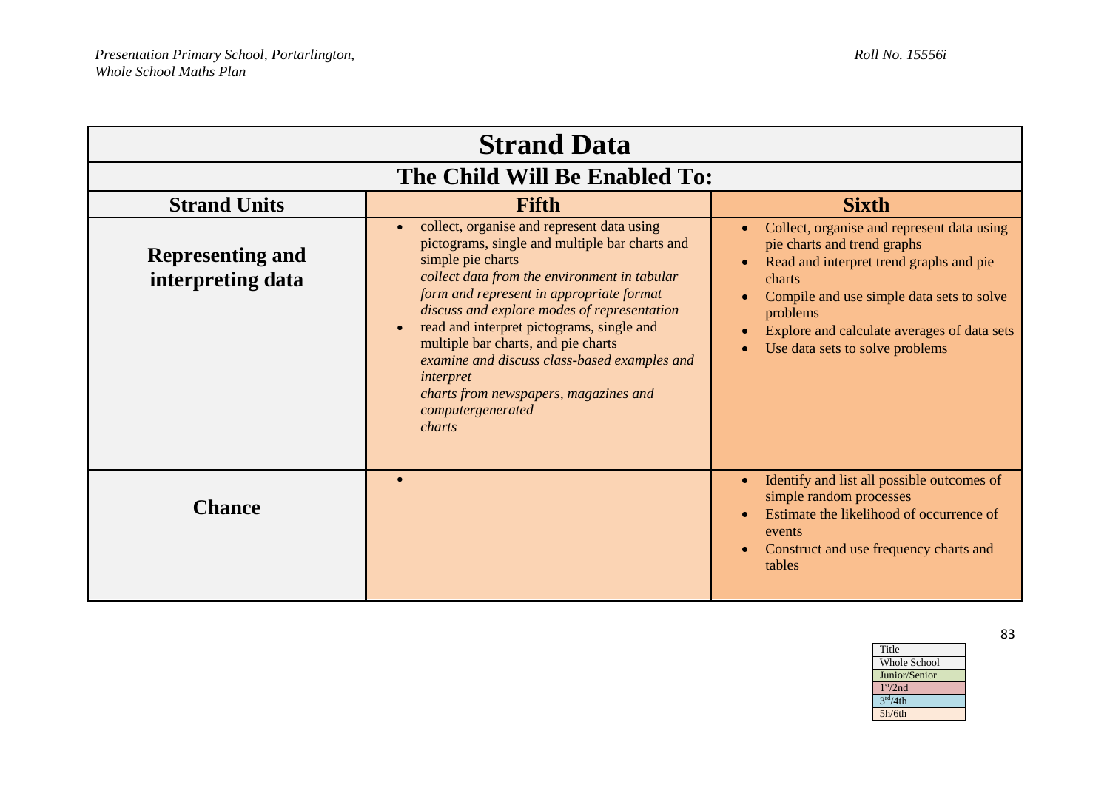| <b>Strand Data</b>                           |                                                                                                                                                                                                                                                                                                                                                                                                                                                                                              |                                                                                                                                                                                                                                                                                        |
|----------------------------------------------|----------------------------------------------------------------------------------------------------------------------------------------------------------------------------------------------------------------------------------------------------------------------------------------------------------------------------------------------------------------------------------------------------------------------------------------------------------------------------------------------|----------------------------------------------------------------------------------------------------------------------------------------------------------------------------------------------------------------------------------------------------------------------------------------|
| The Child Will Be Enabled To:                |                                                                                                                                                                                                                                                                                                                                                                                                                                                                                              |                                                                                                                                                                                                                                                                                        |
| <b>Strand Units</b>                          | Fifth                                                                                                                                                                                                                                                                                                                                                                                                                                                                                        | <b>Sixth</b>                                                                                                                                                                                                                                                                           |
| <b>Representing and</b><br>interpreting data | collect, organise and represent data using<br>pictograms, single and multiple bar charts and<br>simple pie charts<br>collect data from the environment in tabular<br>form and represent in appropriate format<br>discuss and explore modes of representation<br>read and interpret pictograms, single and<br>multiple bar charts, and pie charts<br>examine and discuss class-based examples and<br><i>interpret</i><br>charts from newspapers, magazines and<br>computergenerated<br>charts | Collect, organise and represent data using<br>$\bullet$<br>pie charts and trend graphs<br>Read and interpret trend graphs and pie<br>charts<br>Compile and use simple data sets to solve<br>problems<br>Explore and calculate averages of data sets<br>Use data sets to solve problems |
| <b>Chance</b>                                |                                                                                                                                                                                                                                                                                                                                                                                                                                                                                              | Identify and list all possible outcomes of<br>$\bullet$<br>simple random processes<br>Estimate the likelihood of occurrence of<br>events<br>Construct and use frequency charts and<br>$\bullet$<br>tables                                                                              |

Title Whole School Junior/Senior 1 st/2nd  $3<sup>rd</sup>/4th$ 5h/6th